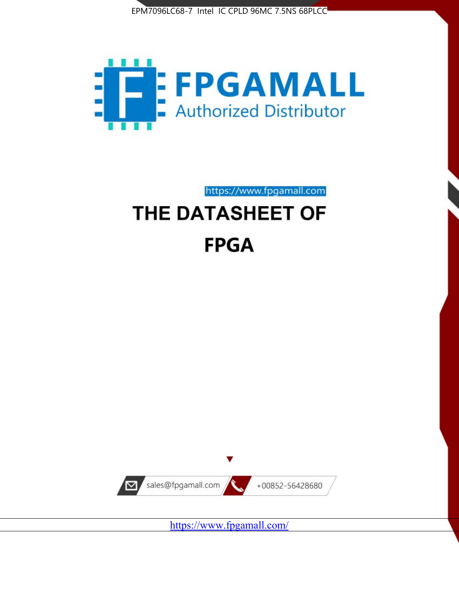



https://www.fpgamall.com

# THE DATASHEET OF **FPGA**



<https://www.fpgamall.com/>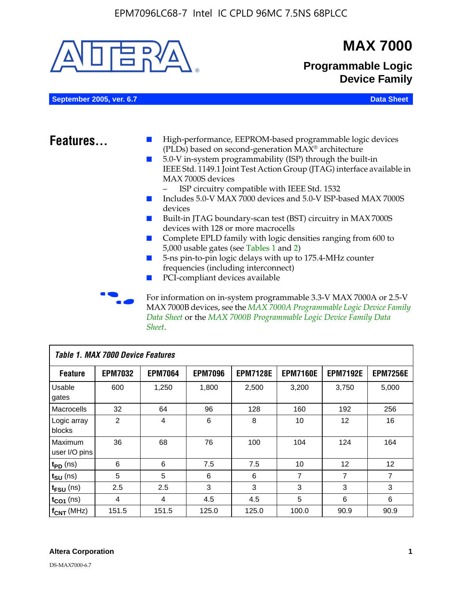

| <b>Table 1. MAX 7000 Device Features</b> |                |                |                |                 |                 |                   |                 |  |
|------------------------------------------|----------------|----------------|----------------|-----------------|-----------------|-------------------|-----------------|--|
| <b>Feature</b>                           | <b>EPM7032</b> | <b>EPM7064</b> | <b>EPM7096</b> | <b>EPM7128E</b> | <b>EPM7160E</b> | <b>EPM7192E</b>   | <b>EPM7256E</b> |  |
| Usable<br>gates                          | 600            | 1,250          | 1,800          | 2,500           | 3,200           | 3.750             | 5,000           |  |
| Macrocells                               | 32             | 64             | 96             | 128             | 160             | 192               | 256             |  |
| Logic array<br>blocks                    | 2              | 4              | 6              | 8               | 10              | 12                | 16              |  |
| Maximum<br>user I/O pins                 | 36             | 68             | 76             | 100             | 104             | 124               | 164             |  |
| $t_{PD}$ (ns)                            | 6              | 6              | 7.5            | 7.5             | 10              | $12 \overline{ }$ | 12              |  |
| $t_{SU}$ (ns)                            | 5              | 5              | 6              | 6               | $\overline{7}$  | $\overline{7}$    | $\overline{7}$  |  |
| $t_{FSU}$ (ns)                           | 2.5            | 2.5            | 3              | 3               | 3               | 3                 | 3               |  |
| $t_{CO1}$ (ns)                           | $\overline{4}$ | 4              | 4.5            | 4.5             | 5               | 6                 | 6               |  |
| $f_{CNT}$ (MHz)                          | 151.5          | 151.5          | 125.0          | 125.0           | 100.0           | 90.9              | 90.9            |  |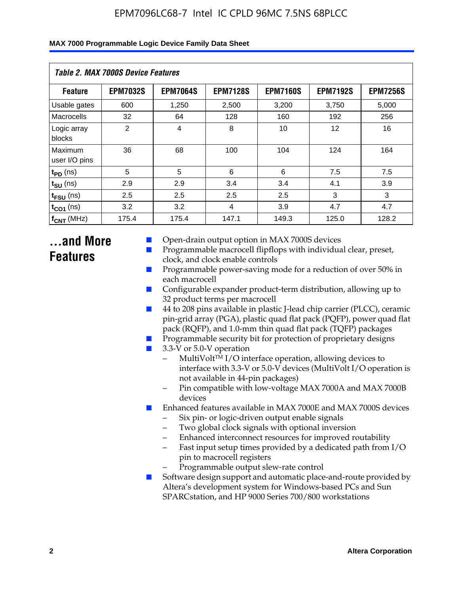| Table 2. MAX 7000S Device Features |                 |                 |                 |                 |                   |                 |  |  |
|------------------------------------|-----------------|-----------------|-----------------|-----------------|-------------------|-----------------|--|--|
| <b>Feature</b>                     | <b>EPM7032S</b> | <b>EPM7064S</b> | <b>EPM7128S</b> | <b>EPM7160S</b> | <b>EPM7192S</b>   | <b>EPM7256S</b> |  |  |
| Usable gates                       | 600             | 1,250           | 2,500           | 3,200           | 3,750             | 5,000           |  |  |
| Macrocells                         | 32              | 64              | 128             | 160             | 192               | 256             |  |  |
| Logic array<br>blocks              | $\overline{2}$  | $\overline{4}$  | 8               | 10              | $12 \overline{ }$ | 16              |  |  |
| Maximum<br>user I/O pins           | 36              | 68              | 100             | 104             | 124               | 164             |  |  |
| $t_{PD}$ (ns)                      | 5               | 5               | 6               | 6               | 7.5               | 7.5             |  |  |
| $t_{SU}$ (ns)                      | 2.9             | 2.9             | 3.4             | 3.4             | 4.1               | 3.9             |  |  |
| $t_{\text{FSU}}$ (ns)              | 2.5             | 2.5             | 2.5             | 2.5             | 3                 | 3               |  |  |
| $t_{CO1}$ (ns)                     | 3.2             | 3.2             | 4               | 3.9             | 4.7               | 4.7             |  |  |
| $f_{CNT}$ (MHz)                    | 175.4           | 175.4           | 147.1           | 149.3           | 125.0             | 128.2           |  |  |

## **...and More Features**

- Open-drain output option in MAX 7000S devices
- Programmable macrocell flipflops with individual clear, preset, clock, and clock enable controls
- Programmable power-saving mode for a reduction of over 50% in each macrocell
- Configurable expander product-term distribution, allowing up to 32 product terms per macrocell
- 44 to 208 pins available in plastic J-lead chip carrier (PLCC), ceramic pin-grid array (PGA), plastic quad flat pack (PQFP), power quad flat pack (RQFP), and 1.0-mm thin quad flat pack (TQFP) packages
- Programmable security bit for protection of proprietary designs
- 3.3-V or 5.0-V operation
	- MultiVolt<sup>TM</sup> I/O interface operation, allowing devices to interface with 3.3-V or 5.0-V devices (MultiVolt I/O operation is not available in 44-pin packages)
	- Pin compatible with low-voltage MAX 7000A and MAX 7000B devices
- Enhanced features available in MAX 7000E and MAX 7000S devices
	- Six pin- or logic-driven output enable signals
	- Two global clock signals with optional inversion
	- Enhanced interconnect resources for improved routability
	- Fast input setup times provided by a dedicated path from I/O pin to macrocell registers
	- Programmable output slew-rate control
- Software design support and automatic place-and-route provided by Altera's development system for Windows-based PCs and Sun SPARCstation, and HP 9000 Series 700/800 workstations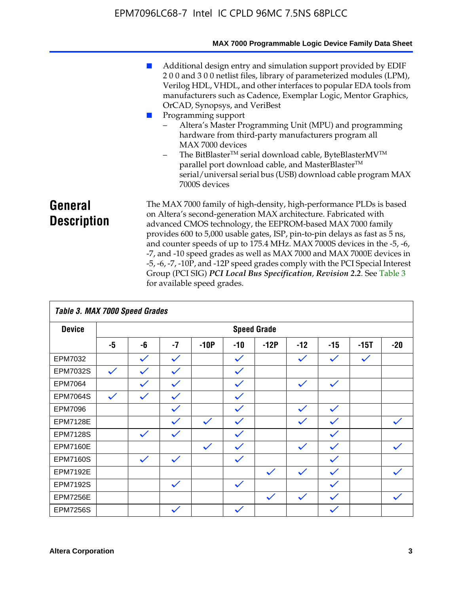|                               | MAX 7000 Programmable Logic Device Family Data Sheet                                                                                                                                                                                                                                                                                                                                                                                                                                                                                                                                                                                                                                                 |
|-------------------------------|------------------------------------------------------------------------------------------------------------------------------------------------------------------------------------------------------------------------------------------------------------------------------------------------------------------------------------------------------------------------------------------------------------------------------------------------------------------------------------------------------------------------------------------------------------------------------------------------------------------------------------------------------------------------------------------------------|
|                               | Additional design entry and simulation support provided by EDIF<br>200 and 300 netlist files, library of parameterized modules (LPM),<br>Verilog HDL, VHDL, and other interfaces to popular EDA tools from<br>manufacturers such as Cadence, Exemplar Logic, Mentor Graphics,<br>OrCAD, Synopsys, and VeriBest<br>Programming support<br>Altera's Master Programming Unit (MPU) and programming<br>hardware from third-party manufacturers program all<br>MAX 7000 devices<br>The BitBlaster™ serial download cable, ByteBlasterMV™<br>$\overline{\phantom{a}}$<br>parallel port download cable, and MasterBlaster™<br>serial/universal serial bus (USB) download cable program MAX<br>7000S devices |
| General<br><b>Description</b> | The MAX 7000 family of high-density, high-performance PLDs is based<br>on Altera's second-generation MAX architecture. Fabricated with<br>advanced CMOS technology, the EEPROM-based MAX 7000 family<br>provides 600 to 5,000 usable gates, ISP, pin-to-pin delays as fast as 5 ns,<br>and counter speeds of up to 175.4 MHz. MAX 7000S devices in the -5, -6,<br>-7, and -10 speed grades as well as MAX 7000 and MAX 7000E devices in<br>-5, -6, -7, -10P, and -12P speed grades comply with the PCI Special Interest<br>Group (PCI SIG) PCI Local Bus Specification, Revision 2.2. See Table 3                                                                                                    |

| Table 3. MAX 7000 Speed Grades |              |              |              |              |              |                    |              |              |              |              |
|--------------------------------|--------------|--------------|--------------|--------------|--------------|--------------------|--------------|--------------|--------------|--------------|
| <b>Device</b>                  |              |              |              |              |              | <b>Speed Grade</b> |              |              |              |              |
|                                | -5           | -6           | $-7$         | $-10P$       | $-10$        | $-12P$             | $-12$        | $-15$        | $-15T$       | $-20$        |
| EPM7032                        |              | $\checkmark$ | $\checkmark$ |              | $\checkmark$ |                    | $\checkmark$ | $\checkmark$ | $\checkmark$ |              |
| EPM7032S                       | $\checkmark$ | $\checkmark$ | $\checkmark$ |              | $\checkmark$ |                    |              |              |              |              |
| <b>EPM7064</b>                 |              | $\checkmark$ | $\checkmark$ |              | $\checkmark$ |                    | $\checkmark$ | $\checkmark$ |              |              |
| <b>EPM7064S</b>                | $\checkmark$ | $\checkmark$ | $\checkmark$ |              | $\checkmark$ |                    |              |              |              |              |
| <b>EPM7096</b>                 |              |              | $\checkmark$ |              | $\checkmark$ |                    | $\checkmark$ | $\checkmark$ |              |              |
| <b>EPM7128E</b>                |              |              | $\checkmark$ | $\checkmark$ | $\checkmark$ |                    | $\checkmark$ | $\checkmark$ |              | $\checkmark$ |
| <b>EPM7128S</b>                |              | $\checkmark$ | $\checkmark$ |              | $\checkmark$ |                    |              | $\checkmark$ |              |              |
| <b>EPM7160E</b>                |              |              |              | $\checkmark$ | $\checkmark$ |                    | $\checkmark$ | $\checkmark$ |              | $\checkmark$ |
| <b>EPM7160S</b>                |              | $\checkmark$ | $\checkmark$ |              | $\checkmark$ |                    |              | $\checkmark$ |              |              |
| <b>EPM7192E</b>                |              |              |              |              |              | $\checkmark$       | $\checkmark$ | $\checkmark$ |              | $\checkmark$ |
| <b>EPM7192S</b>                |              |              | $\checkmark$ |              | $\checkmark$ |                    |              | $\checkmark$ |              |              |
| <b>EPM7256E</b>                |              |              |              |              |              | $\checkmark$       | $\checkmark$ | $\checkmark$ |              | $\checkmark$ |
| <b>EPM7256S</b>                |              |              | $\checkmark$ |              | $\checkmark$ |                    |              | $\checkmark$ |              |              |

for available speed grades.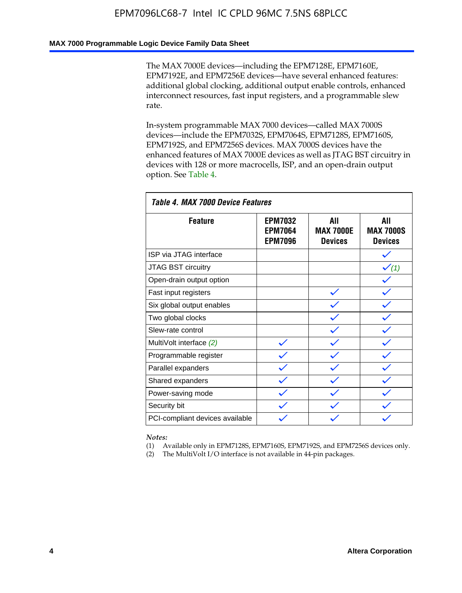### **MAX 7000 Programmable Logic Device Family Data Sheet**

The MAX 7000E devices—including the EPM7128E, EPM7160E, EPM7192E, and EPM7256E devices—have several enhanced features: additional global clocking, additional output enable controls, enhanced interconnect resources, fast input registers, and a programmable slew rate.

In-system programmable MAX 7000 devices—called MAX 7000S devices—include the EPM7032S, EPM7064S, EPM7128S, EPM7160S, EPM7192S, and EPM7256S devices. MAX 7000S devices have the enhanced features of MAX 7000E devices as well as JTAG BST circuitry in devices with 128 or more macrocells, ISP, and an open-drain output option. See Table 4.

| Table 4. MAX 7000 Device Features |                                                    |                                           |                                           |  |  |  |  |
|-----------------------------------|----------------------------------------------------|-------------------------------------------|-------------------------------------------|--|--|--|--|
| <b>Feature</b>                    | <b>EPM7032</b><br><b>EPM7064</b><br><b>EPM7096</b> | All<br><b>MAX 7000E</b><br><b>Devices</b> | All<br><b>MAX 7000S</b><br><b>Devices</b> |  |  |  |  |
| ISP via JTAG interface            |                                                    |                                           |                                           |  |  |  |  |
| <b>JTAG BST circuitry</b>         |                                                    |                                           | $\checkmark$ (1)                          |  |  |  |  |
| Open-drain output option          |                                                    |                                           |                                           |  |  |  |  |
| Fast input registers              |                                                    |                                           |                                           |  |  |  |  |
| Six global output enables         |                                                    |                                           |                                           |  |  |  |  |
| Two global clocks                 |                                                    |                                           |                                           |  |  |  |  |
| Slew-rate control                 |                                                    |                                           |                                           |  |  |  |  |
| MultiVolt interface (2)           |                                                    |                                           |                                           |  |  |  |  |
| Programmable register             |                                                    |                                           |                                           |  |  |  |  |
| Parallel expanders                |                                                    |                                           |                                           |  |  |  |  |
| Shared expanders                  |                                                    |                                           |                                           |  |  |  |  |
| Power-saving mode                 |                                                    |                                           |                                           |  |  |  |  |
| Security bit                      |                                                    |                                           |                                           |  |  |  |  |
| PCI-compliant devices available   |                                                    |                                           |                                           |  |  |  |  |

*Notes:*

(1) Available only in EPM7128S, EPM7160S, EPM7192S, and EPM7256S devices only.

(2) The MultiVolt I/O interface is not available in 44-pin packages.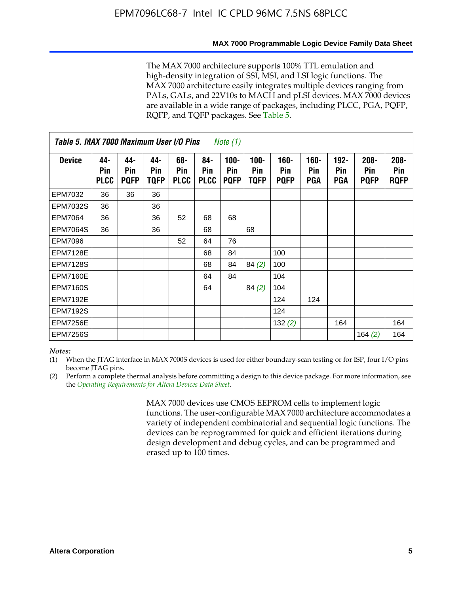#### **MAX 7000 Programmable Logic Device Family Data Sheet**

The MAX 7000 architecture supports 100% TTL emulation and high-density integration of SSI, MSI, and LSI logic functions. The MAX 7000 architecture easily integrates multiple devices ranging from PALs, GALs, and 22V10s to MACH and pLSI devices. MAX 7000 devices are available in a wide range of packages, including PLCC, PGA, PQFP, RQFP, and TQFP packages. See Table 5.

| Table 5. MAX 7000 Maximum User I/O Pins<br><i>Note</i> $(1)$ |                           |                           |                    |                           |                           |                               |                        |                            |                       |                              |                               |                               |
|--------------------------------------------------------------|---------------------------|---------------------------|--------------------|---------------------------|---------------------------|-------------------------------|------------------------|----------------------------|-----------------------|------------------------------|-------------------------------|-------------------------------|
| <b>Device</b>                                                | 44-<br>Pin<br><b>PLCC</b> | 44-<br>Pin<br><b>PQFP</b> | 44-<br>Pin<br>TQFP | 68-<br>Pin<br><b>PLCC</b> | 84-<br>Pin<br><b>PLCC</b> | $100 -$<br>Pin<br><b>PQFP</b> | $100 -$<br>Pin<br>TQFP | 160-<br>Pin<br><b>PQFP</b> | $160 -$<br>Pin<br>PGA | $192 -$<br><b>Pin</b><br>PGA | $208 -$<br>Pin<br><b>PQFP</b> | $208 -$<br>Pin<br><b>RQFP</b> |
| EPM7032                                                      | 36                        | 36                        | 36                 |                           |                           |                               |                        |                            |                       |                              |                               |                               |
| <b>EPM7032S</b>                                              | 36                        |                           | 36                 |                           |                           |                               |                        |                            |                       |                              |                               |                               |
| <b>EPM7064</b>                                               | 36                        |                           | 36                 | 52                        | 68                        | 68                            |                        |                            |                       |                              |                               |                               |
| <b>EPM7064S</b>                                              | 36                        |                           | 36                 |                           | 68                        |                               | 68                     |                            |                       |                              |                               |                               |
| <b>EPM7096</b>                                               |                           |                           |                    | 52                        | 64                        | 76                            |                        |                            |                       |                              |                               |                               |
| <b>EPM7128E</b>                                              |                           |                           |                    |                           | 68                        | 84                            |                        | 100                        |                       |                              |                               |                               |
| <b>EPM7128S</b>                                              |                           |                           |                    |                           | 68                        | 84                            | 84(2)                  | 100                        |                       |                              |                               |                               |
| EPM7160E                                                     |                           |                           |                    |                           | 64                        | 84                            |                        | 104                        |                       |                              |                               |                               |
| EPM7160S                                                     |                           |                           |                    |                           | 64                        |                               | 84(2)                  | 104                        |                       |                              |                               |                               |
| <b>EPM7192E</b>                                              |                           |                           |                    |                           |                           |                               |                        | 124                        | 124                   |                              |                               |                               |
| <b>EPM7192S</b>                                              |                           |                           |                    |                           |                           |                               |                        | 124                        |                       |                              |                               |                               |
| <b>EPM7256E</b>                                              |                           |                           |                    |                           |                           |                               |                        | 132 $(2)$                  |                       | 164                          |                               | 164                           |
| EPM7256S                                                     |                           |                           |                    |                           |                           |                               |                        |                            |                       |                              | 164 $(2)$                     | 164                           |

#### *Notes:*

(1) When the JTAG interface in MAX 7000S devices is used for either boundary-scan testing or for ISP, four I/O pins become JTAG pins.

(2) Perform a complete thermal analysis before committing a design to this device package. For more information, see the *Operating Requirements for Altera Devices Data Sheet*.

> MAX 7000 devices use CMOS EEPROM cells to implement logic functions. The user-configurable MAX 7000 architecture accommodates a variety of independent combinatorial and sequential logic functions. The devices can be reprogrammed for quick and efficient iterations during design development and debug cycles, and can be programmed and erased up to 100 times.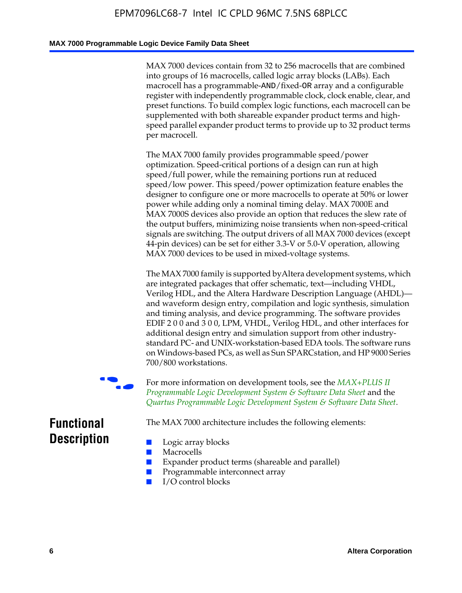### **MAX 7000 Programmable Logic Device Family Data Sheet**

MAX 7000 devices contain from 32 to 256 macrocells that are combined into groups of 16 macrocells, called logic array blocks (LABs). Each macrocell has a programmable-AND/fixed-OR array and a configurable register with independently programmable clock, clock enable, clear, and preset functions. To build complex logic functions, each macrocell can be supplemented with both shareable expander product terms and highspeed parallel expander product terms to provide up to 32 product terms per macrocell.

The MAX 7000 family provides programmable speed/power optimization. Speed-critical portions of a design can run at high speed/full power, while the remaining portions run at reduced speed/low power. This speed/power optimization feature enables the designer to configure one or more macrocells to operate at 50% or lower power while adding only a nominal timing delay. MAX 7000E and MAX 7000S devices also provide an option that reduces the slew rate of the output buffers, minimizing noise transients when non-speed-critical signals are switching. The output drivers of all MAX 7000 devices (except 44-pin devices) can be set for either 3.3-V or 5.0-V operation, allowing MAX 7000 devices to be used in mixed-voltage systems.

The MAX 7000 family is supported byAltera development systems, which are integrated packages that offer schematic, text—including VHDL, Verilog HDL, and the Altera Hardware Description Language (AHDL) and waveform design entry, compilation and logic synthesis, simulation and timing analysis, and device programming. The [software provides](http://www.altera.com/literature/ds/dsmii.pdf)  [EDIF 2 0 0 and 3 0 0, LPM, VHDL, Verilog HDL, and other in](http://www.altera.com/literature/ds/dsmii.pdf)terfaces for [additional design entry and simulation support from other industry](http://www.altera.com/literature/ds/quartus.pdf)standard PC- and UNIX-workstation-based EDA tools. The software runs on Windows-based PCs, as well as Sun SPARCstation, and HP 9000 Series 700/800 workstations.

For more information on development tools, see the **MAX+PLUS II** *Programmable Logic Development System & Software Data Sheet* and the *Quartus Programmable Logic Development System & Software Data Sheet*.

The MAX 7000 architecture includes the following elements:

## **Functional Description**

- Logic array blocks
- **Macrocells**
- Expander product terms (shareable and parallel)
- Programmable interconnect array
- I/O control blocks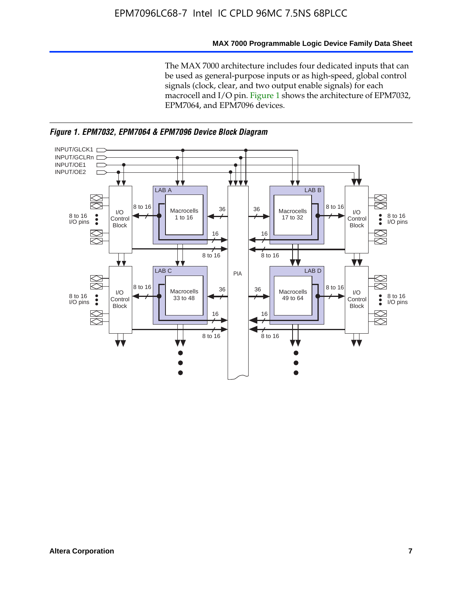### **MAX 7000 Programmable Logic Device Family Data Sheet**

The MAX 7000 architecture includes four dedicated inputs that can be used as general-purpose inputs or as high-speed, global control signals (clock, clear, and two output enable signals) for each macrocell and I/O pin. Figure 1 shows the architecture of EPM7032, EPM7064, and EPM7096 devices.



*Figure 1. EPM7032, EPM7064 & EPM7096 Device Block Diagram*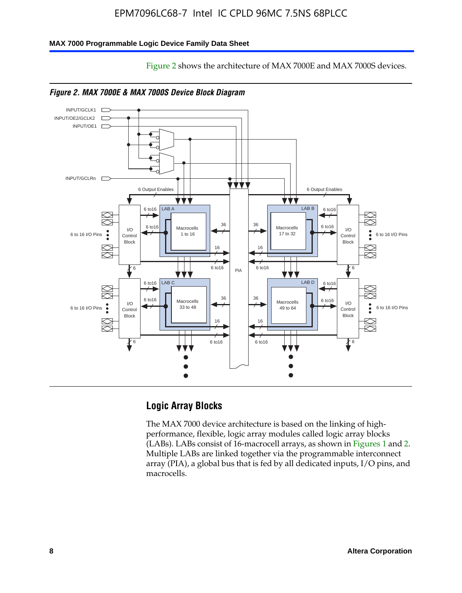Figure 2 shows the architecture of MAX 7000E and MAX 7000S devices.

#### **MAX 7000 Programmable Logic Device Family Data Sheet**





*Figure 2. MAX 7000E & MAX 7000S Device Block Diagram*

## **Logic Array Blocks**

The MAX 7000 device architecture is based on the linking of highperformance, flexible, logic array modules called logic array blocks (LABs). LABs consist of 16-macrocell arrays, as shown in Figures 1 and 2. Multiple LABs are linked together via the programmable interconnect array (PIA), a global bus that is fed by all dedicated inputs, I/O pins, and macrocells.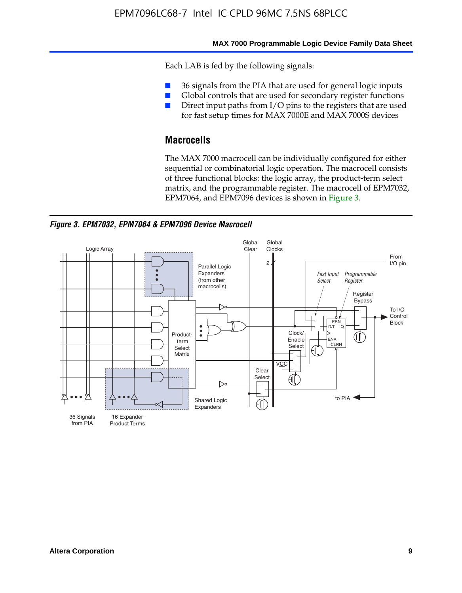#### **MAX 7000 Programmable Logic Device Family Data Sheet**

Each LAB is fed by the following signals:

- 36 signals from the PIA that are used for general logic inputs
- Global controls that are used for secondary register functions
- Direct input paths from I/O pins to the registers that are used for fast setup times for MAX 7000E and MAX 7000S devices

## **Macrocells**

The MAX 7000 macrocell can be individually configured for either sequential or combinatorial logic operation. The macrocell consists of three functional blocks: the logic array, the product-term select matrix, and the programmable register. The macrocell of EPM7032, EPM7064, and EPM7096 devices is shown in Figure 3.

*Figure 3. EPM7032, EPM7064 & EPM7096 Device Macrocell*

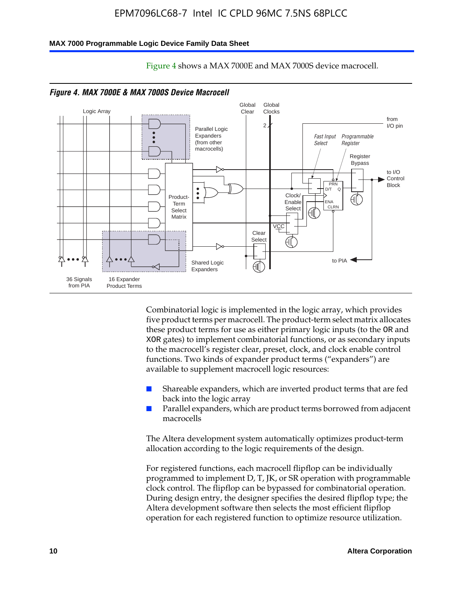#### **MAX 7000 Programmable Logic Device Family Data Sheet**



Figure 4 shows a MAX 7000E and MAX 7000S device macrocell.

*Figure 4. MAX 7000E & MAX 7000S Device Macrocell*

Combinatorial logic is implemented in the logic array, which provides five product terms per macrocell. The product-term select matrix allocates these product terms for use as either primary logic inputs (to the OR and XOR gates) to implement combinatorial functions, or as secondary inputs to the macrocell's register clear, preset, clock, and clock enable control functions. Two kinds of expander product terms ("expanders") are available to supplement macrocell logic resources:

- Shareable expanders, which are inverted product terms that are fed back into the logic array
- Parallel expanders, which are product terms borrowed from adjacent macrocells

The Altera development system automatically optimizes product-term allocation according to the logic requirements of the design.

For registered functions, each macrocell flipflop can be individually programmed to implement D, T, JK, or SR operation with programmable clock control. The flipflop can be bypassed for combinatorial operation. During design entry, the designer specifies the desired flipflop type; the Altera development software then selects the most efficient flipflop operation for each registered function to optimize resource utilization.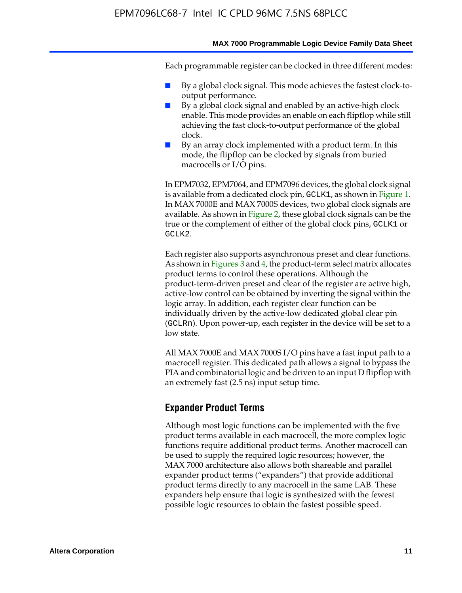#### **MAX 7000 Programmable Logic Device Family Data Sheet**

Each programmable register can be clocked in three different modes:

- By a global clock signal. This mode achieves the fastest clock-tooutput performance.
- By a global clock signal and enabled by an active-high clock enable. This mode provides an enable on each flipflop while still achieving the fast clock-to-output performance of the global clock.
- By an array clock implemented with a product term. In this mode, the flipflop can be clocked by signals from buried macrocells or I/O pins.

In EPM7032, EPM7064, and EPM7096 devices, the global clock signal is available from a dedicated clock pin, GCLK1, as shown in Figure 1. In MAX 7000E and MAX 7000S devices, two global clock signals are available. As shown in Figure 2, these global clock signals can be the true or the complement of either of the global clock pins, GCLK1 or GCLK2.

Each register also supports asynchronous preset and clear functions. As shown in Figures 3 and 4, the product-term select matrix allocates product terms to control these operations. Although the product-term-driven preset and clear of the register are active high, active-low control can be obtained by inverting the signal within the logic array. In addition, each register clear function can be individually driven by the active-low dedicated global clear pin (GCLRn). Upon power-up, each register in the device will be set to a low state.

All MAX 7000E and MAX 7000S I/O pins have a fast input path to a macrocell register. This dedicated path allows a signal to bypass the PIA and combinatorial logic and be driven to an input D flipflop with an extremely fast (2.5 ns) input setup time.

### **Expander Product Terms**

Although most logic functions can be implemented with the five product terms available in each macrocell, the more complex logic functions require additional product terms. Another macrocell can be used to supply the required logic resources; however, the MAX 7000 architecture also allows both shareable and parallel expander product terms ("expanders") that provide additional product terms directly to any macrocell in the same LAB. These expanders help ensure that logic is synthesized with the fewest possible logic resources to obtain the fastest possible speed.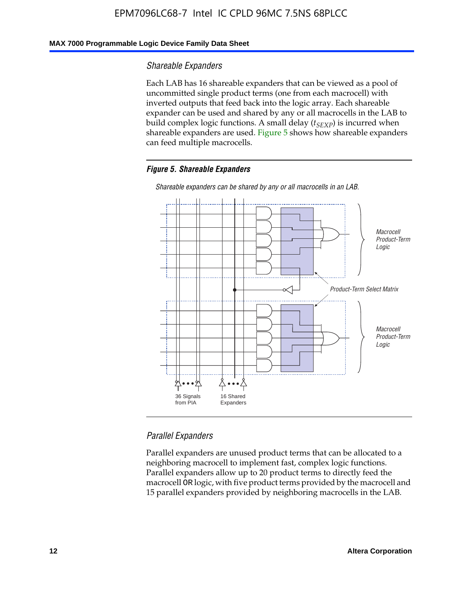### **MAX 7000 Programmable Logic Device Family Data Sheet**

### *Shareable Expanders*

Each LAB has 16 shareable expanders that can be viewed as a pool of uncommitted single product terms (one from each macrocell) with inverted outputs that feed back into the logic array. Each shareable expander can be used and shared by any or all macrocells in the LAB to build complex logic functions. A small delay ( $t_{SEXP}$ ) is incurred when shareable expanders are used. Figure 5 shows how shareable expanders can feed multiple macrocells.

#### *Figure 5. Shareable Expanders*



*Shareable expanders can be shared by any or all macrocells in an LAB.*

### *Parallel Expanders*

Parallel expanders are unused product terms that can be allocated to a neighboring macrocell to implement fast, complex logic functions. Parallel expanders allow up to 20 product terms to directly feed the macrocell OR logic, with five product terms provided by the macrocell and 15 parallel expanders provided by neighboring macrocells in the LAB.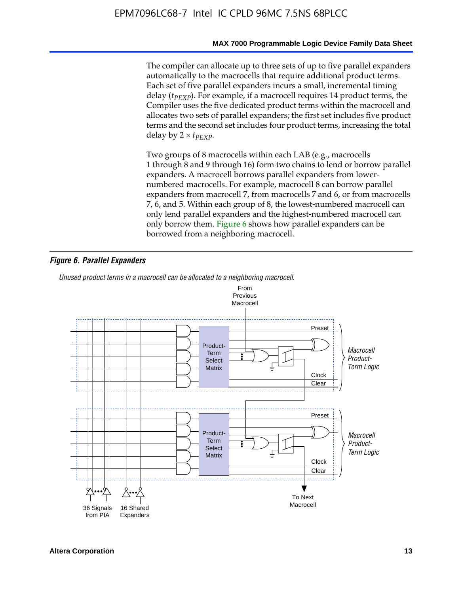#### **MAX 7000 Programmable Logic Device Family Data Sheet**

The compiler can allocate up to three sets of up to five parallel expanders automatically to the macrocells that require additional product terms. Each set of five parallel expanders incurs a small, incremental timing delay (*t<sub>PEXP</sub>*). For example, if a macrocell requires 14 product terms, the Compiler uses the five dedicated product terms within the macrocell and allocates two sets of parallel expanders; the first set includes five product terms and the second set includes four product terms, increasing the total delay by  $2 \times t_{PFXP}$ .

Two groups of 8 macrocells within each LAB (e.g., macrocells 1 through 8 and 9 through 16) form two chains to lend or borrow parallel expanders. A macrocell borrows parallel expanders from lowernumbered macrocells. For example, macrocell 8 can borrow parallel expanders from macrocell 7, from macrocells 7 and 6, or from macrocells 7, 6, and 5. Within each group of 8, the lowest-numbered macrocell can only lend parallel expanders and the highest-numbered macrocell can only borrow them. Figure 6 shows how parallel expanders can be borrowed from a neighboring macrocell.

### *Figure 6. Parallel Expanders*

*Unused product terms in a macrocell can be allocated to a neighboring macrocell.*

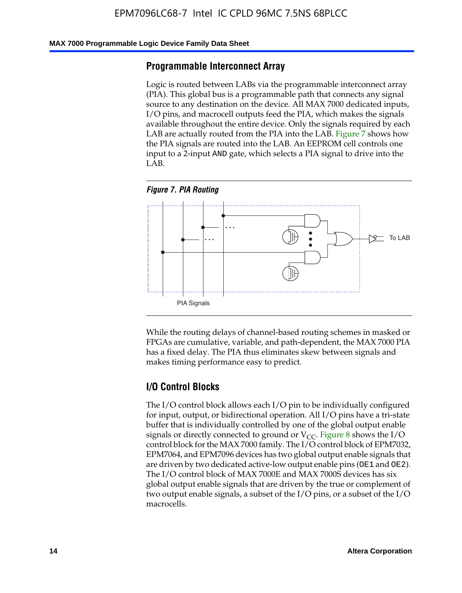#### **MAX 7000 Programmable Logic Device Family Data Sheet**

### **Programmable Interconnect Array**

Logic is routed between LABs via the programmable interconnect array (PIA). This global bus is a programmable path that connects any signal source to any destination on the device. All MAX 7000 dedicated inputs, I/O pins, and macrocell outputs feed the PIA, which makes the signals available throughout the entire device. Only the signals required by each LAB are actually routed from the PIA into the LAB. Figure 7 shows how the PIA signals are routed into the LAB. An EEPROM cell controls one input to a 2-input AND gate, which selects a PIA signal to drive into the LAB.





While the routing delays of channel-based routing schemes in masked or FPGAs are cumulative, variable, and path-dependent, the MAX 7000 PIA has a fixed delay. The PIA thus eliminates skew between signals and makes timing performance easy to predict.

### **I/O Control Blocks**

The I/O control block allows each I/O pin to be individually configured for input, output, or bidirectional operation. All I/O pins have a tri-state buffer that is individually controlled by one of the global output enable signals or directly connected to ground or  $V_{CC}$ . Figure 8 shows the I/O control block for the MAX 7000 family. The I/O control block of EPM7032, EPM7064, and EPM7096 devices has two global output enable signals that are driven by two dedicated active-low output enable pins (OE1 and OE2). The I/O control block of MAX 7000E and MAX 7000S devices has six global output enable signals that are driven by the true or complement of two output enable signals, a subset of the I/O pins, or a subset of the I/O macrocells.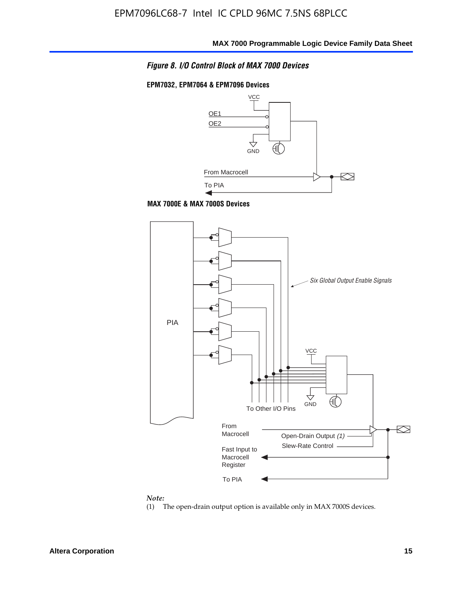

### **EPM7032, EPM7064 & EPM7096 Devices**







#### *Note:*

(1) The open-drain output option is available only in MAX 7000S devices.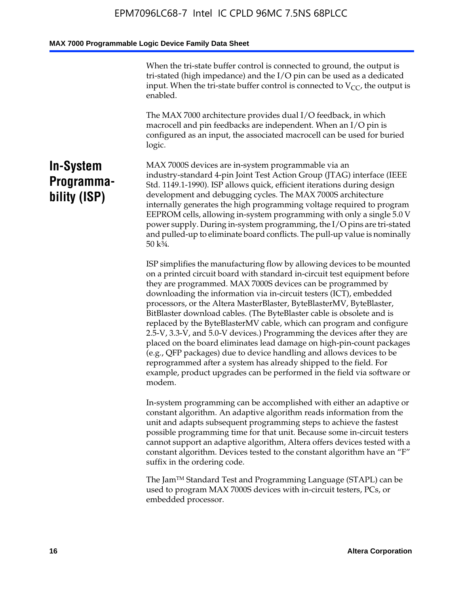When the tri-state buffer control is connected to ground, the output is tri-stated (high impedance) and the I/O pin can be used as a dedicated input. When the tri-state buffer control is connected to  $V_{CC}$ , the output is enabled.

The MAX 7000 architecture provides dual I/O feedback, in which macrocell and pin feedbacks are independent. When an I/O pin is configured as an input, the associated macrocell can be used for buried logic.

## **In-System Programmability (ISP)**

MAX 7000S devices are in-system programmable via an industry-standard 4-pin Joint Test Action Group (JTAG) interface (IEEE Std. 1149.1-1990). ISP allows quick, efficient iterations during design development and debugging cycles. The MAX 7000S architecture internally generates the high programming voltage required to program EEPROM cells, allowing in-system programming with only a single 5.0 V power supply. During in-system programming, the I/O pins are tri-stated and pulled-up to eliminate board conflicts. The pull-up value is nominally 50 k¾.

ISP simplifies the manufacturing flow by allowing devices to be mounted on a printed circuit board with standard in-circuit test equipment before they are programmed. MAX 7000S devices can be programmed by downloading the information via in-circuit testers (ICT), embedded processors, or the Altera MasterBlaster, ByteBlasterMV, ByteBlaster, BitBlaster download cables. (The ByteBlaster cable is obsolete and is replaced by the ByteBlasterMV cable, which can program and configure 2.5-V, 3.3-V, and 5.0-V devices.) Programming the devices after they are placed on the board eliminates lead damage on high-pin-count packages (e.g., QFP packages) due to device handling and allows devices to be reprogrammed after a system has already shipped to the field. For example, product upgrades can be performed in the field via software or modem.

In-system programming can be accomplished with either an adaptive or constant algorithm. An adaptive algorithm reads information from the unit and adapts subsequent programming steps to achieve the fastest possible programming time for that unit. Because some in-circuit testers cannot support an adaptive algorithm, Altera offers devices tested with a constant algorithm. Devices tested to the constant algorithm have an "F" suffix in the ordering code.

The Jam™ Standard Test and Programming Language (STAPL) can be used to program MAX 7000S devices with in-circuit testers, PCs, or embedded processor.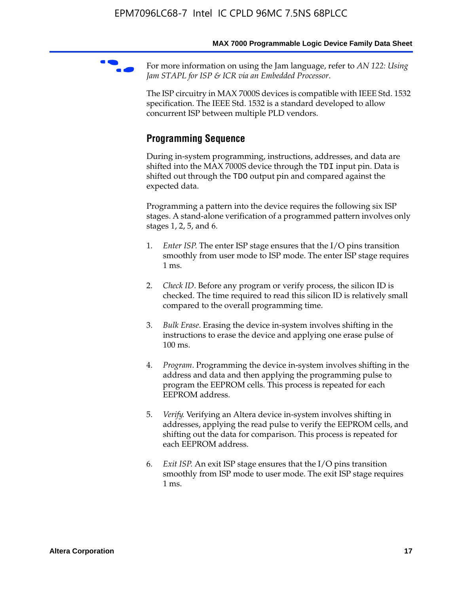For more information on using the Jam language, refer to *AN* 122: Using *Jam STAPL for ISP & ICR via an Embedded Processor*.

The ISP circuitry in MAX 7000S devices is compatible with IEEE Std. 1532 specification. The IEEE Std. 1532 is a standard developed to allow concurrent ISP between multiple PLD vendors.

## **Programming Sequence**

During in-system programming, instructions, addresses, and data are shifted into the MAX 7000S device through the TDI input pin. Data is shifted out through the TDO output pin and compared against the expected data.

Programming a pattern into the device requires the following six ISP stages. A stand-alone verification of a programmed pattern involves only stages 1, 2, 5, and 6.

- 1. *Enter ISP*. The enter ISP stage ensures that the I/O pins transition smoothly from user mode to ISP mode. The enter ISP stage requires 1 ms.
- 2. *Check ID*. Before any program or verify process, the silicon ID is checked. The time required to read this silicon ID is relatively small compared to the overall programming time.
- 3. *Bulk Erase*. Erasing the device in-system involves shifting in the instructions to erase the device and applying one erase pulse of 100 ms.
- 4. *Program*. Programming the device in-system involves shifting in the address and data and then applying the programming pulse to program the EEPROM cells. This process is repeated for each EEPROM address.
- 5. *Verify*. Verifying an Altera device in-system involves shifting in addresses, applying the read pulse to verify the EEPROM cells, and shifting out the data for comparison. This process is repeated for each EEPROM address.
- 6. *Exit ISP*. An exit ISP stage ensures that the I/O pins transition smoothly from ISP mode to user mode. The exit ISP stage requires 1 ms.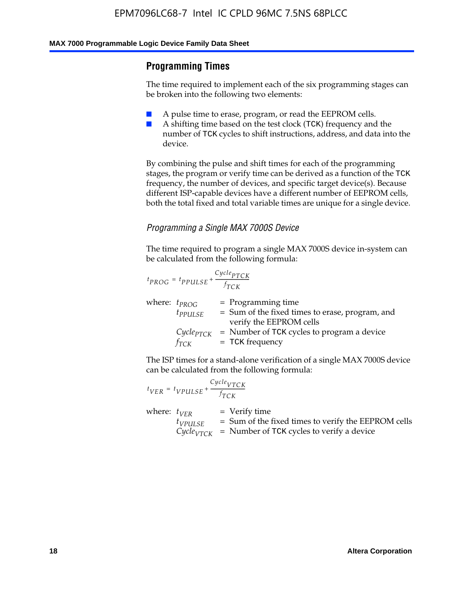## **Programming Times**

The time required to implement each of the six programming stages can be broken into the following two elements:

- A pulse time to erase, program, or read the EEPROM cells.
- A shifting time based on the test clock (TCK) frequency and the number of TCK cycles to shift instructions, address, and data into the device.

By combining the pulse and shift times for each of the programming stages, the program or verify time can be derived as a function of the TCK frequency, the number of devices, and specific target device(s). Because different ISP-capable devices have a different number of EEPROM cells, both the total fixed and total variable times are unique for a single device.

### *Programming a Single MAX 7000S Device*

The time required to program a single MAX 7000S device in-system can be calculated from the following formula:

$$
t_{PROG} = t_{PPULSE} + \frac{C_{ycle_{PTCK}}}{f_{TCK}}
$$
  
where:  $t_{PROG}$  = Programming time  
 $t_{PPULSE}$  = Sum of the fixed times to erase, program, and  
verify the EEPROM cells  
 $C_{ycle_{PTCK}}$  = Number of TCK cycles to program a device  
 $f_{TCK}$  = TCK frequency

The ISP times for a stand-alone verification of a single MAX 7000S device can be calculated from the following formula:

|                  | $t_{VER} = t_{VPULSE} + \frac{Cycle_{VTCK}}{f_{TCK}}$ |                                                                                                                                 |
|------------------|-------------------------------------------------------|---------------------------------------------------------------------------------------------------------------------------------|
| where: $t_{VFR}$ | $t_{VPULSE}$                                          | = Verify time<br>$=$ Sum of the fixed times to verify the EEPROM cells<br>$CycleVTCK$ = Number of TCK cycles to verify a device |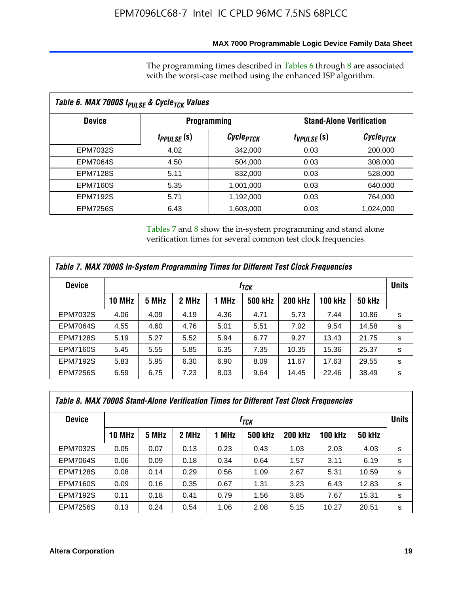### **MAX 7000 Programmable Logic Device Family Data Sheet**

The programming times described in Tables 6 through 8 are associated with the worst-case method using the enhanced ISP algorithm.

| Table 6. MAX 7000S t <sub>PULSE</sub> & Cycle <sub>TCK</sub> Values |                         |                       |                 |                                 |  |  |  |  |
|---------------------------------------------------------------------|-------------------------|-----------------------|-----------------|---------------------------------|--|--|--|--|
| <b>Device</b>                                                       | <b>Programming</b>      |                       |                 | <b>Stand-Alone Verification</b> |  |  |  |  |
|                                                                     | t <sub>PPULSE</sub> (S) | Cycle <sub>PTCK</sub> | $t_{VPULSE}(s)$ | $\mathcal C$ ycle $_{VTCK}$     |  |  |  |  |
| EPM7032S                                                            | 4.02                    | 342,000               | 0.03            | 200,000                         |  |  |  |  |
| <b>EPM7064S</b>                                                     | 4.50                    | 504,000               | 0.03            | 308,000                         |  |  |  |  |
| <b>EPM7128S</b>                                                     | 5.11                    | 832,000               | 0.03            | 528,000                         |  |  |  |  |
| <b>EPM7160S</b>                                                     | 5.35                    | 1,001,000             | 0.03            | 640,000                         |  |  |  |  |
| <b>EPM7192S</b>                                                     | 5.71                    | 1,192,000             | 0.03            | 764,000                         |  |  |  |  |
| <b>EPM7256S</b>                                                     | 6.43                    | 1,603,000             | 0.03            | 1,024,000                       |  |  |  |  |

Tables 7 and 8 show the in-system programming and stand alone verification times for several common test clock frequencies.

| Table 7. MAX 7000S In-System Programming Times for Different Test Clock Frequencies |               |       |       |       |                |                |                |               |              |
|-------------------------------------------------------------------------------------|---------------|-------|-------|-------|----------------|----------------|----------------|---------------|--------------|
| <b>Device</b><br>$f_{TCK}$                                                          |               |       |       |       |                |                |                |               | <b>Units</b> |
|                                                                                     | <b>10 MHz</b> | 5 MHz | 2 MHz | 1 MHz | <b>500 kHz</b> | <b>200 kHz</b> | <b>100 kHz</b> | <b>50 kHz</b> |              |
| <b>EPM7032S</b>                                                                     | 4.06          | 4.09  | 4.19  | 4.36  | 4.71           | 5.73           | 7.44           | 10.86         | s            |
| <b>EPM7064S</b>                                                                     | 4.55          | 4.60  | 4.76  | 5.01  | 5.51           | 7.02           | 9.54           | 14.58         | s            |
| <b>EPM7128S</b>                                                                     | 5.19          | 5.27  | 5.52  | 5.94  | 6.77           | 9.27           | 13.43          | 21.75         | s            |
| <b>EPM7160S</b>                                                                     | 5.45          | 5.55  | 5.85  | 6.35  | 7.35           | 10.35          | 15.36          | 25.37         | s            |
| <b>EPM7192S</b>                                                                     | 5.83          | 5.95  | 6.30  | 6.90  | 8.09           | 11.67          | 17.63          | 29.55         | s            |
| <b>EPM7256S</b>                                                                     | 6.59          | 6.75  | 7.23  | 8.03  | 9.64           | 14.45          | 22.46          | 38.49         | s            |

| Table 8. MAX 7000S Stand-Alone Verification Times for Different Test Clock Frequencies |               |                  |       |       |                |                |                |               |   |
|----------------------------------------------------------------------------------------|---------------|------------------|-------|-------|----------------|----------------|----------------|---------------|---|
| <b>Device</b>                                                                          |               | f <sub>тск</sub> |       |       |                |                |                |               |   |
|                                                                                        | <b>10 MHz</b> | 5 MHz            | 2 MHz | 1 MHz | <b>500 kHz</b> | <b>200 kHz</b> | <b>100 kHz</b> | <b>50 kHz</b> |   |
| EPM7032S                                                                               | 0.05          | 0.07             | 0.13  | 0.23  | 0.43           | 1.03           | 2.03           | 4.03          | s |
| <b>EPM7064S</b>                                                                        | 0.06          | 0.09             | 0.18  | 0.34  | 0.64           | 1.57           | 3.11           | 6.19          | s |
| <b>EPM7128S</b>                                                                        | 0.08          | 0.14             | 0.29  | 0.56  | 1.09           | 2.67           | 5.31           | 10.59         | s |
| <b>EPM7160S</b>                                                                        | 0.09          | 0.16             | 0.35  | 0.67  | 1.31           | 3.23           | 6.43           | 12.83         | s |
| <b>EPM7192S</b>                                                                        | 0.11          | 0.18             | 0.41  | 0.79  | 1.56           | 3.85           | 7.67           | 15.31         | s |
| <b>EPM7256S</b>                                                                        | 0.13          | 0.24             | 0.54  | 1.06  | 2.08           | 5.15           | 10.27          | 20.51         | s |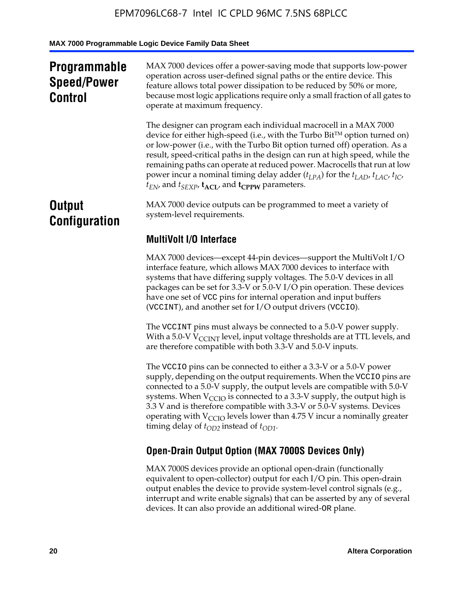## **Programmable Speed/Power Control**

MAX 7000 devices offer a power-saving mode that supports low-power operation across user-defined signal paths or the entire device. This feature allows total power dissipation to be reduced by 50% or more, because most logic applications require only a small fraction of all gates to operate at maximum frequency.

The designer can program each individual macrocell in a MAX 7000 device for either high-speed (i.e., with the Turbo  $Bit^{TM}$  option turned on) or low-power (i.e., with the Turbo Bit option turned off) operation. As a result, speed-critical paths in the design can run at high speed, while the remaining paths can operate at reduced power. Macrocells that run at low power incur a nominal timing delay adder  $(t_{LPA})$  for the  $t_{LAD}$ ,  $t_{LAC}$ ,  $t_{IC}$ ,  $t_{EN}$ , and  $t_{SEXP}$ ,  $t_{ACL}$ , and  $t_{CPPW}$  parameters.

## **Output Configuration**

MAX 7000 device outputs can be programmed to meet a variety of system-level requirements.

## **MultiVolt I/O Interface**

MAX 7000 devices—except 44-pin devices—support the MultiVolt I/O interface feature, which allows MAX 7000 devices to interface with systems that have differing supply voltages. The 5.0-V devices in all packages can be set for 3.3-V or 5.0-V I/O pin operation. These devices have one set of VCC pins for internal operation and input buffers (VCCINT), and another set for I/O output drivers (VCCIO).

The VCCINT pins must always be connected to a 5.0-V power supply. With a 5.0-V  $V_{\text{CCINT}}$  level, input voltage thresholds are at TTL levels, and are therefore compatible with both 3.3-V and 5.0-V inputs.

The VCCIO pins can be connected to either a 3.3-V or a 5.0-V power supply, depending on the output requirements. When the VCCIO pins are connected to a 5.0-V supply, the output levels are compatible with 5.0-V systems. When  $V_{\text{CGO}}$  is connected to a 3.3-V supply, the output high is 3.3 V and is therefore compatible with 3.3-V or 5.0-V systems. Devices operating with  $V_{\text{CCIO}}$  levels lower than 4.75 V incur a nominally greater timing delay of  $t_{OD2}$  instead of  $t_{OD1}$ .

## **Open-Drain Output Option (MAX 7000S Devices Only)**

MAX 7000S devices provide an optional open-drain (functionally equivalent to open-collector) output for each I/O pin. This open-drain output enables the device to provide system-level control signals (e.g., interrupt and write enable signals) that can be asserted by any of several devices. It can also provide an additional wired-OR plane.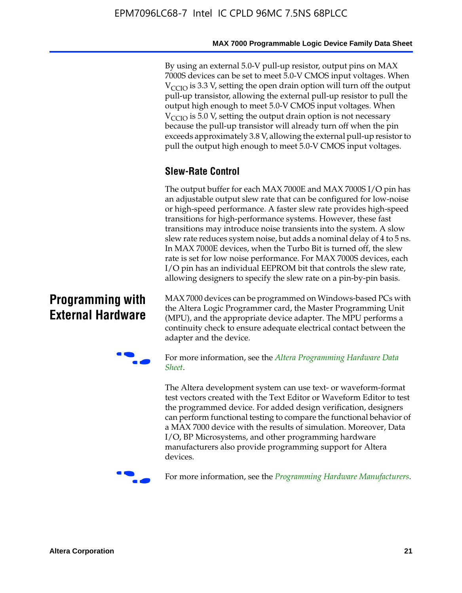By using an external 5.0-V pull-up resistor, output pins on MAX 7000S devices can be set to meet 5.0-V CMOS input voltages. When  $V<sub>CCIO</sub>$  is 3.3 V, setting the open drain option will turn off the output pull-up transistor, allowing the external pull-up resistor to pull the output high enough to meet 5.0-V CMOS input voltages. When  $V_{\text{CCIO}}$  is 5.0 V, setting the output drain option is not necessary because the pull-up transistor will already turn off when the pin exceeds approximately 3.8 V, allowing the external pull-up resistor to pull the output high enough to meet 5.0-V CMOS input voltages.

## **Slew-Rate Control**

The output buffer for each MAX 7000E and MAX 7000S I/O pin has an adjustable output slew rate that can be configured for low-noise or high-speed performance. A faster slew rate provides high-speed transitions for high-performance systems. However, these fast transitions may introduce noise transients into the system. A slow slew rate reduces system noise, but adds a nominal delay of 4 to 5 ns. In MAX 7000E devices, when the Turbo Bit is turned off, the slew rate is set for low noise performance. For MAX 7000S devices, each I/O pin has an individual EEPROM bit that controls the slew rate, allowing designers to specify the slew rate on a pin-by-pin basis.

## **Programming with External Hardware**

[MAX](http://www.altera.com/literature/ds/dspghd.pdf) 7000 devices can be prog[rammed on Windows-based PCs with](http://www.altera.com/literature/ds/dspghd.pdf)  the Altera Logic Programmer card, the Master Programming Unit (MPU), and the appropriate device adapter. The MPU performs a continuity check to ensure adequate electrical contact between the adapter and the device.



For more information, see the *Altera Programming Hardware Data Sheet*.

The Altera development system can use text- or waveform-format test vectors created with the Text Editor or Waveform Editor to test the programmed device. For added design verification, designers can perform functional testing to compare the functional behavior of a MAX 7000 device with the results of simulation. Moreover, Data I/O, BP Microsystems, and other programming hardware manufacturers also provide programming support for Altera devices.



For more information, see the *Programming Hardware Manufacturers*.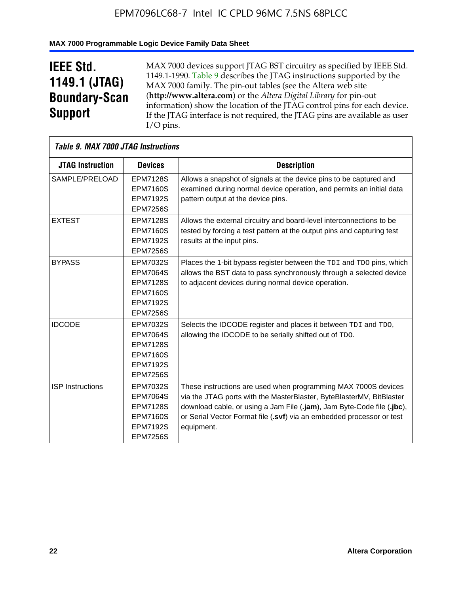### **MAX 7000 Programmable Logic Device Family Data Sheet**

## **IEEE Std. 1149.1 (JTAG) Boundary-Scan Support**

 $\mathsf{r}$ 

MAX 7000 devices support JTAG BST circuitry as specified by IEEE Std. 1149.1-1990. Table 9 describes the JTAG instructions supported by the MAX 7000 family. The pin-out tables (see the Altera web site (**http://www.altera.com**) or the *Altera Digital Library* for pin-out information) show the location of the JTAG control pins for each device. If the JTAG interface is not required, the JTAG pins are available as user I/O pins.

| Table 9. MAX 7000 JTAG Instructions |                                                                                                                |                                                                                                                                                                                                                                                                                                         |
|-------------------------------------|----------------------------------------------------------------------------------------------------------------|---------------------------------------------------------------------------------------------------------------------------------------------------------------------------------------------------------------------------------------------------------------------------------------------------------|
| <b>JTAG Instruction</b>             | <b>Devices</b>                                                                                                 | <b>Description</b>                                                                                                                                                                                                                                                                                      |
| SAMPLE/PRELOAD                      | <b>EPM7128S</b><br><b>EPM7160S</b><br><b>EPM7192S</b>                                                          | Allows a snapshot of signals at the device pins to be captured and<br>examined during normal device operation, and permits an initial data<br>pattern output at the device pins.                                                                                                                        |
|                                     | <b>EPM7256S</b>                                                                                                |                                                                                                                                                                                                                                                                                                         |
| <b>EXTEST</b>                       | <b>EPM7128S</b><br><b>EPM7160S</b><br><b>EPM7192S</b><br><b>EPM7256S</b>                                       | Allows the external circuitry and board-level interconnections to be<br>tested by forcing a test pattern at the output pins and capturing test<br>results at the input pins.                                                                                                                            |
| <b>BYPASS</b>                       | EPM7032S<br><b>EPM7064S</b><br><b>EPM7128S</b><br><b>EPM7160S</b><br><b>EPM7192S</b><br><b>EPM7256S</b>        | Places the 1-bit bypass register between the TDI and TDO pins, which<br>allows the BST data to pass synchronously through a selected device<br>to adjacent devices during normal device operation.                                                                                                      |
| <b>IDCODE</b>                       | EPM7032S<br><b>EPM7064S</b><br><b>EPM7128S</b><br><b>EPM7160S</b><br><b>EPM7192S</b><br><b>EPM7256S</b>        | Selects the IDCODE register and places it between TDI and TDO,<br>allowing the IDCODE to be serially shifted out of TDO.                                                                                                                                                                                |
| <b>ISP Instructions</b>             | <b>EPM7032S</b><br><b>EPM7064S</b><br><b>EPM7128S</b><br><b>EPM7160S</b><br><b>EPM7192S</b><br><b>EPM7256S</b> | These instructions are used when programming MAX 7000S devices<br>via the JTAG ports with the MasterBlaster, ByteBlasterMV, BitBlaster<br>download cable, or using a Jam File (.jam), Jam Byte-Code file (.jbc),<br>or Serial Vector Format file (.svf) via an embedded processor or test<br>equipment. |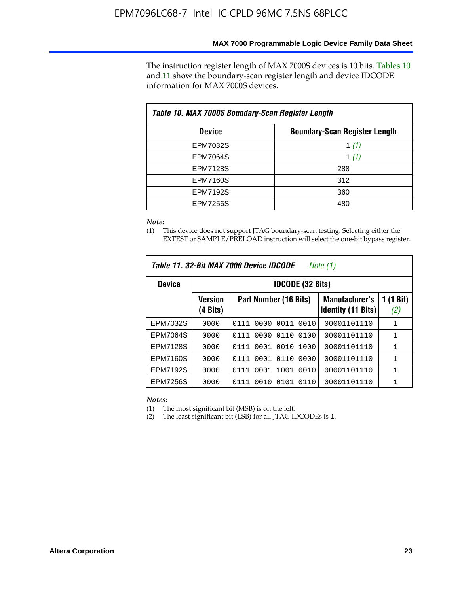The instruction register length of MAX 7000S devices is 10 bits. Tables 10 and 11 show the boundary-scan register length and device IDCODE information for MAX 7000S devices.

| Table 10. MAX 7000S Boundary-Scan Register Length |                                      |  |  |  |  |  |
|---------------------------------------------------|--------------------------------------|--|--|--|--|--|
| <b>Device</b>                                     | <b>Boundary-Scan Register Length</b> |  |  |  |  |  |
| <b>EPM7032S</b>                                   | 1 $(1)$                              |  |  |  |  |  |
| <b>EPM7064S</b>                                   | 1 $(1)$                              |  |  |  |  |  |
| <b>EPM7128S</b>                                   | 288                                  |  |  |  |  |  |
| <b>EPM7160S</b>                                   | 312                                  |  |  |  |  |  |
| <b>EPM7192S</b>                                   | 360                                  |  |  |  |  |  |
| <b>EPM7256S</b>                                   | 480                                  |  |  |  |  |  |

*Note:*

(1) This device does not support JTAG boundary-scan testing. Selecting either the EXTEST or SAMPLE/PRELOAD instruction will select the one-bit bypass register.

| Table 11, 32-Bit MAX 7000 Device IDCODE<br>Note (1) |                            |                              |                                                    |                  |  |  |  |
|-----------------------------------------------------|----------------------------|------------------------------|----------------------------------------------------|------------------|--|--|--|
| <b>Device</b>                                       |                            | <b>IDCODE (32 Bits)</b>      |                                                    |                  |  |  |  |
|                                                     | <b>Version</b><br>(4 Bits) | Part Number (16 Bits)        | <b>Manufacturer's</b><br><b>Identity (11 Bits)</b> | 1 (1 Bit)<br>(2) |  |  |  |
| EPM7032S                                            | 0000                       | 0010<br>0111<br>0000<br>0011 | 00001101110                                        | 1                |  |  |  |
| <b>EPM7064S</b>                                     | 0000                       | 0000<br>0110<br>0100<br>0111 | 00001101110                                        | 1                |  |  |  |
| <b>EPM7128S</b>                                     | 0000                       | 0001 0010<br>1000<br>0111    | 00001101110                                        | 1                |  |  |  |
| <b>EPM7160S</b>                                     | 0000                       | 0001<br>0110<br>0000<br>0111 | 00001101110                                        | $\mathbf{1}$     |  |  |  |
| <b>EPM7192S</b>                                     | 0000                       | 1001<br>0010<br>0111<br>0001 | 00001101110                                        | 1                |  |  |  |
| EPM7256S                                            | 0000                       | 0111<br>0010<br>0101<br>0110 | 00001101110                                        | 1                |  |  |  |

*Notes:*

(1) The most significant bit (MSB) is on the left.

(2) The least significant bit (LSB) for all JTAG IDCODEs is 1.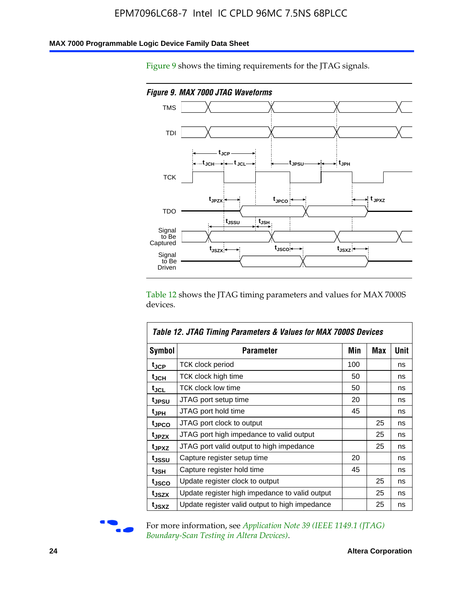### **MAX 7000 Programmable Logic Device Family Data Sheet**

Figure 9 shows the timing requirements for the JTAG signals.



Table 12 shows the JTAG timing parameters and values for MAX 7000S devices.

|                   | Table 12. JTAG Timing Parameters & Values for MAX 7000S Devices |     |     |      |  |  |  |
|-------------------|-----------------------------------------------------------------|-----|-----|------|--|--|--|
| <b>Symbol</b>     | Parameter                                                       | Min | Max | Unit |  |  |  |
| t <sub>JCP</sub>  | TCK clock period                                                | 100 |     | ns   |  |  |  |
| t <sub>JCH</sub>  | TCK clock high time                                             | 50  |     | ns   |  |  |  |
| tjcl              | TCK clock low time                                              | 50  |     | ns   |  |  |  |
| t <sub>JPSU</sub> | JTAG port setup time                                            | 20  |     | ns   |  |  |  |
| t <sub>JPH</sub>  | JTAG port hold time                                             | 45  |     | ns   |  |  |  |
| t <sub>JPCO</sub> | JTAG port clock to output                                       |     | 25  | ns   |  |  |  |
| t <sub>JPZX</sub> | JTAG port high impedance to valid output                        |     | 25  | ns   |  |  |  |
| t <sub>JPXZ</sub> | JTAG port valid output to high impedance                        |     | 25  | ns   |  |  |  |
| tjssu             | Capture register setup time                                     | 20  |     | ns   |  |  |  |
| t <sub>JSH</sub>  | Capture register hold time                                      | 45  |     | ns   |  |  |  |
| t <sub>JSCO</sub> | Update register clock to output                                 |     | 25  | ns   |  |  |  |
| t <sub>JSZX</sub> | Update register high impedance to valid output                  |     | 25  | ns   |  |  |  |
| t <sub>JSXZ</sub> | Update register valid output to high impedance                  |     | 25  | ns   |  |  |  |



For more information, see *Application Note 39* (IEEE 1149.1 (JTAG) *Boundary-Scan Testing in Altera Devices)*.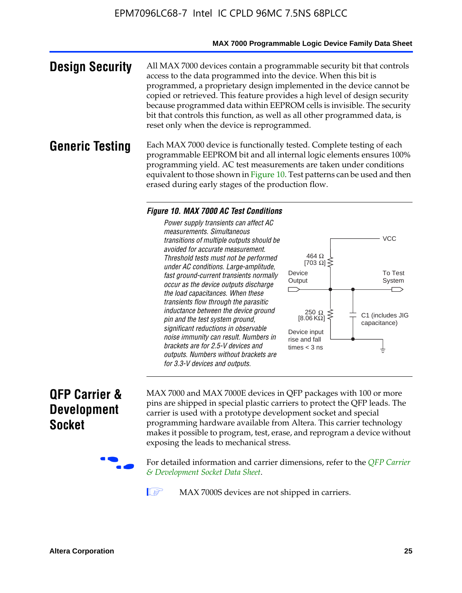### **MAX 7000 Programmable Logic Device Family Data Sheet**

**Design Security** All MAX 7000 devices contain a programmable security bit that controls access to the data programmed into the device. When this bit is programmed, a proprietary design implemented in the device cannot be copied or retrieved. This feature provides a high level of design security because programmed data within EEPROM cells is invisible. The security bit that controls this function, as well as all other programmed data, is reset only when the device is reprogrammed.

### **Generic Testing** Each MAX 7000 device is functionally tested. Complete testing of each programmable EEPROM bit and all internal logic elements ensures 100% programming yield. AC test measurements are taken under conditions equivalent to those shown in Figure 10. Test patterns can be used and then erased during early stages of the production flow.

#### *Figure 10. MAX 7000 AC Test Conditions*

*Power supply transients can affect AC measurements. Simultaneous transitions of multiple outputs should be avoided for accurate measurement. Threshold tests must not be performed under AC conditions. Large-amplitude, fast ground-current transients normally occur as the device outputs discharge the load capacitances. When these transients flow through the parasitic inductance between the device ground pin and the test system ground, significant reductions in observable noise immunity can result. Numbers in brackets are for 2.5-V devices and outputs. Numbers without brackets are for 3.3-V devices and outputs.*



## **QFP Carrier & Development Socket**

MAX 7000 and MAX 7000E devices in QFP packages with 10[0 or more](http://www.altera.com/literature/ds/dsqfp.pdf)  [pins are shipped in special plas](http://www.altera.com/literature/ds/dsqfp.pdf)tic carriers to protect the QFP leads. The carrier is used with a prototype development socket and special programming hardware available from Altera. This carrier technology makes it possible to program, test, erase, and reprogram a device without exposing the leads to mechanical stress.

For detailed information and carrier dimensions, refer to the *QFP Carrier & Development Socket Data Sheet*.

MAX 7000S devices are not shipped in carriers.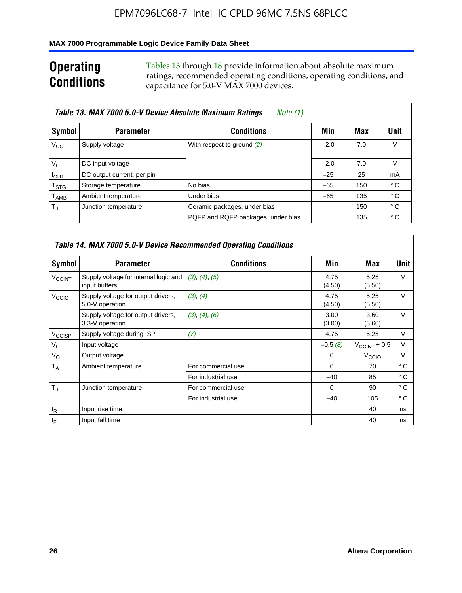### **MAX 7000 Programmable Logic Device Family Data Sheet**

## **Operating Conditions**

Tables 13 through 18 provide information about absolute maximum ratings, recommended operating conditions, operating conditions, and capacitance for 5.0-V MAX 7000 devices.

|                             | Table 13. MAX 7000 5.0-V Device Absolute Maximum Ratings<br>Note (1) |                                    |        |     |      |  |  |  |  |
|-----------------------------|----------------------------------------------------------------------|------------------------------------|--------|-----|------|--|--|--|--|
| Symbol                      | <b>Parameter</b>                                                     | <b>Conditions</b>                  | Min    | Max | Unit |  |  |  |  |
| $V_{\rm CC}$                | Supply voltage                                                       | With respect to ground (2)         | $-2.0$ | 7.0 | V    |  |  |  |  |
| $V_{1}$                     | DC input voltage                                                     |                                    | $-2.0$ | 7.0 | V    |  |  |  |  |
| $I_{\text{OUT}}$            | DC output current, per pin                                           |                                    | $-25$  | 25  | mA   |  |  |  |  |
| $\mathsf{T}_{\text{STG}}$   | Storage temperature                                                  | No bias                            | $-65$  | 150 | ° C  |  |  |  |  |
| $\mathsf{T}_{\mathsf{AMB}}$ | Ambient temperature                                                  | Under bias                         | $-65$  | 135 | ° C  |  |  |  |  |
| $T_{\rm J}$                 | Junction temperature                                                 | Ceramic packages, under bias       |        | 150 | ° C  |  |  |  |  |
|                             |                                                                      | PQFP and RQFP packages, under bias |        | 135 | ° C  |  |  |  |  |

|                          | <b>Table 14. MAX 7000 5.0-V Device Recommended Operating Conditions</b> |                    |                |                          |              |  |  |  |
|--------------------------|-------------------------------------------------------------------------|--------------------|----------------|--------------------------|--------------|--|--|--|
| Symbol                   | <b>Parameter</b>                                                        | <b>Conditions</b>  | Min            | Max                      | Unit         |  |  |  |
| <b>V<sub>CCINT</sub></b> | Supply voltage for internal logic and<br>input buffers                  | (3), (4), (5)      | 4.75<br>(4.50) | 5.25<br>(5.50)           | $\vee$       |  |  |  |
| V <sub>CCIO</sub>        | Supply voltage for output drivers,<br>5.0-V operation                   | (3), (4)           | 4.75<br>(4.50) | 5.25<br>(5.50)           | V            |  |  |  |
|                          | Supply voltage for output drivers,<br>3.3-V operation                   | (3), (4), (6)      | 3.00<br>(3.00) | 3.60<br>(3.60)           | $\vee$       |  |  |  |
| V <sub>CCISP</sub>       | Supply voltage during ISP                                               | (7)                | 4.75           | 5.25                     | $\vee$       |  |  |  |
| $V_{1}$                  | Input voltage                                                           |                    | $-0.5(8)$      | $V_{\text{CCINT}} + 0.5$ | V            |  |  |  |
| $V_{\rm O}$              | Output voltage                                                          |                    | 0              | V <sub>CCIO</sub>        | V            |  |  |  |
| Т <sub>А</sub>           | Ambient temperature                                                     | For commercial use | $\Omega$       | 70                       | $^{\circ}$ C |  |  |  |
|                          |                                                                         | For industrial use | $-40$          | 85                       | $^{\circ}$ C |  |  |  |
| $T_{\rm d}$              | Junction temperature                                                    | For commercial use | $\Omega$       | 90                       | $^{\circ}$ C |  |  |  |
|                          |                                                                         | For industrial use | $-40$          | 105                      | $^{\circ}$ C |  |  |  |
| $t_{\mathsf{R}}$         | Input rise time                                                         |                    |                | 40                       | ns           |  |  |  |
| $t_F$                    | Input fall time                                                         |                    |                | 40                       | ns           |  |  |  |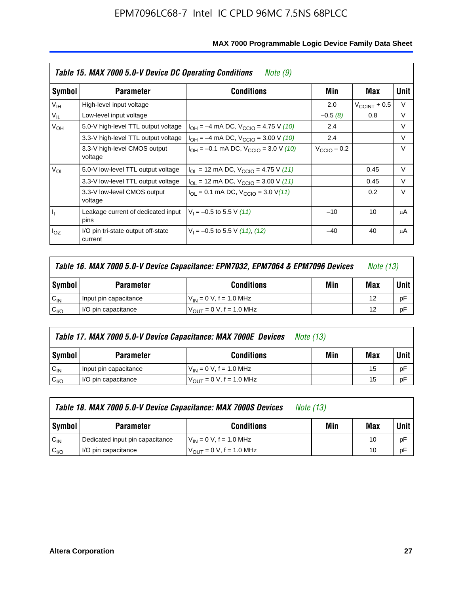|                 | Table 15. MAX 7000 5.0-V Device DC Operating Conditions<br>Note (9) |                                                                           |                 |                       |        |  |  |  |  |
|-----------------|---------------------------------------------------------------------|---------------------------------------------------------------------------|-----------------|-----------------------|--------|--|--|--|--|
| Symbol          | <b>Parameter</b>                                                    | <b>Conditions</b>                                                         | Min             | Max                   | Unit   |  |  |  |  |
| V <sub>IH</sub> | High-level input voltage                                            |                                                                           | 2.0             | $V_{\rm CCINT}$ + 0.5 | V      |  |  |  |  |
| $V_{IL}$        | Low-level input voltage                                             |                                                                           | $-0.5(8)$       | 0.8                   | V      |  |  |  |  |
| $V_{OH}$        | 5.0-V high-level TTL output voltage                                 | $I_{OH} = -4$ mA DC, $V_{CClO} = 4.75$ V (10)                             | 2.4             |                       | V      |  |  |  |  |
|                 | 3.3-V high-level TTL output voltage                                 | $I_{OH} = -4$ mA DC, $V_{CClO} = 3.00$ V (10)                             | 2.4             |                       | V      |  |  |  |  |
|                 | 3.3-V high-level CMOS output<br>voltage                             | $I_{OH} = -0.1$ mA DC, $V_{CClO} = 3.0$ V (10)                            | $V_{CCD}$ – 0.2 |                       | $\vee$ |  |  |  |  |
| $V_{OL}$        | 5.0-V low-level TTL output voltage                                  | $I_{\text{OI}}$ = 12 mA DC, $V_{\text{CCIO}}$ = 4.75 V (11)               |                 | 0.45                  | V      |  |  |  |  |
|                 | 3.3-V low-level TTL output voltage                                  | $I_{OL}$ = 12 mA DC, $V_{CCIO}$ = 3.00 V (11)                             |                 | 0.45                  | $\vee$ |  |  |  |  |
|                 | 3.3-V low-level CMOS output<br>voltage                              | $I_{\text{OI}} = 0.1 \text{ mA DC}, V_{\text{CCIO}} = 3.0 \text{ V} (11)$ |                 | 0.2                   | $\vee$ |  |  |  |  |
| 4               | Leakage current of dedicated input<br>pins                          | $V_1 = -0.5$ to 5.5 V (11)                                                | $-10$           | 10                    | μA     |  |  |  |  |
| $I_{OZ}$        | I/O pin tri-state output off-state<br>current                       | $V_1 = -0.5$ to 5.5 V (11), (12)                                          | $-40$           | 40                    | μA     |  |  |  |  |

| Table 16. MAX 7000 5.0-V Device Capacitance: EPM7032, EPM7064 & EPM7096 Devices |                                                            |                              |  |    | <i>Note (13)</i> |  |
|---------------------------------------------------------------------------------|------------------------------------------------------------|------------------------------|--|----|------------------|--|
| Symbol                                                                          | Min<br><b>Conditions</b><br><b>Parameter</b>               |                              |  |    |                  |  |
| $C_{IN}$                                                                        | Input pin capacitance                                      | $V_{IN} = 0 V$ , f = 1.0 MHz |  | 12 | рF               |  |
| C <sub>I/O</sub>                                                                | $V_{\text{OUT}} = 0$ V, f = 1.0 MHz<br>I/O pin capacitance |                              |  |    |                  |  |

|                  | Table 17. MAX 7000 5.0-V Device Capacitance: MAX 7000E Devices<br><i>Note (13)</i> |                                |     |     |        |  |  |
|------------------|------------------------------------------------------------------------------------|--------------------------------|-----|-----|--------|--|--|
| Symbol           | <b>Parameter</b>                                                                   | <b>Conditions</b>              | Min | Max | Unit I |  |  |
| $C_{IN}$         | Input pin capacitance                                                              | $V_{1N} = 0 V$ , f = 1.0 MHz   |     | 15  | pF     |  |  |
| C <sub>I/O</sub> | I/O pin capacitance                                                                | $V_{OIII} = 0 V$ , f = 1.0 MHz |     | 15  | pF     |  |  |

|                  | Table 18. MAX 7000 5.0-V Device Capacitance: MAX 7000S Devices | <i>Note (13)</i>                    |     |     |        |
|------------------|----------------------------------------------------------------|-------------------------------------|-----|-----|--------|
| Symbol           | <b>Parameter</b>                                               | <b>Conditions</b>                   | Min | Max | Unit I |
| $C_{IN}$         | Dedicated input pin capacitance                                | $V_{IN} = 0 V$ , f = 1.0 MHz        |     | 10  | pF     |
| C <sub>I/O</sub> | I/O pin capacitance                                            | $V_{\text{OUT}} = 0 V, f = 1.0 MHz$ |     | 10  | pF     |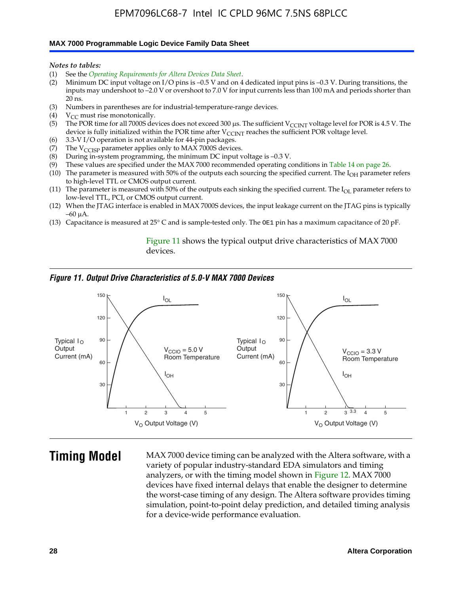#### **MAX 7000 Programmable Logic Device Family Data Sheet**

*Notes to tables:*

- (1) See the *Operating Requirements for Altera Devices Data Sheet*.
- (2) Minimum DC input voltage on I/O pins is –0.5 V and on 4 dedicated input pins is –0.3 V. During transitions, the inputs may undershoot to –2.0 V or overshoot to 7.0 V for input currents less than 100 mA and periods shorter than  $20$  ns.
- (3) Numbers in parentheses are for industrial-temperature-range devices.<br>(4)  ${\rm V}_{CC}$  must rise monotonically.
- $V_{CC}$  must rise monotonically.
- (5) The POR time for all 7000S devices does not exceed 300 µs. The sufficient V<sub>CCINT</sub> voltage level for POR is 4.5 V. The device is fully initialized within the POR time after  $V_{\text{CCINT}}$  reaches the sufficient POR voltage level.
- (6) 3.3-V I/O operation is not available for 44-pin packages.
- (7) The  $V_{\text{CCISP}}$  parameter applies only to MAX 7000S devices.
- (8) During in-system programming, the minimum DC input voltage is –0.3 V.
- (9) These values are specified under the MAX 7000 recommended operating conditions in Table 14 on page 26.
- (10) The parameter is measured with 50% of the outputs each sourcing the specified current. The  $I_{OH}$  parameter refers to high-level TTL or CMOS output current.
- (11) The parameter is measured with 50% of the outputs each sinking the specified current. The  $I_{OL}$  parameter refers to low-level TTL, PCI, or CMOS output current.
- (12) When the JTAG interface is enabled in MAX 7000S devices, the input leakage current on the JTAG pins is typically –60 μA.
- (13) Capacitance is measured at 25° C and is sample-tested only. The OE1 pin has a maximum capacitance of 20 pF.

Figure 11 shows the typical output drive characteristics of MAX 7000 devices.

#### *Figure 11. Output Drive Characteristics of 5.0-V MAX 7000 Devices*



**Timing Model** MAX 7000 device timing can be analyzed with the Altera software, with a variety of popular industry-standard EDA simulators and timing analyzers, or with the timing model shown in Figure 12. MAX 7000 devices have fixed internal delays that enable the designer to determine the worst-case timing of any design. The Altera software provides timing simulation, point-to-point delay prediction, and detailed timing analysis for a device-wide performance evaluation.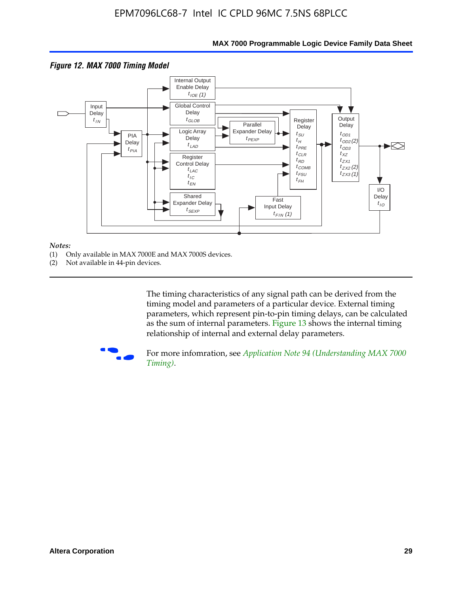

### **MAX 7000 Programmable Logic Device Family Data Sheet**

#### *Notes:*

- (1) Only available in MAX 7000E and MAX 7000S devices.
- (2) Not available in 44-pin devices.

[The tim](http://www.altera.com/literature/an/an094.pdf)ing characteristics [of any signal path can be derived from the](http://www.altera.com/literature/an/an094.pdf)  timing model and parameters of a particular device. External timing parameters, which represent pin-to-pin timing delays, can be calculated as the sum of internal parameters. Figure 13 shows the internal timing relationship of internal and external delay parameters.



For more infomration, see *Application Note 94 (Understanding MAX 7000 Timing)*.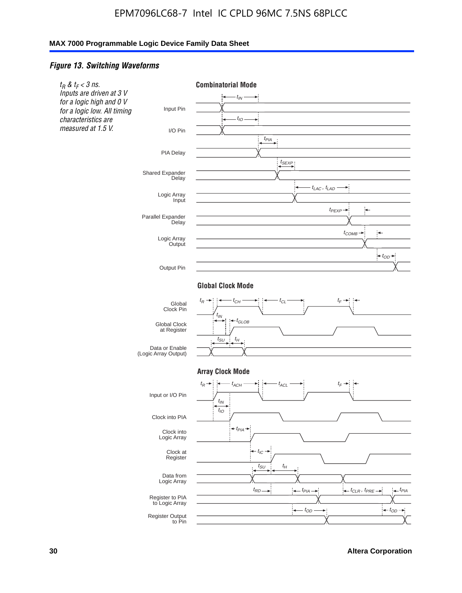### *Figure 13. Switching Waveforms*

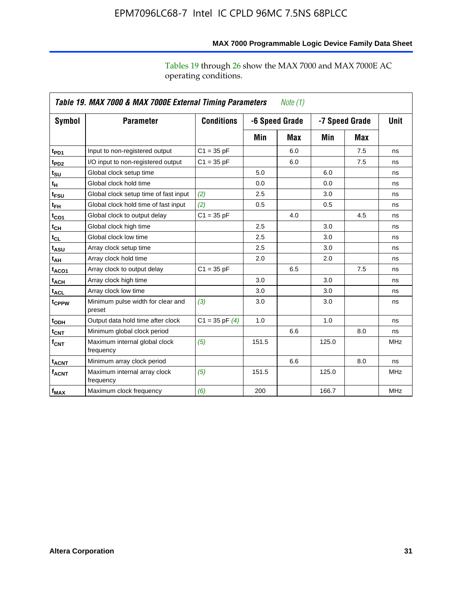operating conditions.

|                         | Table 19. MAX 7000 & MAX 7000E External Timing Parameters<br>Note (1) |                    |       |                |       |                |             |  |  |
|-------------------------|-----------------------------------------------------------------------|--------------------|-------|----------------|-------|----------------|-------------|--|--|
| Symbol                  | <b>Parameter</b>                                                      | <b>Conditions</b>  |       | -6 Speed Grade |       | -7 Speed Grade | <b>Unit</b> |  |  |
|                         |                                                                       |                    | Min   | Max            | Min   | Max            |             |  |  |
| t <sub>PD1</sub>        | Input to non-registered output                                        | $C1 = 35 pF$       |       | 6.0            |       | 7.5            | ns          |  |  |
| t <sub>PD2</sub>        | I/O input to non-registered output                                    | $C1 = 35 pF$       |       | 6.0            |       | 7.5            | ns          |  |  |
| t <sub>su</sub>         | Global clock setup time                                               |                    | 5.0   |                | 6.0   |                | ns          |  |  |
| tμ                      | Global clock hold time                                                |                    | 0.0   |                | 0.0   |                | ns          |  |  |
| t <sub>FSU</sub>        | Global clock setup time of fast input                                 | (2)                | 2.5   |                | 3.0   |                | ns          |  |  |
| $t_{FH}$                | Global clock hold time of fast input                                  | (2)                | 0.5   |                | 0.5   |                | ns          |  |  |
| t <sub>CO1</sub>        | Global clock to output delay                                          | $C1 = 35 pF$       |       | 4.0            |       | 4.5            | ns          |  |  |
| $t_{\mathsf{CH}}$       | Global clock high time                                                |                    | 2.5   |                | 3.0   |                | ns          |  |  |
| $t_{CL}$                | Global clock low time                                                 |                    | 2.5   |                | 3.0   |                | ns          |  |  |
| t <sub>ASU</sub>        | Array clock setup time                                                |                    | 2.5   |                | 3.0   |                | ns          |  |  |
| t <sub>АН</sub>         | Array clock hold time                                                 |                    | 2.0   |                | 2.0   |                | ns          |  |  |
| t <sub>ACO1</sub>       | Array clock to output delay                                           | $C1 = 35 pF$       |       | 6.5            |       | 7.5            | ns          |  |  |
| $t_{\sf ACH}$           | Array clock high time                                                 |                    | 3.0   |                | 3.0   |                | ns          |  |  |
| $t_{\sf ACL}$           | Array clock low time                                                  |                    | 3.0   |                | 3.0   |                | ns          |  |  |
| t <sub>CPPW</sub>       | Minimum pulse width for clear and<br>preset                           | (3)                | 3.0   |                | 3.0   |                | ns          |  |  |
| t <sub>ODH</sub>        | Output data hold time after clock                                     | $C1 = 35$ pF $(4)$ | 1.0   |                | 1.0   |                | ns          |  |  |
| $t_{\mathsf{CNT}}$      | Minimum global clock period                                           |                    |       | 6.6            |       | 8.0            | ns          |  |  |
| $f_{\mathsf{CNT}}$      | Maximum internal global clock<br>frequency                            | (5)                | 151.5 |                | 125.0 |                | <b>MHz</b>  |  |  |
| <b>t<sub>ACNT</sub></b> | Minimum array clock period                                            |                    |       | 6.6            |       | 8.0            | ns          |  |  |
| <b>f<sub>ACNT</sub></b> | Maximum internal array clock<br>frequency                             | (5)                | 151.5 |                | 125.0 |                | <b>MHz</b>  |  |  |
| $f_{MAX}$               | Maximum clock frequency                                               | (6)                | 200   |                | 166.7 |                | <b>MHz</b>  |  |  |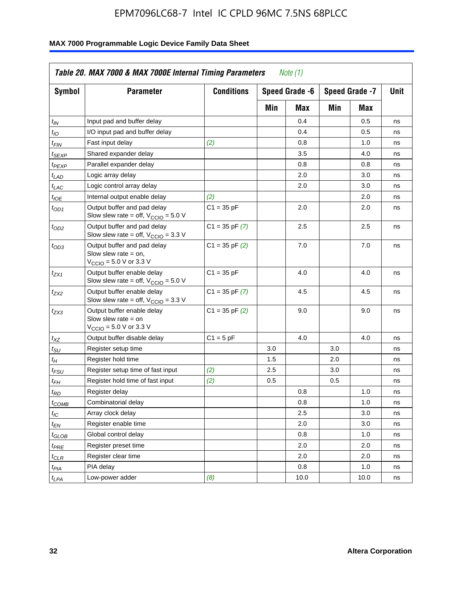| <b>Symbol</b>               | <b>Parameter</b>                                                                                             | <b>Conditions</b>  |     | Speed Grade -6 |     | Speed Grade -7 | Unit |
|-----------------------------|--------------------------------------------------------------------------------------------------------------|--------------------|-----|----------------|-----|----------------|------|
|                             |                                                                                                              |                    | Min | Max            | Min | Max            |      |
| $t_{IN}$                    | Input pad and buffer delay                                                                                   |                    |     | 0.4            |     | 0.5            | ns   |
| $t_{IO}$                    | I/O input pad and buffer delay                                                                               |                    |     | 0.4            |     | 0.5            | ns   |
| t <sub>FIN</sub>            | Fast input delay                                                                                             | (2)                |     | 0.8            |     | 1.0            | ns   |
| t <sub>SEXP</sub>           | Shared expander delay                                                                                        |                    |     | 3.5            |     | 4.0            | ns   |
| t <sub>PEXP</sub>           | Parallel expander delay                                                                                      |                    |     | 0.8            |     | 0.8            | ns   |
| t <sub>LAD</sub>            | Logic array delay                                                                                            |                    |     | 2.0            |     | 3.0            | ns   |
| $t_{LAC}$                   | Logic control array delay                                                                                    |                    |     | 2.0            |     | 3.0            | ns   |
| t <sub>IOE</sub>            | Internal output enable delay                                                                                 | (2)                |     |                |     | 2.0            | ns   |
| $t_{OD1}$                   | Output buffer and pad delay<br>Slow slew rate = off, $V_{\text{CCIO}} = 5.0 V$                               | $C1 = 35 pF$       |     | 2.0            |     | 2.0            | ns   |
| $t_{OD2}$                   | Output buffer and pad delay<br>Slow slew rate = off, $V_{\text{CCIO}} = 3.3$ V                               | $C1 = 35$ pF $(7)$ |     | 2.5            |     | 2.5            | ns   |
| $t_{OD3}$                   | Output buffer and pad delay<br>Slow slew rate $=$ on,<br>$V_{\text{CCIO}} = 5.0 \text{ V or } 3.3 \text{ V}$ | $C1 = 35$ pF $(2)$ |     | 7.0            |     | 7.0            | ns   |
| $t_{ZX1}$                   | Output buffer enable delay<br>Slow slew rate = off, $V_{\text{CCIO}} = 5.0 V$                                | $C1 = 35 pF$       |     | 4.0            |     | 4.0            | ns   |
| t <sub>ZX2</sub>            | Output buffer enable delay<br>Slow slew rate = off, $V_{CCD}$ = 3.3 V                                        | $C1 = 35$ pF $(7)$ |     | 4.5            |     | 4.5            | ns   |
| $t_{ZX3}$                   | Output buffer enable delay<br>Slow slew rate $=$ on<br>$V_{\text{CCIO}} = 5.0 \text{ V or } 3.3 \text{ V}$   | $C1 = 35$ pF $(2)$ |     | 9.0            |     | 9.0            | ns   |
| $t_{\mathsf{XZ}}$           | Output buffer disable delay                                                                                  | $C1 = 5pF$         |     | 4.0            |     | 4.0            | ns   |
| $t_{\scriptstyle\text{SU}}$ | Register setup time                                                                                          |                    | 3.0 |                | 3.0 |                | ns   |
| t <sub>Η</sub>              | Register hold time                                                                                           |                    | 1.5 |                | 2.0 |                | ns   |
| t <sub>FSU</sub>            | Register setup time of fast input                                                                            | (2)                | 2.5 |                | 3.0 |                | ns   |
| $t_{FH}$                    | Register hold time of fast input                                                                             | (2)                | 0.5 |                | 0.5 |                | ns   |
| t <sub>RD</sub>             | Register delay                                                                                               |                    |     | 0.8            |     | 1.0            | ns   |
| $t_{COMB}$                  | Combinatorial delay                                                                                          |                    |     | 0.8            |     | 1.0            | ns   |
| $t_{IC}$                    | Array clock delay                                                                                            |                    |     | 2.5            |     | 3.0            | ns   |
| $t_{EN}$                    | Register enable time                                                                                         |                    |     | 2.0            |     | 3.0            | ns   |
| t <sub>GLOB</sub>           | Global control delay                                                                                         |                    |     | 0.8            |     | 1.0            | ns   |
| $t_{PRE}$                   | Register preset time                                                                                         |                    |     | 2.0            |     | 2.0            | ns   |
| $t_{\sf CLR}$               | Register clear time                                                                                          |                    |     | 2.0            |     | 2.0            | ns   |
| t <sub>PIA</sub>            | PIA delay                                                                                                    |                    |     | 0.8            |     | 1.0            | ns   |
| $t_{LPA}$                   | Low-power adder                                                                                              | (8)                |     | 10.0           |     | 10.0           | ns   |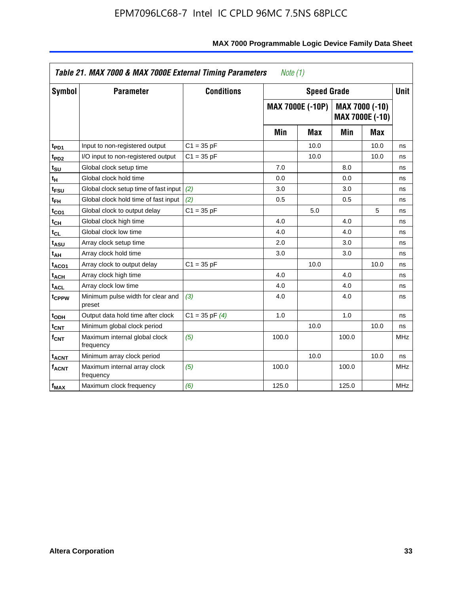| <b>Symbol</b>           | <b>Parameter</b>                            | <b>Conditions</b>  |       | <b>Speed Grade</b>      |       |                                          | <b>Unit</b> |
|-------------------------|---------------------------------------------|--------------------|-------|-------------------------|-------|------------------------------------------|-------------|
|                         |                                             |                    |       | <b>MAX 7000E (-10P)</b> |       | MAX 7000 (-10)<br><b>MAX 7000E (-10)</b> |             |
|                         |                                             |                    | Min   | <b>Max</b>              | Min   | Max                                      |             |
| t <sub>PD1</sub>        | Input to non-registered output              | $C1 = 35 pF$       |       | 10.0                    |       | 10.0                                     | ns          |
| t <sub>PD2</sub>        | I/O input to non-registered output          | $C1 = 35 pF$       |       | 10.0                    |       | 10.0                                     | ns          |
| t <sub>su</sub>         | Global clock setup time                     |                    | 7.0   |                         | 8.0   |                                          | ns          |
| tн                      | Global clock hold time                      |                    | 0.0   |                         | 0.0   |                                          | ns          |
| t <sub>FSU</sub>        | Global clock setup time of fast input       | (2)                | 3.0   |                         | 3.0   |                                          | ns          |
| $t_{FH}$                | Global clock hold time of fast input        | (2)                | 0.5   |                         | 0.5   |                                          | ns          |
| t <sub>CO1</sub>        | Global clock to output delay                | $C1 = 35 pF$       |       | 5.0                     |       | 5                                        | ns          |
| $t_{\mathsf{CH}}$       | Global clock high time                      |                    | 4.0   |                         | 4.0   |                                          | ns          |
| $t_{CL}$                | Global clock low time                       |                    | 4.0   |                         | 4.0   |                                          | ns          |
| t <sub>ASU</sub>        | Array clock setup time                      |                    | 2.0   |                         | 3.0   |                                          | ns          |
| t <sub>АН</sub>         | Array clock hold time                       |                    | 3.0   |                         | 3.0   |                                          | ns          |
| t <sub>ACO1</sub>       | Array clock to output delay                 | $C1 = 35 pF$       |       | 10.0                    |       | 10.0                                     | ns          |
| t <sub>ACH</sub>        | Array clock high time                       |                    | 4.0   |                         | 4.0   |                                          | ns          |
| $t_{\sf ACL}$           | Array clock low time                        |                    | 4.0   |                         | 4.0   |                                          | ns          |
| t <sub>CPPW</sub>       | Minimum pulse width for clear and<br>preset | (3)                | 4.0   |                         | 4.0   |                                          | ns          |
| t <sub>ODH</sub>        | Output data hold time after clock           | $C1 = 35$ pF $(4)$ | 1.0   |                         | 1.0   |                                          | ns          |
| $t_{\mathsf{CNT}}$      | Minimum global clock period                 |                    |       | 10.0                    |       | 10.0                                     | ns          |
| $f_{\mathsf{CNT}}$      | Maximum internal global clock<br>frequency  | (5)                | 100.0 |                         | 100.0 |                                          | <b>MHz</b>  |
| <b>t<sub>ACNT</sub></b> | Minimum array clock period                  |                    |       | 10.0                    |       | 10.0                                     | ns          |
| $f_{ACNT}$              | Maximum internal array clock<br>frequency   | (5)                | 100.0 |                         | 100.0 |                                          | <b>MHz</b>  |
| $f_{MAX}$               | Maximum clock frequency                     | (6)                | 125.0 |                         | 125.0 |                                          | <b>MHz</b>  |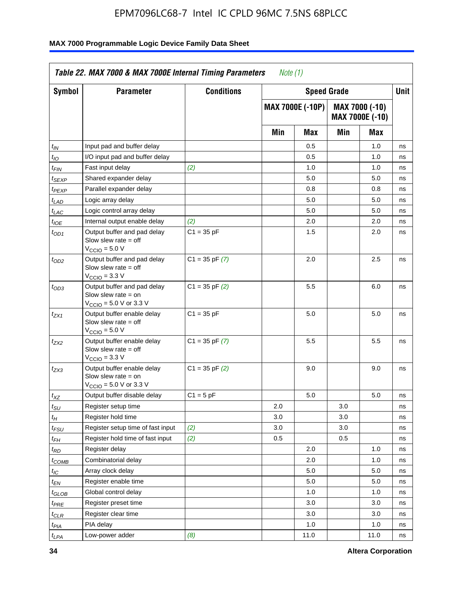| Symbol                      | <b>Parameter</b>                                                                                            | <b>Conditions</b>  |     |                  | <b>Speed Grade</b> |                                   | Unit |
|-----------------------------|-------------------------------------------------------------------------------------------------------------|--------------------|-----|------------------|--------------------|-----------------------------------|------|
|                             |                                                                                                             |                    |     | MAX 7000E (-10P) |                    | MAX 7000 (-10)<br>MAX 7000E (-10) |      |
|                             |                                                                                                             |                    | Min | Max              | Min                | Max                               |      |
| $t_{IN}$                    | Input pad and buffer delay                                                                                  |                    |     | 0.5              |                    | 1.0                               | ns   |
| $t_{IO}$                    | I/O input pad and buffer delay                                                                              |                    |     | 0.5              |                    | 1.0                               | ns   |
| t <sub>FIN</sub>            | Fast input delay                                                                                            | (2)                |     | 1.0              |                    | 1.0                               | ns   |
| $t_{SEXP}$                  | Shared expander delay                                                                                       |                    |     | 5.0              |                    | 5.0                               | ns   |
| $t_{PEXP}$                  | Parallel expander delay                                                                                     |                    |     | 0.8              |                    | 0.8                               | ns   |
| $t_{LAD}$                   | Logic array delay                                                                                           |                    |     | 5.0              |                    | 5.0                               | ns   |
| $t_{LAC}$                   | Logic control array delay                                                                                   |                    |     | 5.0              |                    | 5.0                               | ns   |
| $t_{IOE}$                   | Internal output enable delay                                                                                | (2)                |     | 2.0              |                    | 2.0                               | ns   |
| $t_{OD1}$                   | Output buffer and pad delay<br>Slow slew rate $=$ off<br>V <sub>CCIO</sub> = 5.0 V                          | $C1 = 35 pF$       |     | 1.5              |                    | 2.0                               | ns   |
| $t_{OD2}$                   | Output buffer and pad delay<br>Slow slew rate $=$ off<br>$V_{\text{CCIO}} = 3.3 \text{ V}$                  | $C1 = 35$ pF $(7)$ |     | 2.0              |                    | 2.5                               | ns   |
| $t_{OD3}$                   | Output buffer and pad delay<br>Slow slew rate $=$ on<br>$V_{\text{CCIO}} = 5.0 \text{ V or } 3.3 \text{ V}$ | $C1 = 35$ pF $(2)$ |     | 5.5              |                    | 6.0                               | ns   |
| t <sub>ZX1</sub>            | Output buffer enable delay<br>Slow slew rate $=$ off<br>$VCCIO = 5.0 V$                                     | $C1 = 35 pF$       |     | 5.0              |                    | 5.0                               | ns   |
| t <sub>ZX2</sub>            | Output buffer enable delay<br>Slow slew rate $=$ off<br>$VCCIO = 3.3 V$                                     | $C1 = 35$ pF $(7)$ |     | 5.5              |                    | 5.5                               | ns   |
| t <sub>ZX3</sub>            | Output buffer enable delay<br>Slow slew rate $=$ on<br>$V_{\text{CCIO}} = 5.0 \text{ V or } 3.3 \text{ V}$  | $C1 = 35$ pF $(2)$ |     | 9.0              |                    | 9.0                               | ns   |
| $t_{XZ}$                    | Output buffer disable delay                                                                                 | $C1 = 5 pF$        |     | 5.0              |                    | 5.0                               | ns   |
| $t_{\scriptstyle\text{SU}}$ | Register setup time                                                                                         |                    | 2.0 |                  | 3.0                |                                   | ns   |
| $t_H$                       | Register hold time                                                                                          |                    | 3.0 |                  | 3.0                |                                   | ns   |
| $t_{\it FSU}$               | Register setup time of fast input                                                                           | (2)                | 3.0 |                  | 3.0                |                                   | ns   |
| $t_{FH}$                    | Register hold time of fast input                                                                            | (2)                | 0.5 |                  | 0.5                |                                   | ns   |
| t <sub>RD</sub>             | Register delay                                                                                              |                    |     | 2.0              |                    | 1.0                               | ns   |
| $t_{COMB}$                  | Combinatorial delay                                                                                         |                    |     | 2.0              |                    | 1.0                               | ns   |
| ЧC                          | Array clock delay                                                                                           |                    |     | $5.0\,$          |                    | $5.0\,$                           | ns   |
| $t_{EN}$                    | Register enable time                                                                                        |                    |     | 5.0              |                    | 5.0                               | ns   |
| $t_{GLOB}$                  | Global control delay                                                                                        |                    |     | 1.0              |                    | 1.0                               | ns   |
| $t_{PRE}$                   | Register preset time                                                                                        |                    |     | 3.0              |                    | 3.0                               | ns   |
| $t_{CLR}$                   | Register clear time                                                                                         |                    |     | 3.0              |                    | 3.0                               | ns   |
| t <sub>PIA</sub>            | PIA delay                                                                                                   |                    |     | 1.0              |                    | 1.0                               | ns   |
| $t_{LPA}$                   | Low-power adder                                                                                             | (8)                |     | 11.0             |                    | 11.0                              | ns   |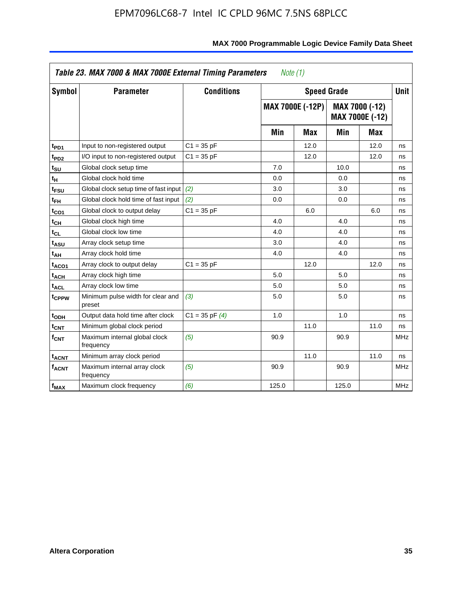|                         | Table 23. MAX 7000 & MAX 7000E External Timing Parameters |                    | Note (1) |                         |                    |                                   |             |
|-------------------------|-----------------------------------------------------------|--------------------|----------|-------------------------|--------------------|-----------------------------------|-------------|
| <b>Symbol</b>           | <b>Parameter</b>                                          | <b>Conditions</b>  |          |                         | <b>Speed Grade</b> |                                   | <b>Unit</b> |
|                         |                                                           |                    |          | <b>MAX 7000E (-12P)</b> |                    | MAX 7000 (-12)<br>MAX 7000E (-12) |             |
|                         |                                                           |                    | Min      | <b>Max</b>              | Min                | <b>Max</b>                        |             |
| t <sub>PD1</sub>        | Input to non-registered output                            | $C1 = 35 pF$       |          | 12.0                    |                    | 12.0                              | ns          |
| t <sub>PD2</sub>        | I/O input to non-registered output                        | $C1 = 35 pF$       |          | 12.0                    |                    | 12.0                              | ns          |
| t <sub>su</sub>         | Global clock setup time                                   |                    | 7.0      |                         | 10.0               |                                   | ns          |
| tн                      | Global clock hold time                                    |                    | 0.0      |                         | 0.0                |                                   | ns          |
| t <sub>FSU</sub>        | Global clock setup time of fast input                     | (2)                | 3.0      |                         | 3.0                |                                   | ns          |
| $t_{FH}$                | Global clock hold time of fast input                      | (2)                | 0.0      |                         | 0.0                |                                   | ns          |
| t <sub>CO1</sub>        | Global clock to output delay                              | $C1 = 35 pF$       |          | 6.0                     |                    | 6.0                               | ns          |
| $t_{\mathsf{CH}}$       | Global clock high time                                    |                    | 4.0      |                         | 4.0                |                                   | ns          |
| $t_{CL}$                | Global clock low time                                     |                    | 4.0      |                         | 4.0                |                                   | ns          |
| t <sub>ASU</sub>        | Array clock setup time                                    |                    | 3.0      |                         | 4.0                |                                   | ns          |
| t <sub>АН</sub>         | Array clock hold time                                     |                    | 4.0      |                         | 4.0                |                                   | ns          |
| t <sub>ACO1</sub>       | Array clock to output delay                               | $C1 = 35 pF$       |          | 12.0                    |                    | 12.0                              | ns          |
| t <sub>ACH</sub>        | Array clock high time                                     |                    | 5.0      |                         | 5.0                |                                   | ns          |
| $t_{\sf ACL}$           | Array clock low time                                      |                    | 5.0      |                         | 5.0                |                                   | ns          |
| t <sub>CPPW</sub>       | Minimum pulse width for clear and<br>preset               | (3)                | 5.0      |                         | 5.0                |                                   | ns          |
| t <sub>ODH</sub>        | Output data hold time after clock                         | $C1 = 35$ pF $(4)$ | 1.0      |                         | 1.0                |                                   | ns          |
| $t_{\mathsf{CNT}}$      | Minimum global clock period                               |                    |          | 11.0                    |                    | 11.0                              | ns          |
| $f_{\mathsf{CNT}}$      | Maximum internal global clock<br>frequency                | (5)                | 90.9     |                         | 90.9               |                                   | <b>MHz</b>  |
| <b>t<sub>ACNT</sub></b> | Minimum array clock period                                |                    |          | 11.0                    |                    | 11.0                              | ns          |
| <b>f<sub>ACNT</sub></b> | Maximum internal array clock<br>frequency                 | (5)                | 90.9     |                         | 90.9               |                                   | <b>MHz</b>  |
| $f_{MAX}$               | Maximum clock frequency                                   | (6)                | 125.0    |                         | 125.0              |                                   | <b>MHz</b>  |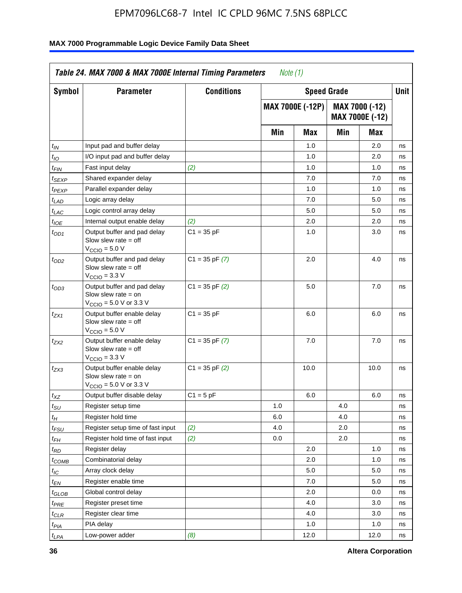| <b>Symbol</b>               | <b>Parameter</b>                                                                                           | <b>Conditions</b>  |     | <b>Speed Grade</b>      |     |                                   | <b>Unit</b> |
|-----------------------------|------------------------------------------------------------------------------------------------------------|--------------------|-----|-------------------------|-----|-----------------------------------|-------------|
|                             |                                                                                                            |                    |     | <b>MAX 7000E (-12P)</b> |     | MAX 7000 (-12)<br>MAX 7000E (-12) |             |
|                             |                                                                                                            |                    | Min | Max                     | Min | Max                               |             |
| t <sub>IN</sub>             | Input pad and buffer delay                                                                                 |                    |     | 1.0                     |     | 2.0                               | ns          |
| $t_{IO}$                    | I/O input pad and buffer delay                                                                             |                    |     | 1.0                     |     | 2.0                               | ns          |
| $t_{\sf FIN}$               | Fast input delay                                                                                           | (2)                |     | 1.0                     |     | 1.0                               | ns          |
| t <sub>SEXP</sub>           | Shared expander delay                                                                                      |                    |     | 7.0                     |     | 7.0                               | ns          |
| $t_{PEXP}$                  | Parallel expander delay                                                                                    |                    |     | 1.0                     |     | 1.0                               | ns          |
| t <sub>LAD</sub>            | Logic array delay                                                                                          |                    |     | 7.0                     |     | 5.0                               | ns          |
| $t_{LAC}$                   | Logic control array delay                                                                                  |                    |     | 5.0                     |     | 5.0                               | ns          |
| $t_{\mathit{IOE}}$          | Internal output enable delay                                                                               | (2)                |     | 2.0                     |     | 2.0                               | ns          |
| $t_{OD1}$                   | Output buffer and pad delay<br>Slow slew rate $=$ off<br>$V_{\text{CCIO}} = 5.0 V$                         | $C1 = 35 pF$       |     | 1.0                     |     | 3.0                               | ns          |
| $t_{OD2}$                   | Output buffer and pad delay<br>Slow slew rate $=$ off<br>$VCCIO = 3.3 V$                                   | $C1 = 35$ pF $(7)$ |     | 2.0                     |     | 4.0                               | ns          |
| $t_{OD3}$                   | Output buffer and pad delay<br>Slow slew rate = on<br>$V_{\text{CCIO}} = 5.0 \text{ V or } 3.3 \text{ V}$  | $C1 = 35$ pF $(2)$ |     | 5.0                     |     | 7.0                               | ns          |
| $t_{ZX1}$                   | Output buffer enable delay<br>Slow slew rate $=$ off<br>$V_{\text{CCIO}} = 5.0 V$                          | $C1 = 35 pF$       |     | 6.0                     |     | 6.0                               | ns          |
| $t_{ZX2}$                   | Output buffer enable delay<br>Slow slew rate $=$ off<br>$V_{\text{CCIO}} = 3.3 \text{ V}$                  | $C1 = 35$ pF $(7)$ |     | 7.0                     |     | 7.0                               | ns          |
| $t_{ZX3}$                   | Output buffer enable delay<br>Slow slew rate $=$ on<br>$V_{\text{CCIO}} = 5.0 \text{ V or } 3.3 \text{ V}$ | $C1 = 35$ pF $(2)$ |     | 10.0                    |     | 10.0                              | ns          |
| $t_{XZ}$                    | Output buffer disable delay                                                                                | $C1 = 5 pF$        |     | 6.0                     |     | 6.0                               | ns          |
| $t_{\scriptstyle\text{SU}}$ | Register setup time                                                                                        |                    | 1.0 |                         | 4.0 |                                   | ns          |
| $t_H$                       | Register hold time                                                                                         |                    | 6.0 |                         | 4.0 |                                   | ns          |
| $t_{\mathit{FSU}}$          | Register setup time of fast input                                                                          | (2)                | 4.0 |                         | 2.0 |                                   | ns          |
| t <sub>FH</sub>             | Register hold time of fast input                                                                           | (2)                | 0.0 |                         | 2.0 |                                   | ns          |
| $t_{RD}$                    | Register delay                                                                                             |                    |     | 2.0                     |     | 1.0                               | ns          |
| $t_{COMB}$                  | Combinatorial delay                                                                                        |                    |     | 2.0                     |     | 1.0                               | ns          |
| ЧC                          | Array clock delay                                                                                          |                    |     | $5.0\,$                 |     | 5.0                               | 115         |
| $t_{EN}$                    | Register enable time                                                                                       |                    |     | 7.0                     |     | 5.0                               | ns          |
| $t_{GLOB}$                  | Global control delay                                                                                       |                    |     | 2.0                     |     | 0.0                               | ns          |
| t <sub>PRE</sub>            | Register preset time                                                                                       |                    |     | 4.0                     |     | 3.0                               | ns          |
| $t_{CLR}$                   | Register clear time                                                                                        |                    |     | 4.0                     |     | 3.0                               | ns          |
| $t_{PIA}$                   | PIA delay                                                                                                  |                    |     | 1.0                     |     | 1.0                               | ns          |
| $t_{LPA}$                   | Low-power adder                                                                                            | (8)                |     | 12.0                    |     | 12.0                              | ns          |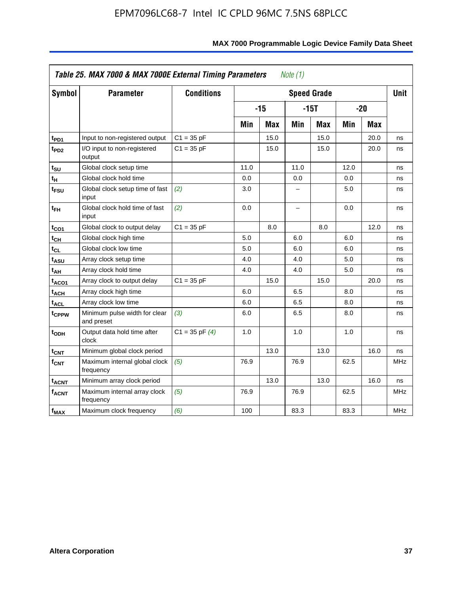| Symbol                      | <b>Parameter</b>                            | <b>Conditions</b>  |      |            |      | <b>Speed Grade</b> |      |            | <b>Unit</b> |
|-----------------------------|---------------------------------------------|--------------------|------|------------|------|--------------------|------|------------|-------------|
|                             |                                             |                    |      | $-15$      |      | $-15T$             |      | $-20$      |             |
|                             |                                             |                    | Min  | <b>Max</b> | Min  | Max                | Min  | <b>Max</b> |             |
| $t_{PD1}$                   | Input to non-registered output              | $C1 = 35 pF$       |      | 15.0       |      | 15.0               |      | 20.0       | ns          |
| t <sub>PD2</sub>            | I/O input to non-registered<br>output       | $C1 = 35 pF$       |      | 15.0       |      | 15.0               |      | 20.0       | ns          |
| $t_{\scriptstyle\text{SU}}$ | Global clock setup time                     |                    | 11.0 |            | 11.0 |                    | 12.0 |            | ns          |
| $t_H$                       | Global clock hold time                      |                    | 0.0  |            | 0.0  |                    | 0.0  |            | ns          |
| t <sub>FSU</sub>            | Global clock setup time of fast<br>input    | (2)                | 3.0  |            | -    |                    | 5.0  |            | ns          |
| $t_{FH}$                    | Global clock hold time of fast<br>input     | (2)                | 0.0  |            | -    |                    | 0.0  |            | ns          |
| $t_{CO1}$                   | Global clock to output delay                | $C1 = 35 pF$       |      | 8.0        |      | 8.0                |      | 12.0       | ns          |
| $t_{\mathsf{CH}}$           | Global clock high time                      |                    | 5.0  |            | 6.0  |                    | 6.0  |            | ns          |
| $t_{CL}$                    | Global clock low time                       |                    | 5.0  |            | 6.0  |                    | 6.0  |            | ns          |
| $t_{\sf ASU}$               | Array clock setup time                      |                    | 4.0  |            | 4.0  |                    | 5.0  |            | ns          |
| $t_{AH}$                    | Array clock hold time                       |                    | 4.0  |            | 4.0  |                    | 5.0  |            | ns          |
| t <sub>ACO1</sub>           | Array clock to output delay                 | $C1 = 35 pF$       |      | 15.0       |      | 15.0               |      | 20.0       | ns          |
| $\mathfrak{t}_{\sf{ACH}}$   | Array clock high time                       |                    | 6.0  |            | 6.5  |                    | 8.0  |            | ns          |
| t <sub>ACL</sub>            | Array clock low time                        |                    | 6.0  |            | 6.5  |                    | 8.0  |            | ns          |
| t <sub>CPPW</sub>           | Minimum pulse width for clear<br>and preset | (3)                | 6.0  |            | 6.5  |                    | 8.0  |            | ns          |
| $t_{ODH}$                   | Output data hold time after<br>clock        | $C1 = 35$ pF $(4)$ | 1.0  |            | 1.0  |                    | 1.0  |            | ns          |
| $t_{\text{CNT}}$            | Minimum global clock period                 |                    |      | 13.0       |      | 13.0               |      | 16.0       | ns          |
| f <sub>CNT</sub>            | Maximum internal global clock<br>frequency  | (5)                | 76.9 |            | 76.9 |                    | 62.5 |            | MHz         |
| <b>t<sub>ACNT</sub></b>     | Minimum array clock period                  |                    |      | 13.0       |      | 13.0               |      | 16.0       | ns          |
| <b>fACNT</b>                | Maximum internal array clock<br>frequency   | (5)                | 76.9 |            | 76.9 |                    | 62.5 |            | <b>MHz</b>  |
| f <sub>MAX</sub>            | Maximum clock frequency                     | (6)                | 100  |            | 83.3 |                    | 83.3 |            | MHz         |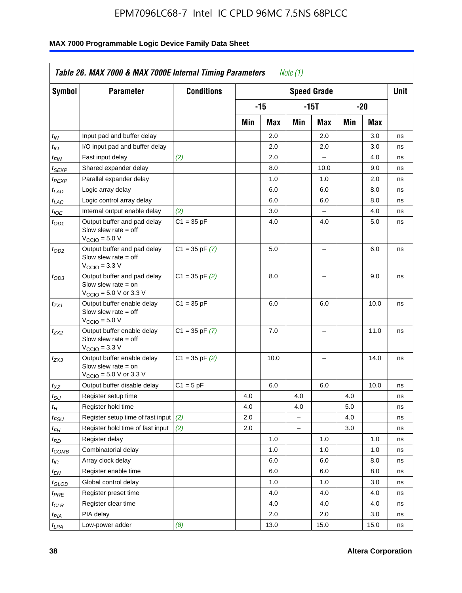| Symbol                        | <b>Parameter</b>                                                                                            | <b>Conditions</b>  |     |       |          | <b>Speed Grade</b>       |     |      | <b>Unit</b> |
|-------------------------------|-------------------------------------------------------------------------------------------------------------|--------------------|-----|-------|----------|--------------------------|-----|------|-------------|
|                               |                                                                                                             |                    |     | $-15$ |          | $-15T$                   |     | -20  |             |
|                               |                                                                                                             |                    | Min | Max   | Min      | Max                      | Min | Max  |             |
| $t_{IN}$                      | Input pad and buffer delay                                                                                  |                    |     | 2.0   |          | 2.0                      |     | 3.0  | ns          |
| $t_{IO}$                      | I/O input pad and buffer delay                                                                              |                    |     | 2.0   |          | 2.0                      |     | 3.0  | ns          |
| $t_{\textsf{FIN}}$            | Fast input delay                                                                                            | (2)                |     | 2.0   |          | $\overline{a}$           |     | 4.0  | ns          |
| $t_{SEXP}$                    | Shared expander delay                                                                                       |                    |     | 8.0   |          | 10.0                     |     | 9.0  | ns          |
| $t_{PEXP}$                    | Parallel expander delay                                                                                     |                    |     | 1.0   |          | 1.0                      |     | 2.0  | ns          |
| $t_{LAD}$                     | Logic array delay                                                                                           |                    |     | 6.0   |          | 6.0                      |     | 8.0  | ns          |
| $t_{LAC}$                     | Logic control array delay                                                                                   |                    |     | 6.0   |          | 6.0                      |     | 8.0  | ns          |
| $t_{IOE}$                     | Internal output enable delay                                                                                | (2)                |     | 3.0   |          | $\overline{\phantom{a}}$ |     | 4.0  | ns          |
| $t_{OD1}$                     | Output buffer and pad delay<br>Slow slew rate $=$ off<br>$VCCIO = 5.0 V$                                    | $C1 = 35 pF$       |     | 4.0   |          | 4.0                      |     | 5.0  | ns          |
| $t_{OD2}$                     | Output buffer and pad delay<br>Slow slew rate $=$ off<br>$V_{\text{CCIO}} = 3.3 \text{ V}$                  | $C1 = 35$ pF $(7)$ |     | 5.0   |          | L.                       |     | 6.0  | ns          |
| $t_{OD3}$                     | Output buffer and pad delay<br>Slow slew rate $=$ on<br>$V_{\text{CGIO}} = 5.0 \text{ V or } 3.3 \text{ V}$ | $C1 = 35$ pF $(2)$ |     | 8.0   |          | L.                       |     | 9.0  | ns          |
| $t_{ZX1}$                     | Output buffer enable delay<br>Slow slew rate $=$ off<br>$VCCIO = 5.0 V$                                     | $C1 = 35 pF$       |     | 6.0   |          | 6.0                      |     | 10.0 | ns          |
| $t_{ZX2}$                     | Output buffer enable delay<br>Slow slew rate $=$ off<br>$V_{\text{CCIO}} = 3.3 \text{ V}$                   | $C1 = 35$ pF $(7)$ |     | 7.0   |          | $\overline{\phantom{0}}$ |     | 11.0 | ns          |
| t <sub>ZX3</sub>              | Output buffer enable delay<br>Slow slew rate $=$ on<br>$V_{\text{CCIO}} = 5.0 \text{ V or } 3.3 \text{ V}$  | $C1 = 35$ pF $(2)$ |     | 10.0  |          | -                        |     | 14.0 | ns          |
| $t_{\mathsf{XZ}}$             | Output buffer disable delay                                                                                 | $C1 = 5pF$         |     | 6.0   |          | 6.0                      |     | 10.0 | ns          |
| $t_{\text{SU}}$               | Register setup time                                                                                         |                    | 4.0 |       | 4.0      |                          | 4.0 |      | ns          |
| $t_H$                         | Register hold time                                                                                          |                    | 4.0 |       | 4.0      |                          | 5.0 |      | ns          |
| $t_{\mathit{FSU}}$            | Register setup time of fast input                                                                           | (2)                | 2.0 |       | $\equiv$ |                          | 4.0 |      | ns          |
| $t_{FH}$                      | Register hold time of fast input                                                                            | (2)                | 2.0 |       |          |                          | 3.0 |      | ns          |
| $t_{RD}$                      | Register delay                                                                                              |                    |     | 1.0   |          | 1.0                      |     | 1.0  | ns          |
| $t_{COMB}$                    | Combinatorial delay                                                                                         |                    |     | 1.0   |          | 1.0                      |     | 1.0  | ns          |
| $t_{\text{IC}}$               | Array clock delay                                                                                           |                    |     | 6.0   |          | 6.0                      |     | 8.0  | ns          |
| $t_{EN}$                      | Register enable time                                                                                        |                    |     | 6.0   |          | 6.0                      |     | 8.0  | ns          |
| $t_{\scriptstyle\text{GLOB}}$ | Global control delay                                                                                        |                    |     | 1.0   |          | 1.0                      |     | 3.0  | ns          |
| t <sub>PRE</sub>              | Register preset time                                                                                        |                    |     | 4.0   |          | 4.0                      |     | 4.0  | ns          |
| $t_{\sf CLR}$                 | Register clear time                                                                                         |                    |     | 4.0   |          | 4.0                      |     | 4.0  | ns          |
| $t_{PIA}$                     | PIA delay                                                                                                   |                    |     | 2.0   |          | 2.0                      |     | 3.0  | ns          |
| $t_{LPA}$                     | Low-power adder                                                                                             | (8)                |     | 13.0  |          | 15.0                     |     | 15.0 | ns          |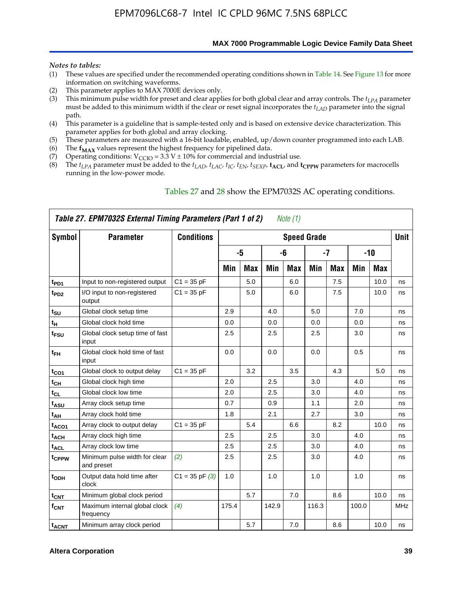**MAX 7000 Programmable Logic Device Family Data Sheet**

#### *Notes to tables:*

- (1) These values are specified under the recommended operating conditions shown in Table 14. See Figure 13 for more information on switching waveforms.
- (2) This parameter applies to MAX 7000E devices only.
- (3) This minimum pulse width for preset and clear applies for both global clear and array controls. The *tLPA* parameter must be added to this minimum width if the clear or reset signal incorporates the  $t_{LAD}$  parameter into the signal path.
- (4) This parameter is a guideline that is sample-tested only and is based on extensive device characterization. This parameter applies for both global and array clocking.
- (5) These parameters are measured with a 16-bit loadable, enabled, up/down counter programmed into each LAB.
- (6) The  $f_{MAX}$  values represent the highest frequency for pipelined data.
- (7) Operating conditions:  $V_{\text{CCIO}} = 3.3 \text{ V} \pm 10\%$  for commercial and industrial use.
- (8) The  $t_{LPA}$  parameter must be added to the  $t_{LAD}$ ,  $t_{LAC}$ ,  $t_{IC}$ ,  $t_{EN}$ ,  $t_{SEXP}$ ,  $t_{ACL}$ , and  $t_{CPPW}$  parameters for macrocells running in the low-power mode.

|                          | Table 27. EPM7032S External Timing Parameters (Part 1 of 2) |                   |       |            |       | Note (1) |                    |            |       |            |             |
|--------------------------|-------------------------------------------------------------|-------------------|-------|------------|-------|----------|--------------------|------------|-------|------------|-------------|
| Symbol                   | <b>Parameter</b>                                            | <b>Conditions</b> |       |            |       |          | <b>Speed Grade</b> |            |       |            | <b>Unit</b> |
|                          |                                                             |                   |       | -5         |       | -6       |                    | -7         |       | $-10$      |             |
|                          |                                                             |                   | Min   | <b>Max</b> | Min   | Max      | Min                | <b>Max</b> | Min   | <b>Max</b> |             |
| t <sub>PD1</sub>         | Input to non-registered output                              | $C1 = 35 pF$      |       | 5.0        |       | 6.0      |                    | 7.5        |       | 10.0       | ns          |
| $t_{PD2}$                | I/O input to non-registered<br>output                       | $C1 = 35 pF$      |       | 5.0        |       | 6.0      |                    | 7.5        |       | 10.0       | ns          |
| $t_{\text{SU}}$          | Global clock setup time                                     |                   | 2.9   |            | 4.0   |          | 5.0                |            | 7.0   |            | ns          |
| $t_H$                    | Global clock hold time                                      |                   | 0.0   |            | 0.0   |          | 0.0                |            | 0.0   |            | ns          |
| t <sub>FSU</sub>         | Global clock setup time of fast<br>input                    |                   | 2.5   |            | 2.5   |          | 2.5                |            | 3.0   |            | ns          |
| $t_{FH}$                 | Global clock hold time of fast<br>input                     |                   | 0.0   |            | 0.0   |          | 0.0                |            | 0.5   |            | ns          |
| t <sub>CO1</sub>         | Global clock to output delay                                | $C1 = 35 pF$      |       | 3.2        |       | 3.5      |                    | 4.3        |       | 5.0        | ns          |
| $t_{CH}$                 | Global clock high time                                      |                   | 2.0   |            | 2.5   |          | 3.0                |            | 4.0   |            | ns          |
| $t_{CL}$                 | Global clock low time                                       |                   | 2.0   |            | 2.5   |          | 3.0                |            | 4.0   |            | ns          |
| t <sub>ASU</sub>         | Array clock setup time                                      |                   | 0.7   |            | 0.9   |          | 1.1                |            | 2.0   |            | ns          |
| t <sub>АН</sub>          | Array clock hold time                                       |                   | 1.8   |            | 2.1   |          | 2.7                |            | 3.0   |            | ns          |
| t <sub>ACO1</sub>        | Array clock to output delay                                 | $C1 = 35 pF$      |       | 5.4        |       | 6.6      |                    | 8.2        |       | 10.0       | ns          |
| t <sub>ACH</sub>         | Array clock high time                                       |                   | 2.5   |            | 2.5   |          | 3.0                |            | 4.0   |            | ns          |
| $\mathfrak{t}_{\sf ACL}$ | Array clock low time                                        |                   | 2.5   |            | 2.5   |          | 3.0                |            | 4.0   |            | ns          |
| tcppw                    | Minimum pulse width for clear<br>and preset                 | (2)               | 2.5   |            | 2.5   |          | 3.0                |            | 4.0   |            | ns          |
| $t$ <sub>ODH</sub>       | Output data hold time after<br>clock                        | $C1 = 35 pF(3)$   | 1.0   |            | 1.0   |          | 1.0                |            | 1.0   |            | ns          |
| $t_{\mathsf{CNT}}$       | Minimum global clock period                                 |                   |       | 5.7        |       | 7.0      |                    | 8.6        |       | 10.0       | ns          |
| $f_{\mathsf{CNT}}$       | Maximum internal global clock<br>frequency                  | (4)               | 175.4 |            | 142.9 |          | 116.3              |            | 100.0 |            | <b>MHz</b>  |
| <b>t<sub>ACNT</sub></b>  | Minimum array clock period                                  |                   |       | 5.7        |       | 7.0      |                    | 8.6        |       | 10.0       | ns          |

### Tables 27 and 28 show the EPM7032S AC operating conditions.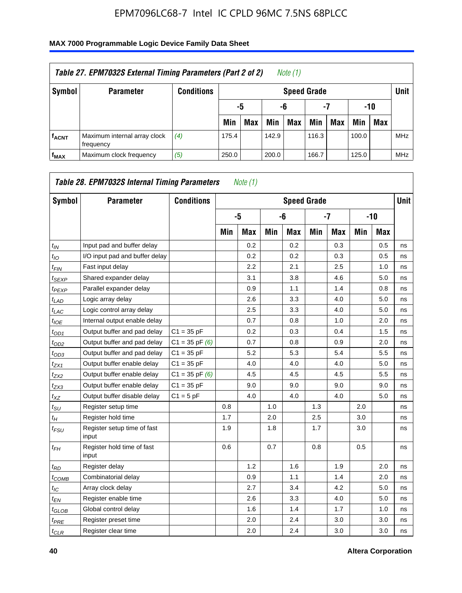| Table 27. EPM7032S External Timing Parameters (Part 2 of 2)<br>Note (1) |                                           |                   |       |                       |       |                    |       |     |       |            |            |  |  |
|-------------------------------------------------------------------------|-------------------------------------------|-------------------|-------|-----------------------|-------|--------------------|-------|-----|-------|------------|------------|--|--|
| Symbol                                                                  | <b>Parameter</b>                          | <b>Conditions</b> |       |                       |       | <b>Speed Grade</b> |       |     |       |            | Unit       |  |  |
|                                                                         |                                           |                   |       | -7<br>-10<br>-6<br>-5 |       |                    |       |     |       |            |            |  |  |
|                                                                         |                                           |                   | Min   | <b>Max</b>            | Min   | <b>Max</b>         | Min   | Max | Min   | <b>Max</b> |            |  |  |
| <b>fACNT</b>                                                            | Maximum internal array clock<br>frequency | (4)               | 175.4 |                       | 142.9 |                    | 116.3 |     | 100.0 |            | <b>MHz</b> |  |  |
| f <sub>MAX</sub>                                                        | Maximum clock frequency                   | (5)               | 250.0 |                       | 200.0 |                    | 166.7 |     | 125.0 |            | <b>MHz</b> |  |  |

| Symbol                        | <b>Parameter</b>                     | <b>Conditions</b>  |     |            |     | <b>Speed Grade</b> |     |            |     |            | <b>Unit</b> |
|-------------------------------|--------------------------------------|--------------------|-----|------------|-----|--------------------|-----|------------|-----|------------|-------------|
|                               |                                      |                    |     | -5         |     | -6                 |     | $-7$       |     | -10        |             |
|                               |                                      |                    | Min | <b>Max</b> | Min | <b>Max</b>         | Min | <b>Max</b> | Min | <b>Max</b> |             |
| $t_{IN}$                      | Input pad and buffer delay           |                    |     | 0.2        |     | 0.2                |     | 0.3        |     | 0.5        | ns          |
| $t_{IO}$                      | I/O input pad and buffer delay       |                    |     | 0.2        |     | 0.2                |     | 0.3        |     | 0.5        | ns          |
| $t_{\textit{FIN}}$            | Fast input delay                     |                    |     | 2.2        |     | 2.1                |     | 2.5        |     | 1.0        | ns          |
| $t_{SEXP}$                    | Shared expander delay                |                    |     | 3.1        |     | 3.8                |     | 4.6        |     | 5.0        | ns          |
| <sup>t</sup> PEXP             | Parallel expander delay              |                    |     | 0.9        |     | 1.1                |     | 1.4        |     | 0.8        | ns          |
| $t_{LAD}$                     | Logic array delay                    |                    |     | 2.6        |     | 3.3                |     | 4.0        |     | 5.0        | ns          |
| $t_{LAC}$                     | Logic control array delay            |                    |     | 2.5        |     | 3.3                |     | 4.0        |     | 5.0        | ns          |
| $t_{IOE}$                     | Internal output enable delay         |                    |     | 0.7        |     | 0.8                |     | 1.0        |     | 2.0        | ns          |
| $t_{OD1}$                     | Output buffer and pad delay          | $C1 = 35 pF$       |     | 0.2        |     | 0.3                |     | 0.4        |     | 1.5        | ns          |
| $t_{OD2}$                     | Output buffer and pad delay          | $C1 = 35$ pF $(6)$ |     | 0.7        |     | 0.8                |     | 0.9        |     | 2.0        | ns          |
| $t_{OD3}$                     | Output buffer and pad delay          | $C1 = 35 pF$       |     | 5.2        |     | 5.3                |     | 5.4        |     | 5.5        | ns          |
| $t_{ZX1}$                     | Output buffer enable delay           | $C1 = 35 pF$       |     | 4.0        |     | 4.0                |     | 4.0        |     | 5.0        | ns          |
| tzx2                          | Output buffer enable delay           | $C1 = 35$ pF $(6)$ |     | 4.5        |     | 4.5                |     | 4.5        |     | 5.5        | ns          |
| $t_{ZX3}$                     | Output buffer enable delay           | $C1 = 35 pF$       |     | 9.0        |     | 9.0                |     | 9.0        |     | 9.0        | ns          |
| $t_{XZ}$                      | Output buffer disable delay          | $C1 = 5pF$         |     | 4.0        |     | 4.0                |     | 4.0        |     | 5.0        | ns          |
| $t_{\text{SU}}$               | Register setup time                  |                    | 0.8 |            | 1.0 |                    | 1.3 |            | 2.0 |            | ns          |
| $t_H$                         | Register hold time                   |                    | 1.7 |            | 2.0 |                    | 2.5 |            | 3.0 |            | ns          |
| $t_{\mathit{FSU}}$            | Register setup time of fast<br>input |                    | 1.9 |            | 1.8 |                    | 1.7 |            | 3.0 |            | ns          |
| t <sub>FН</sub>               | Register hold time of fast<br>input  |                    | 0.6 |            | 0.7 |                    | 0.8 |            | 0.5 |            | ns          |
| $t_{RD}$                      | Register delay                       |                    |     | 1.2        |     | 1.6                |     | 1.9        |     | 2.0        | ns          |
| $t_{COMB}$                    | Combinatorial delay                  |                    |     | 0.9        |     | 1.1                |     | 1.4        |     | 2.0        | ns          |
| $t_{IC}$                      | Array clock delay                    |                    |     | 2.7        |     | 3.4                |     | 4.2        |     | 5.0        | ns          |
| $t_{EN}$                      | Register enable time                 |                    |     | 2.6        |     | 3.3                |     | 4.0        |     | 5.0        | ns          |
| $t_{\scriptstyle\text{GLOB}}$ | Global control delay                 |                    |     | 1.6        |     | 1.4                |     | 1.7        |     | 1.0        | ns          |
| $t_{PRE}$                     | Register preset time                 |                    |     | 2.0        |     | 2.4                |     | 3.0        |     | 3.0        | ns          |
| $t_{CLR}$                     | Register clear time                  |                    |     | 2.0        |     | 2.4                |     | 3.0        |     | 3.0        | ns          |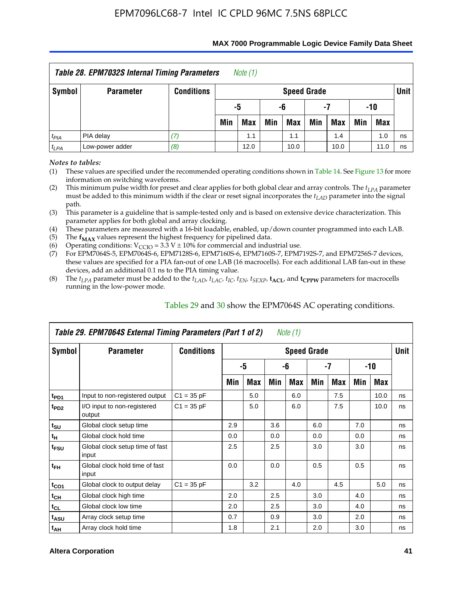| <b>Table 28. EPM7032S Internal Timing Parameters</b><br>Note (1)    |                  |                   |                                                                    |                       |  |                    |  |     |  |     |      |  |  |
|---------------------------------------------------------------------|------------------|-------------------|--------------------------------------------------------------------|-----------------------|--|--------------------|--|-----|--|-----|------|--|--|
| Symbol                                                              | <b>Parameter</b> | <b>Conditions</b> |                                                                    |                       |  | <b>Speed Grade</b> |  |     |  |     | Unit |  |  |
|                                                                     |                  |                   |                                                                    | -10<br>-5<br>-6<br>-7 |  |                    |  |     |  |     |      |  |  |
|                                                                     |                  |                   | <b>Max</b><br>Min<br>Min<br>Min<br><b>Max</b><br>Min<br>Max<br>Max |                       |  |                    |  |     |  |     |      |  |  |
| $t_{PIA}$                                                           | PIA delay        | (7)               |                                                                    | 1.1                   |  | 1.1                |  | 1.4 |  | 1.0 | ns   |  |  |
| (8)<br>Low-power adder<br>$t_{LPA}$<br>12.0<br>10.0<br>10.0<br>11.0 |                  |                   |                                                                    |                       |  |                    |  |     |  |     | ns   |  |  |

#### **MAX 7000 Programmable Logic Device Family Data Sheet**

*Notes to tables:*

(1) These values are specified under the recommended operating conditions shown in Table 14. See Figure 13 for more information on switching waveforms.

(2) This minimum pulse width for preset and clear applies for both global clear and array controls. The  $t_{LPA}$  parameter must be added to this minimum width if the clear or reset signal incorporates the *t<sub>LAD</sub>* parameter into the signal path.

(3) This parameter is a guideline that is sample-tested only and is based on extensive device characterization. This parameter applies for both global and array clocking.

(4) These parameters are measured with a 16-bit loadable, enabled, up/down counter programmed into each LAB.

(5) The  $f_{MAX}$  values represent the highest frequency for pipelined data.

(6) Operating conditions:  $V_{\text{CCIO}} = 3.3 \text{ V} \pm 10\%$  for commercial and industrial use.

(7) For EPM7064S-5, EPM7064S-6, EPM7128S-6, EPM7160S-6, EPM7160S-7, EPM7192S-7, and EPM7256S-7 devices, these values are specified for a PIA fan-out of one LAB (16 macrocells). For each additional LAB fan-out in these devices, add an additional 0.1 ns to the PIA timing value.

(8) The  $t_{LPA}$  parameter must be added to the  $t_{LAD}$ ,  $t_{LAC}$ ,  $t_{IC}$ ,  $t_{EN}$ ,  $t_{SEXP}$ ,  $t_{ACL}$ , and  $t_{CPPW}$  parameters for macrocells running in the low-power mode.

|                  | Table 29. EPM7064S External Timing Parameters (Part 1 of 2) |                   |     |     |     | Note (1)           |     |      |     |      |      |
|------------------|-------------------------------------------------------------|-------------------|-----|-----|-----|--------------------|-----|------|-----|------|------|
| Symbol           | <b>Parameter</b>                                            | <b>Conditions</b> |     |     |     | <b>Speed Grade</b> |     |      |     |      | Unit |
|                  |                                                             |                   |     | -5  |     | -6                 |     | $-7$ |     | -10  |      |
|                  |                                                             |                   | Min | Max | Min | Max                | Min | Max  | Min | Max  |      |
| t <sub>PD1</sub> | Input to non-registered output                              | $C1 = 35 pF$      |     | 5.0 |     | 6.0                |     | 7.5  |     | 10.0 | ns   |
| t <sub>PD2</sub> | I/O input to non-registered<br>output                       | $C1 = 35 pF$      |     | 5.0 |     | 6.0                |     | 7.5  |     | 10.0 | ns   |
| $t_{\text{SU}}$  | Global clock setup time                                     |                   | 2.9 |     | 3.6 |                    | 6.0 |      | 7.0 |      | ns   |
| $t_H$            | Global clock hold time                                      |                   | 0.0 |     | 0.0 |                    | 0.0 |      | 0.0 |      | ns   |
| t <sub>FSU</sub> | Global clock setup time of fast<br>input                    |                   | 2.5 |     | 2.5 |                    | 3.0 |      | 3.0 |      | ns   |
| $t_{FH}$         | Global clock hold time of fast<br>input                     |                   | 0.0 |     | 0.0 |                    | 0.5 |      | 0.5 |      | ns   |
| $t_{CO1}$        | Global clock to output delay                                | $C1 = 35 pF$      |     | 3.2 |     | 4.0                |     | 4.5  |     | 5.0  | ns   |
| $t_{CH}$         | Global clock high time                                      |                   | 2.0 |     | 2.5 |                    | 3.0 |      | 4.0 |      | ns   |
| $t_{CL}$         | Global clock low time                                       |                   | 2.0 |     | 2.5 |                    | 3.0 |      | 4.0 |      | ns   |
| t <sub>ASU</sub> | Array clock setup time                                      |                   | 0.7 |     | 0.9 |                    | 3.0 |      | 2.0 |      | ns   |
| $t_{AH}$         | Array clock hold time                                       |                   | 1.8 |     | 2.1 |                    | 2.0 |      | 3.0 |      | ns   |

Tables 29 and 30 show the EPM7064S AC operating conditions.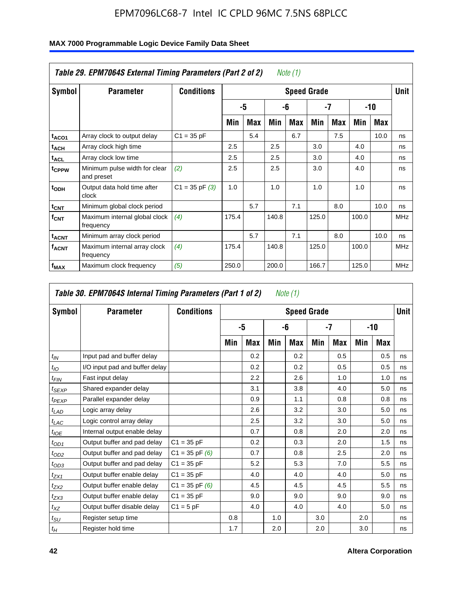| Symbol                  | <b>Parameter</b>                            | <b>Conditions</b>  |       |     |       |     | <b>Speed Grade</b> |     |       |      | <b>Unit</b> |
|-------------------------|---------------------------------------------|--------------------|-------|-----|-------|-----|--------------------|-----|-------|------|-------------|
|                         |                                             |                    |       | -5  |       | -6  |                    | -7  |       | -10  |             |
|                         |                                             |                    | Min   | Max | Min   | Max | Min                | Max | Min   | Max  |             |
| t <sub>ACO1</sub>       | Array clock to output delay                 | $C1 = 35 pF$       |       | 5.4 |       | 6.7 |                    | 7.5 |       | 10.0 | ns          |
| $t_{ACH}$               | Array clock high time                       |                    | 2.5   |     | 2.5   |     | 3.0                |     | 4.0   |      | ns          |
| $t_{\text{ACL}}$        | Array clock low time                        |                    | 2.5   |     | 2.5   |     | 3.0                |     | 4.0   |      | ns          |
| t <sub>CPPW</sub>       | Minimum pulse width for clear<br>and preset | (2)                | 2.5   |     | 2.5   |     | 3.0                |     | 4.0   |      | ns          |
| t <sub>ODH</sub>        | Output data hold time after<br>clock        | $C1 = 35$ pF $(3)$ | 1.0   |     | 1.0   |     | 1.0                |     | 1.0   |      | ns          |
| $t_{\text{CNT}}$        | Minimum global clock period                 |                    |       | 5.7 |       | 7.1 |                    | 8.0 |       | 10.0 | ns          |
| $f_{\text{CNT}}$        | Maximum internal global clock<br>frequency  | (4)                | 175.4 |     | 140.8 |     | 125.0              |     | 100.0 |      | <b>MHz</b>  |
| t <sub>ACNT</sub>       | Minimum array clock period                  |                    |       | 5.7 |       | 7.1 |                    | 8.0 |       | 10.0 | ns          |
| <b>f<sub>ACNT</sub></b> | Maximum internal array clock<br>frequency   | (4)                | 175.4 |     | 140.8 |     | 125.0              |     | 100.0 |      | <b>MHz</b>  |
| f <sub>MAX</sub>        | Maximum clock frequency                     | (5)                | 250.0 |     | 200.0 |     | 166.7              |     | 125.0 |      | <b>MHz</b>  |

## **MAX 7000 Programmable Logic Device Family Data Sheet**

| Symbol            | <b>Parameter</b>               | <b>Conditions</b>  |     |     |     | <b>Speed Grade</b> |     |            |     |            | <b>Unit</b> |
|-------------------|--------------------------------|--------------------|-----|-----|-----|--------------------|-----|------------|-----|------------|-------------|
|                   |                                |                    |     | -5  |     | -6                 |     | -7         |     | $-10$      |             |
|                   |                                |                    | Min | Max | Min | Max                | Min | <b>Max</b> | Min | <b>Max</b> |             |
| $t_{IN}$          | Input pad and buffer delay     |                    |     | 0.2 |     | 0.2                |     | 0.5        |     | 0.5        | ns          |
| $t_{IO}$          | I/O input pad and buffer delay |                    |     | 0.2 |     | 0.2                |     | 0.5        |     | 0.5        | ns          |
| t <sub>FIN</sub>  | Fast input delay               |                    |     | 2.2 |     | 2.6                |     | 1.0        |     | 1.0        | ns          |
| $t_{SEXP}$        | Shared expander delay          |                    |     | 3.1 |     | 3.8                |     | 4.0        |     | 5.0        | ns          |
| $t_{PEXP}$        | Parallel expander delay        |                    |     | 0.9 |     | 1.1                |     | 0.8        |     | 0.8        | ns          |
| t <sub>LAD</sub>  | Logic array delay              |                    |     | 2.6 |     | 3.2                |     | 3.0        |     | 5.0        | ns          |
| $t_{LAC}$         | Logic control array delay      |                    |     | 2.5 |     | 3.2                |     | 3.0        |     | 5.0        | ns          |
| $t_{IOE}$         | Internal output enable delay   |                    |     | 0.7 |     | 0.8                |     | 2.0        |     | 2.0        | ns          |
| $t_{OD1}$         | Output buffer and pad delay    | $C1 = 35 pF$       |     | 0.2 |     | 0.3                |     | 2.0        |     | 1.5        | ns          |
| $t_{OD2}$         | Output buffer and pad delay    | $C1 = 35$ pF $(6)$ |     | 0.7 |     | 0.8                |     | 2.5        |     | 2.0        | ns          |
| $t_{OD3}$         | Output buffer and pad delay    | $C1 = 35 pF$       |     | 5.2 |     | 5.3                |     | 7.0        |     | 5.5        | ns          |
| $t_{ZX1}$         | Output buffer enable delay     | $C1 = 35 pF$       |     | 4.0 |     | 4.0                |     | 4.0        |     | 5.0        | ns          |
| $t_{ZX2}$         | Output buffer enable delay     | $C1 = 35$ pF $(6)$ |     | 4.5 |     | 4.5                |     | 4.5        |     | 5.5        | ns          |
| $t_{ZX3}$         | Output buffer enable delay     | $C1 = 35 pF$       |     | 9.0 |     | 9.0                |     | 9.0        |     | 9.0        | ns          |
| $t_{\mathsf{XZ}}$ | Output buffer disable delay    | $C1 = 5pF$         |     | 4.0 |     | 4.0                |     | 4.0        |     | 5.0        | ns          |
| $t_{\text{SU}}$   | Register setup time            |                    | 0.8 |     | 1.0 |                    | 3.0 |            | 2.0 |            | ns          |
| $t_H\,$           | Register hold time             |                    | 1.7 |     | 2.0 |                    | 2.0 |            | 3.0 |            | ns          |

 $\overline{\mathbf{I}}$ 

 $\Gamma$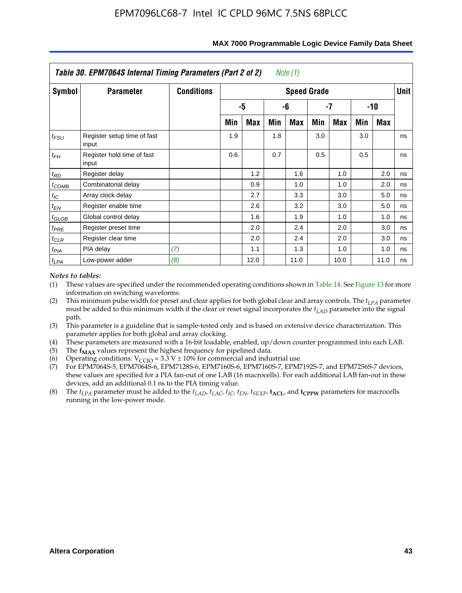|                   | Table 30. EPM7064S Internal Timing Parameters (Part 2 of 2) |                   |     |      |     | Note (1)           |     |      |     |            |             |
|-------------------|-------------------------------------------------------------|-------------------|-----|------|-----|--------------------|-----|------|-----|------------|-------------|
| Symbol            | <b>Parameter</b>                                            | <b>Conditions</b> |     |      |     | <b>Speed Grade</b> |     |      |     |            | <b>Unit</b> |
|                   |                                                             |                   |     | -5   |     | -6                 |     | -7   |     | $-10$      |             |
|                   |                                                             |                   | Min | Max  | Min | Max                | Min | Max  | Min | <b>Max</b> |             |
| $t_{FSU}$         | Register setup time of fast<br>input                        |                   | 1.9 |      | 1.8 |                    | 3.0 |      | 3.0 |            | ns          |
| $t_{FH}$          | Register hold time of fast<br>input                         |                   | 0.6 |      | 0.7 |                    | 0.5 |      | 0.5 |            | ns          |
| $t_{RD}$          | Register delay                                              |                   |     | 1.2  |     | 1.6                |     | 1.0  |     | 2.0        | ns          |
| $t_{COMB}$        | Combinatorial delay                                         |                   |     | 0.9  |     | 1.0                |     | 1.0  |     | 2.0        | ns          |
| $t_{IC}$          | Array clock delay                                           |                   |     | 2.7  |     | 3.3                |     | 3.0  |     | 5.0        | ns          |
| $t_{EN}$          | Register enable time                                        |                   |     | 2.6  |     | 3.2                |     | 3.0  |     | 5.0        | ns          |
| $t_{\text{GLOB}}$ | Global control delay                                        |                   |     | 1.6  |     | 1.9                |     | 1.0  |     | 1.0        | ns          |
| $t_{PRE}$         | Register preset time                                        |                   |     | 2.0  |     | 2.4                |     | 2.0  |     | 3.0        | ns          |
| $t_{CLR}$         | Register clear time                                         |                   |     | 2.0  |     | 2.4                |     | 2.0  |     | 3.0        | ns          |
| $t_{PIA}$         | PIA delay                                                   | (7)               |     | 1.1  |     | 1.3                |     | 1.0  |     | 1.0        | ns          |
| $t_{LPA}$         | Low-power adder                                             | (8)               |     | 12.0 |     | 11.0               |     | 10.0 |     | 11.0       | ns          |

#### **MAX 7000 Programmable Logic Device Family Data Sheet**

### *Notes to tables:*

- (1) These values are specified under the recommended operating conditions shown in Table 14. See Figure 13 for more information on switching waveforms.
- (2) This minimum pulse width for preset and clear applies for both global clear and array controls. The  $t_{LPA}$  parameter must be added to this minimum width if the clear or reset signal incorporates the *t<sub>LAD</sub>* parameter into the signal path.
- (3) This parameter is a guideline that is sample-tested only and is based on extensive device characterization. This parameter applies for both global and array clocking.
- (4) These parameters are measured with a 16-bit loadable, enabled, up/down counter programmed into each LAB.
- (5) The  $f_{MAX}$  values represent the highest frequency for pipelined data.
- (6) Operating conditions:  $V_{\text{CCIO}} = 3.3 \text{ V} \pm 10\%$  for commercial and industrial use.
- (7) For EPM7064S-5, EPM7064S-6, EPM7128S-6, EPM7160S-6, EPM7160S-7, EPM7192S-7, and EPM7256S-7 devices, these values are specified for a PIA fan-out of one LAB (16 macrocells). For each additional LAB fan-out in these devices, add an additional 0.1 ns to the PIA timing value.
- (8) The  $t_{LPA}$  parameter must be added to the  $t_{LAD}$ ,  $t_{LAC}$ ,  $t_{IC}$ ,  $t_{EN}$ ,  $t_{SEXP}$ ,  $t_{ACL}$ , and  $t_{CPPW}$  parameters for macrocells running in the low-power mode.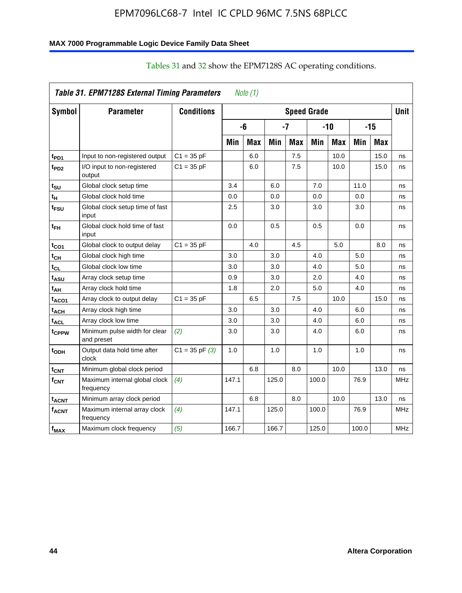### **MAX 7000 Programmable Logic Device Family Data Sheet**

|                          | Table 31. EPM7128S External Timing Parameters |                    |       | Note $(1)$ |            |            |                    |            |       |            |             |
|--------------------------|-----------------------------------------------|--------------------|-------|------------|------------|------------|--------------------|------------|-------|------------|-------------|
| Symbol                   | <b>Parameter</b>                              | <b>Conditions</b>  |       |            |            |            | <b>Speed Grade</b> |            |       |            | <b>Unit</b> |
|                          |                                               |                    |       | -6         |            | -7         |                    | $-10$      |       | $-15$      |             |
|                          |                                               |                    | Min   | <b>Max</b> | <b>Min</b> | <b>Max</b> | Min                | <b>Max</b> | Min   | <b>Max</b> |             |
| t <sub>PD1</sub>         | Input to non-registered output                | $C1 = 35 pF$       |       | 6.0        |            | 7.5        |                    | 10.0       |       | 15.0       | ns          |
| t <sub>PD2</sub>         | I/O input to non-registered<br>output         | $C1 = 35 pF$       |       | 6.0        |            | 7.5        |                    | 10.0       |       | 15.0       | ns          |
| t <sub>SU</sub>          | Global clock setup time                       |                    | 3.4   |            | 6.0        |            | 7.0                |            | 11.0  |            | ns          |
| t <sub>H</sub>           | Global clock hold time                        |                    | 0.0   |            | 0.0        |            | 0.0                |            | 0.0   |            | ns          |
| t <sub>FSU</sub>         | Global clock setup time of fast<br>input      |                    | 2.5   |            | 3.0        |            | 3.0                |            | 3.0   |            | ns          |
| t <sub>ЕН</sub>          | Global clock hold time of fast<br>input       |                    | 0.0   |            | 0.5        |            | 0.5                |            | 0.0   |            | ns          |
| t <sub>CO1</sub>         | Global clock to output delay                  | $C1 = 35 pF$       |       | 4.0        |            | 4.5        |                    | 5.0        |       | 8.0        | ns          |
| $t_{\text{CH}}$          | Global clock high time                        |                    | 3.0   |            | 3.0        |            | 4.0                |            | 5.0   |            | ns          |
| t <sub>CL</sub>          | Global clock low time                         |                    | 3.0   |            | 3.0        |            | 4.0                |            | 5.0   |            | ns          |
| t <sub>ASU</sub>         | Array clock setup time                        |                    | 0.9   |            | 3.0        |            | 2.0                |            | 4.0   |            | ns          |
| t <sub>АН</sub>          | Array clock hold time                         |                    | 1.8   |            | 2.0        |            | 5.0                |            | 4.0   |            | ns          |
| t <sub>ACO1</sub>        | Array clock to output delay                   | $C1 = 35 pF$       |       | 6.5        |            | 7.5        |                    | 10.0       |       | 15.0       | ns          |
| $\mathfrak{t}_{\sf ACH}$ | Array clock high time                         |                    | 3.0   |            | 3.0        |            | 4.0                |            | 6.0   |            | ns          |
| t <sub>ACL</sub>         | Array clock low time                          |                    | 3.0   |            | 3.0        |            | 4.0                |            | 6.0   |            | ns          |
| tcppw                    | Minimum pulse width for clear<br>and preset   | (2)                | 3.0   |            | 3.0        |            | 4.0                |            | 6.0   |            | ns          |
| t <sub>ODH</sub>         | Output data hold time after<br>clock          | $C1 = 35$ pF $(3)$ | 1.0   |            | 1.0        |            | 1.0                |            | 1.0   |            | ns          |
| $t_{\text{CNT}}$         | Minimum global clock period                   |                    |       | 6.8        |            | 8.0        |                    | 10.0       |       | 13.0       | ns          |
| $f_{\text{CNT}}$         | Maximum internal global clock<br>frequency    | (4)                | 147.1 |            | 125.0      |            | 100.0              |            | 76.9  |            | <b>MHz</b>  |
| <sup>t</sup> acnt        | Minimum array clock period                    |                    |       | 6.8        |            | 8.0        |                    | 10.0       |       | 13.0       | ns          |
| <b>f<sub>ACNT</sub></b>  | Maximum internal array clock<br>frequency     | (4)                | 147.1 |            | 125.0      |            | 100.0              |            | 76.9  |            | <b>MHz</b>  |
| $f_{MAX}$                | Maximum clock frequency                       | (5)                | 166.7 |            | 166.7      |            | 125.0              |            | 100.0 |            | MHz         |

## Tables 31 and 32 show the EPM7128S AC operating conditions.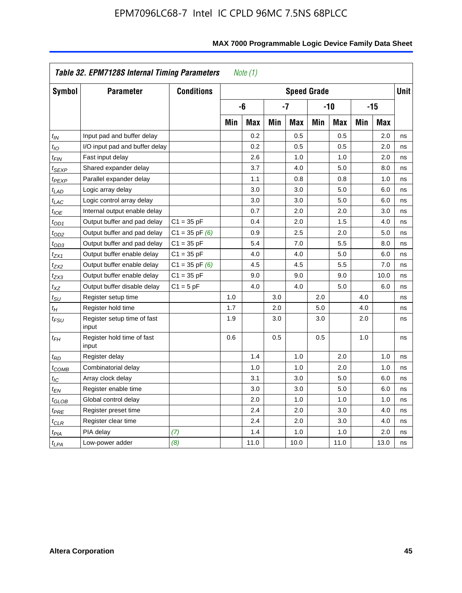|                            | Table 32. EPM7128S Internal Timing Parameters |                    |     | Note $(1)$ |     |                    |     |            |     |            |             |
|----------------------------|-----------------------------------------------|--------------------|-----|------------|-----|--------------------|-----|------------|-----|------------|-------------|
| Symbol                     | <b>Parameter</b>                              | <b>Conditions</b>  |     |            |     | <b>Speed Grade</b> |     |            |     |            | <b>Unit</b> |
|                            |                                               |                    |     | -6         |     | $-7$               |     | $-10$      |     | $-15$      |             |
|                            |                                               |                    | Min | <b>Max</b> | Min | <b>Max</b>         | Min | <b>Max</b> | Min | <b>Max</b> |             |
| $t_{IN}$                   | Input pad and buffer delay                    |                    |     | 0.2        |     | 0.5                |     | 0.5        |     | 2.0        | ns          |
| $t_{IO}$                   | I/O input pad and buffer delay                |                    |     | 0.2        |     | 0.5                |     | 0.5        |     | 2.0        | ns          |
| $t_{\textit{FIN}}$         | Fast input delay                              |                    |     | 2.6        |     | 1.0                |     | 1.0        |     | 2.0        | ns          |
| t <sub>SEXP</sub>          | Shared expander delay                         |                    |     | 3.7        |     | 4.0                |     | 5.0        |     | 8.0        | ns          |
| t <sub>PEXP</sub>          | Parallel expander delay                       |                    |     | 1.1        |     | 0.8                |     | 0.8        |     | 1.0        | ns          |
| t <sub>LAD</sub>           | Logic array delay                             |                    |     | 3.0        |     | 3.0                |     | 5.0        |     | 6.0        | ns          |
| $t_{LAC}$                  | Logic control array delay                     |                    |     | 3.0        |     | 3.0                |     | 5.0        |     | 6.0        | ns          |
| $t_{IOE}$                  | Internal output enable delay                  |                    |     | 0.7        |     | 2.0                |     | 2.0        |     | 3.0        | ns          |
| $t_{OD1}$                  | Output buffer and pad delay                   | $C1 = 35 pF$       |     | 0.4        |     | 2.0                |     | 1.5        |     | 4.0        | ns          |
| $t_{OD2}$                  | Output buffer and pad delay                   | $C1 = 35$ pF $(6)$ |     | 0.9        |     | 2.5                |     | 2.0        |     | 5.0        | ns          |
| $t_{OD3}$                  | Output buffer and pad delay                   | $C1 = 35 pF$       |     | 5.4        |     | 7.0                |     | 5.5        |     | 8.0        | ns          |
| $t_{ZX1}$                  | Output buffer enable delay                    | $C1 = 35 pF$       |     | 4.0        |     | 4.0                |     | 5.0        |     | 6.0        | ns          |
| t <sub>ZX2</sub>           | Output buffer enable delay                    | $C1 = 35$ pF $(6)$ |     | 4.5        |     | 4.5                |     | 5.5        |     | 7.0        | ns          |
| tzx3                       | Output buffer enable delay                    | $C1 = 35 pF$       |     | 9.0        |     | 9.0                |     | 9.0        |     | 10.0       | ns          |
| $t_{\mathsf{XZ}}$          | Output buffer disable delay                   | $C1 = 5pF$         |     | 4.0        |     | 4.0                |     | 5.0        |     | 6.0        | ns          |
| $t_{\text{SU}}$            | Register setup time                           |                    | 1.0 |            | 3.0 |                    | 2.0 |            | 4.0 |            | ns          |
| $t_H$                      | Register hold time                            |                    | 1.7 |            | 2.0 |                    | 5.0 |            | 4.0 |            | ns          |
| $t_{\mathit{FSU}}$         | Register setup time of fast<br>input          |                    | 1.9 |            | 3.0 |                    | 3.0 |            | 2.0 |            | ns          |
| $t_{FH}$                   | Register hold time of fast<br>input           |                    | 0.6 |            | 0.5 |                    | 0.5 |            | 1.0 |            | ns          |
| $t_{RD}$                   | Register delay                                |                    |     | 1.4        |     | 1.0                |     | 2.0        |     | 1.0        | ns          |
| $t_{\sf COMB}$             | Combinatorial delay                           |                    |     | 1.0        |     | 1.0                |     | 2.0        |     | 1.0        | ns          |
| $t_{\mathcal{IC}}$         | Array clock delay                             |                    |     | 3.1        |     | 3.0                |     | 5.0        |     | 6.0        | ns          |
| t <sub>EN</sub>            | Register enable time                          |                    |     | 3.0        |     | 3.0                |     | 5.0        |     | 6.0        | ns          |
| $t_{\scriptstyle\rm GLOB}$ | Global control delay                          |                    |     | 2.0        |     | 1.0                |     | 1.0        |     | 1.0        | ns          |
| $t_{PRE}$                  | Register preset time                          |                    |     | 2.4        |     | 2.0                |     | 3.0        |     | 4.0        | ns          |
| $t_{CLR}$                  | Register clear time                           |                    |     | 2.4        |     | 2.0                |     | 3.0        |     | 4.0        | ns          |
| t <sub>PIA</sub>           | PIA delay                                     | (7)                |     | 1.4        |     | 1.0                |     | 1.0        |     | 2.0        | ns          |
| $t_{LPA}$                  | Low-power adder                               | (8)                |     | 11.0       |     | 10.0               |     | 11.0       |     | 13.0       | ns          |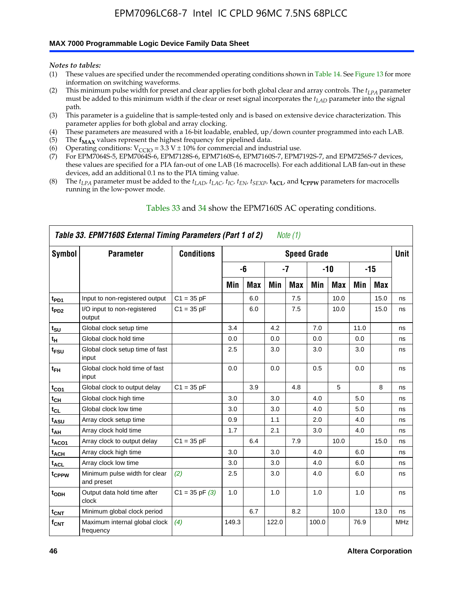### **MAX 7000 Programmable Logic Device Family Data Sheet**

*Notes to tables:*

- (1) These values are specified under the recommended operating conditions shown in Table 14. See Figure 13 for more information on switching waveforms.
- (2) This minimum pulse width for preset and clear applies for both global clear and array controls. The  $t_{LPA}$  parameter must be added to this minimum width if the clear or reset signal incorporates the *tLAD* parameter into the signal path.
- (3) This parameter is a guideline that is sample-tested only and is based on extensive device characterization. This parameter applies for both global and array clocking.
- (4) These parameters are measured with a 16-bit loadable, enabled, up/down counter programmed into each LAB.
- (5) The  $f_{MAX}$  values represent the highest frequency for pipelined data.
- (6) Operating conditions:  $V_{\text{CCIO}} = 3.3 \text{ V} \pm 10\%$  for commercial and industrial use.
- (7) For EPM7064S-5, EPM7064S-6, EPM7128S-6, EPM7160S-6, EPM7160S-7, EPM7192S-7, and EPM7256S-7 devices, these values are specified for a PIA fan-out of one LAB (16 macrocells). For each additional LAB fan-out in these devices, add an additional 0.1 ns to the PIA timing value.
- (8) The  $t_{LPA}$  parameter must be added to the  $t_{LAD}$ ,  $t_{LAC}$ ,  $t_{IC}$ ,  $t_{EN}$ ,  $t_{SEXP}$ ,  $t_{ACL}$ , and  $t_{CPPW}$  parameters for macrocells running in the low-power mode.

|                    | Table 33. EPM7160S External Timing Parameters (Part 1 of 2) |                    |       |            |       | Note (1)   |                    |            |      |            |            |
|--------------------|-------------------------------------------------------------|--------------------|-------|------------|-------|------------|--------------------|------------|------|------------|------------|
| Symbol             | <b>Parameter</b>                                            | <b>Conditions</b>  |       |            |       |            | <b>Speed Grade</b> |            |      |            | Unit       |
|                    |                                                             |                    |       | -6         |       | -7         |                    | $-10$      |      | $-15$      |            |
|                    |                                                             |                    | Min   | <b>Max</b> | Min   | <b>Max</b> | Min                | <b>Max</b> | Min  | <b>Max</b> |            |
| t <sub>PD1</sub>   | Input to non-registered output                              | $C1 = 35 pF$       |       | 6.0        |       | 7.5        |                    | 10.0       |      | 15.0       | ns         |
| $t_{PD2}$          | I/O input to non-registered<br>output                       | $C1 = 35 pF$       |       | 6.0        |       | 7.5        |                    | 10.0       |      | 15.0       | ns         |
| t <sub>SU</sub>    | Global clock setup time                                     |                    | 3.4   |            | 4.2   |            | 7.0                |            | 11.0 |            | ns         |
| t <sub>Η</sub>     | Global clock hold time                                      |                    | 0.0   |            | 0.0   |            | 0.0                |            | 0.0  |            | ns         |
| t <sub>FSU</sub>   | Global clock setup time of fast<br>input                    |                    | 2.5   |            | 3.0   |            | 3.0                |            | 3.0  |            | ns         |
| $t_{FH}$           | Global clock hold time of fast<br>input                     |                    | 0.0   |            | 0.0   |            | 0.5                |            | 0.0  |            | ns         |
| $t_{CO1}$          | Global clock to output delay                                | $C1 = 35 pF$       |       | 3.9        |       | 4.8        |                    | 5          |      | 8          | ns         |
| $t_{\mathsf{CH}}$  | Global clock high time                                      |                    | 3.0   |            | 3.0   |            | 4.0                |            | 5.0  |            | ns         |
| $t_{CL}$           | Global clock low time                                       |                    | 3.0   |            | 3.0   |            | 4.0                |            | 5.0  |            | ns         |
| t <sub>ASU</sub>   | Array clock setup time                                      |                    | 0.9   |            | 1.1   |            | 2.0                |            | 4.0  |            | ns         |
| t <sub>АН</sub>    | Array clock hold time                                       |                    | 1.7   |            | 2.1   |            | 3.0                |            | 4.0  |            | ns         |
| t <sub>ACO1</sub>  | Array clock to output delay                                 | $C1 = 35 pF$       |       | 6.4        |       | 7.9        |                    | 10.0       |      | 15.0       | ns         |
| $t_{\sf ACH}$      | Array clock high time                                       |                    | 3.0   |            | 3.0   |            | 4.0                |            | 6.0  |            | ns         |
| t <sub>ACL</sub>   | Array clock low time                                        |                    | 3.0   |            | 3.0   |            | 4.0                |            | 6.0  |            | ns         |
| tcppw              | Minimum pulse width for clear<br>and preset                 | (2)                | 2.5   |            | 3.0   |            | 4.0                |            | 6.0  |            | ns         |
| t <sub>ODH</sub>   | Output data hold time after<br>clock                        | $C1 = 35$ pF $(3)$ | 1.0   |            | 1.0   |            | 1.0                |            | 1.0  |            | ns         |
| $t_{CNT}$          | Minimum global clock period                                 |                    |       | 6.7        |       | 8.2        |                    | 10.0       |      | 13.0       | ns         |
| $f_{\mathsf{CNT}}$ | Maximum internal global clock<br>frequency                  | (4)                | 149.3 |            | 122.0 |            | 100.0              |            | 76.9 |            | <b>MHz</b> |

### Tables 33 and 34 show the EPM7160S AC operating conditions.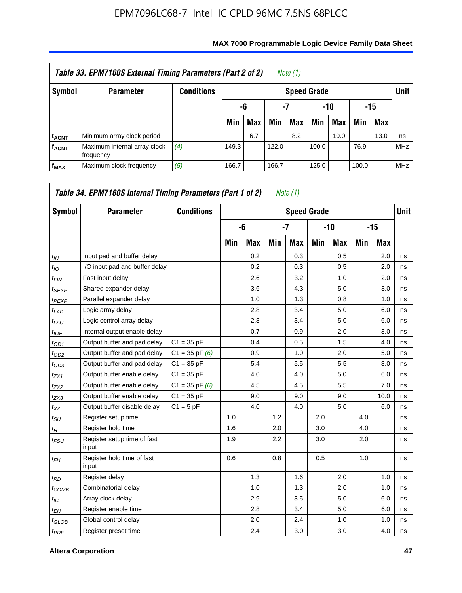|                         | Table 33. EPM7160S External Timing Parameters (Part 2 of 2) |                   |       |                        |       | Note $(1)$         |       |      |       |            |            |  |  |
|-------------------------|-------------------------------------------------------------|-------------------|-------|------------------------|-------|--------------------|-------|------|-------|------------|------------|--|--|
| Symbol                  | <b>Parameter</b>                                            | <b>Conditions</b> |       |                        |       | <b>Speed Grade</b> |       |      |       |            | Unit       |  |  |
|                         |                                                             |                   |       | -7<br>-15<br>-10<br>-6 |       |                    |       |      |       |            |            |  |  |
|                         |                                                             |                   | Min   | <b>Max</b>             | Min   | Max                | Min   | Max  | Min   | <b>Max</b> |            |  |  |
| <b>t<sub>ACNT</sub></b> | Minimum array clock period                                  |                   |       | 6.7                    |       | 8.2                |       | 10.0 |       | 13.0       | ns         |  |  |
| <b>f<sub>ACNT</sub></b> | Maximum internal array clock<br>frequency                   | (4)               | 149.3 |                        | 122.0 |                    | 100.0 |      | 76.9  |            | <b>MHz</b> |  |  |
| $f_{MAX}$               | Maximum clock frequency                                     | (5)               | 166.7 |                        | 166.7 |                    | 125.0 |      | 100.0 |            | <b>MHz</b> |  |  |

| Symbol            | <b>Parameter</b>                     | <b>Conditions</b>  |     |            |     | <b>Speed Grade</b> |     |            |     |       | <b>Unit</b> |
|-------------------|--------------------------------------|--------------------|-----|------------|-----|--------------------|-----|------------|-----|-------|-------------|
|                   |                                      |                    |     | -6         |     | $-7$               |     | -10        |     | $-15$ |             |
|                   |                                      |                    | Min | <b>Max</b> | Min | <b>Max</b>         | Min | <b>Max</b> | Min | Max   |             |
| $t_{IN}$          | Input pad and buffer delay           |                    |     | 0.2        |     | 0.3                |     | 0.5        |     | 2.0   | ns          |
| $t_{IO}$          | I/O input pad and buffer delay       |                    |     | 0.2        |     | 0.3                |     | 0.5        |     | 2.0   | ns          |
| $t_{FIN}$         | Fast input delay                     |                    |     | 2.6        |     | 3.2                |     | 1.0        |     | 2.0   | ns          |
| $t_{SEXP}$        | Shared expander delay                |                    |     | 3.6        |     | 4.3                |     | 5.0        |     | 8.0   | ns          |
| <sup>t</sup> PEXP | Parallel expander delay              |                    |     | 1.0        |     | 1.3                |     | 0.8        |     | 1.0   | ns          |
| $t_{LAD}$         | Logic array delay                    |                    |     | 2.8        |     | 3.4                |     | 5.0        |     | 6.0   | ns          |
| $t_{LAC}$         | Logic control array delay            |                    |     | 2.8        |     | 3.4                |     | 5.0        |     | 6.0   | ns          |
| $t_{IOE}$         | Internal output enable delay         |                    |     | 0.7        |     | 0.9                |     | 2.0        |     | 3.0   | ns          |
| $t_{OD1}$         | Output buffer and pad delay          | $C1 = 35 pF$       |     | 0.4        |     | 0.5                |     | 1.5        |     | 4.0   | ns          |
| $t_{OD2}$         | Output buffer and pad delay          | $C1 = 35$ pF $(6)$ |     | 0.9        |     | 1.0                |     | 2.0        |     | 5.0   | ns          |
| $t_{OD3}$         | Output buffer and pad delay          | $C1 = 35 pF$       |     | 5.4        |     | 5.5                |     | 5.5        |     | 8.0   | ns          |
| $t_{ZX1}$         | Output buffer enable delay           | $C1 = 35 pF$       |     | 4.0        |     | 4.0                |     | 5.0        |     | 6.0   | ns          |
| $t_{ZX2}$         | Output buffer enable delay           | $C1 = 35$ pF $(6)$ |     | 4.5        |     | 4.5                |     | 5.5        |     | 7.0   | ns          |
| $t_{ZX3}$         | Output buffer enable delay           | $C1 = 35 pF$       |     | 9.0        |     | 9.0                |     | 9.0        |     | 10.0  | ns          |
| $t_{XZ}$          | Output buffer disable delay          | $C1 = 5pF$         |     | 4.0        |     | 4.0                |     | 5.0        |     | 6.0   | ns          |
| $t_{\rm SU}$      | Register setup time                  |                    | 1.0 |            | 1.2 |                    | 2.0 |            | 4.0 |       | ns          |
| $t_H$             | Register hold time                   |                    | 1.6 |            | 2.0 |                    | 3.0 |            | 4.0 |       | ns          |
| $t_{FSU}$         | Register setup time of fast<br>input |                    | 1.9 |            | 2.2 |                    | 3.0 |            | 2.0 |       | ns          |
| $t_{FH}$          | Register hold time of fast<br>input  |                    | 0.6 |            | 0.8 |                    | 0.5 |            | 1.0 |       | ns          |
| $t_{RD}$          | Register delay                       |                    |     | 1.3        |     | 1.6                |     | 2.0        |     | 1.0   | ns          |
| $t_{COMB}$        | Combinatorial delay                  |                    |     | 1.0        |     | 1.3                |     | 2.0        |     | 1.0   | ns          |
| $t_{\text{IC}}$   | Array clock delay                    |                    |     | 2.9        |     | 3.5                |     | 5.0        |     | 6.0   | ns          |
| $t_{EN}$          | Register enable time                 |                    |     | 2.8        |     | 3.4                |     | 5.0        |     | 6.0   | ns          |
| $t_{GLOB}$        | Global control delay                 |                    |     | 2.0        |     | 2.4                |     | 1.0        |     | 1.0   | ns          |
| $t_{PRE}$         | Register preset time                 |                    |     | 2.4        |     | 3.0                |     | 3.0        |     | 4.0   | ns          |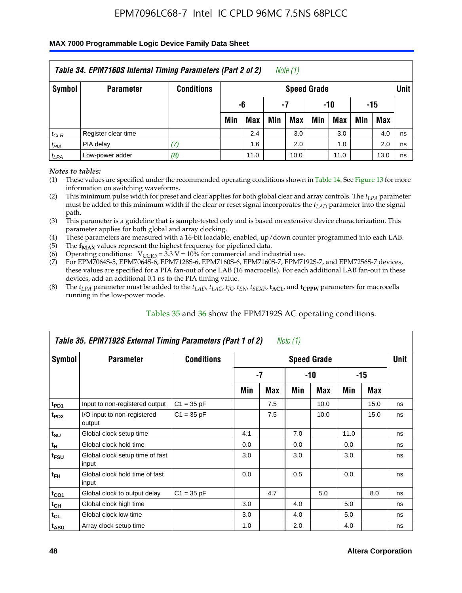### **MAX 7000 Programmable Logic Device Family Data Sheet**

|           | Table 34. EPM7160S Internal Timing Parameters (Part 2 of 2) |                   |                          |            |     | Note $(1)$         |     |            |     |            |             |  |
|-----------|-------------------------------------------------------------|-------------------|--------------------------|------------|-----|--------------------|-----|------------|-----|------------|-------------|--|
| Symbol    | <b>Parameter</b>                                            | <b>Conditions</b> |                          |            |     | <b>Speed Grade</b> |     |            |     |            | <b>Unit</b> |  |
|           |                                                             |                   | $-10$<br>-6<br>-15<br>-7 |            |     |                    |     |            |     |            |             |  |
|           |                                                             |                   | Min                      | <b>Max</b> | Min | Max                | Min | <b>Max</b> | Min | <b>Max</b> |             |  |
| $t_{CLR}$ | Register clear time                                         |                   |                          | 2.4        |     | 3.0                |     | 3.0        |     | 4.0        | ns          |  |
| $t_{PIA}$ | PIA delay                                                   | (7)               |                          | 1.6        |     | 2.0                |     | 1.0        |     | 2.0        | ns          |  |
| $t_{LPA}$ | Low-power adder                                             | (8)               |                          | 11.0       |     | 10.0               |     | 11.0       |     | 13.0       | ns          |  |

*Notes to tables:*

- (1) These values are specified under the recommended operating conditions shown in Table 14. See Figure 13 for more information on switching waveforms.
- (2) This minimum pulse width for preset and clear applies for both global clear and array controls. The  $t_{LPA}$  parameter must be added to this minimum width if the clear or reset signal incorporates the *t<sub>LAD</sub>* parameter into the signal path.
- (3) This parameter is a guideline that is sample-tested only and is based on extensive device characterization. This parameter applies for both global and array clocking.
- (4) These parameters are measured with a 16-bit loadable, enabled, up/down counter programmed into each LAB.
- (5) The  $f_{MAX}$  values represent the highest frequency for pipelined data.
- (6) Operating conditions:  $V_{\text{CCIO}} = 3.3 V \pm 10\%$  for commercial and industrial use.
- (7) For EPM7064S-5, EPM7064S-6, EPM7128S-6, EPM7160S-6, EPM7160S-7, EPM7192S-7, and EPM7256S-7 devices, these values are specified for a PIA fan-out of one LAB (16 macrocells). For each additional LAB fan-out in these devices, add an additional 0.1 ns to the PIA timing value.
- (8) The  $t_{LPA}$  parameter must be added to the  $t_{LAP}$ ,  $t_{LAC}$ ,  $t_{IC}$ ,  $t_{EN}$ ,  $t_{SEXP}$ ,  $t_{ACL}$ , and  $t_{CPPW}$  parameters for macrocells running in the low-power mode.

|                             | Table 35. EPM7192S External Timing Parameters (Part 1 of 2) |                   |     |      | Note (1) |                    |      |       |             |
|-----------------------------|-------------------------------------------------------------|-------------------|-----|------|----------|--------------------|------|-------|-------------|
| Symbol                      | <b>Parameter</b>                                            | <b>Conditions</b> |     |      |          | <b>Speed Grade</b> |      |       | <b>Unit</b> |
|                             |                                                             |                   |     | $-7$ |          | -10                |      | $-15$ |             |
|                             |                                                             |                   | Min | Max  | Min      | <b>Max</b>         | Min  | Max   |             |
| t <sub>PD1</sub>            | Input to non-registered output                              | $C1 = 35 pF$      |     | 7.5  |          | 10.0               |      | 15.0  | ns          |
| $t_{PD2}$                   | I/O input to non-registered<br>output                       | $C1 = 35 pF$      |     | 7.5  |          | 10.0               |      | 15.0  | ns          |
| $t_{\scriptstyle\text{SU}}$ | Global clock setup time                                     |                   | 4.1 |      | 7.0      |                    | 11.0 |       | ns          |
| $t_H$                       | Global clock hold time                                      |                   | 0.0 |      | 0.0      |                    | 0.0  |       | ns          |
| t <sub>FSU</sub>            | Global clock setup time of fast<br>input                    |                   | 3.0 |      | 3.0      |                    | 3.0  |       | ns          |
| $t_{FH}$                    | Global clock hold time of fast<br>input                     |                   | 0.0 |      | 0.5      |                    | 0.0  |       | ns          |
| $t_{CO1}$                   | Global clock to output delay                                | $C1 = 35 pF$      |     | 4.7  |          | 5.0                |      | 8.0   | ns          |
| $t_{CH}$                    | Global clock high time                                      |                   | 3.0 |      | 4.0      |                    | 5.0  |       | ns          |
| $t_{CL}$                    | Global clock low time                                       |                   | 3.0 |      | 4.0      |                    | 5.0  |       | ns          |
| t <sub>ASU</sub>            | Array clock setup time                                      |                   | 1.0 |      | 2.0      |                    | 4.0  |       | ns          |

### Tables 35 and 36 show the EPM7192S AC operating conditions.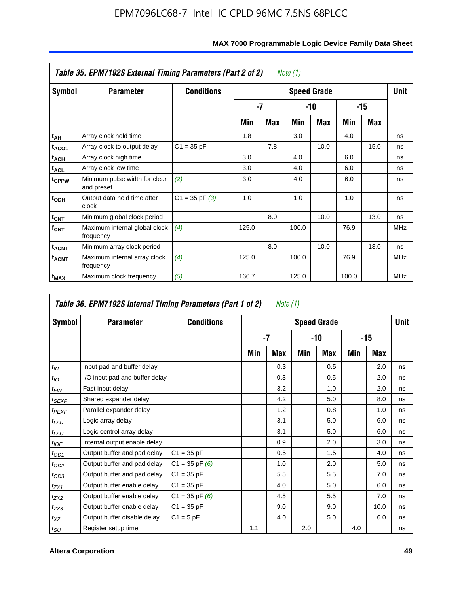|                         | Table 35. EPM7192S External Timing Parameters (Part 2 of 2) |                    |       |            | Note (1) |                    |       |      |             |
|-------------------------|-------------------------------------------------------------|--------------------|-------|------------|----------|--------------------|-------|------|-------------|
| Symbol                  | <b>Parameter</b>                                            | <b>Conditions</b>  |       |            |          | <b>Speed Grade</b> |       |      | <b>Unit</b> |
|                         |                                                             |                    |       | $-7$       |          | -10                |       | -15  |             |
|                         |                                                             |                    | Min   | <b>Max</b> | Min      | <b>Max</b>         | Min   | Max  |             |
| t <sub>AH</sub>         | Array clock hold time                                       |                    | 1.8   |            | 3.0      |                    | 4.0   |      | ns          |
| t <sub>ACO1</sub>       | Array clock to output delay                                 | $C1 = 35 pF$       |       | 7.8        |          | 10.0               |       | 15.0 | ns          |
| $t_{\sf ACH}$           | Array clock high time                                       |                    | 3.0   |            | 4.0      |                    | 6.0   |      | ns          |
| $t_{\sf ACL}$           | Array clock low time                                        |                    | 3.0   |            | 4.0      |                    | 6.0   |      | ns          |
| t <sub>CPPW</sub>       | Minimum pulse width for clear<br>and preset                 | (2)                | 3.0   |            | 4.0      |                    | 6.0   |      | ns          |
| $t_{ODH}$               | Output data hold time after<br>clock                        | $C1 = 35$ pF $(3)$ | 1.0   |            | 1.0      |                    | 1.0   |      | ns          |
| $t_{\mathsf{CNT}}$      | Minimum global clock period                                 |                    |       | 8.0        |          | 10.0               |       | 13.0 | ns          |
| $f_{\text{CNT}}$        | Maximum internal global clock<br>frequency                  | (4)                | 125.0 |            | 100.0    |                    | 76.9  |      | <b>MHz</b>  |
| $t_{ACNT}$              | Minimum array clock period                                  |                    |       | 8.0        |          | 10.0               |       | 13.0 | ns          |
| <b>f<sub>ACNT</sub></b> | Maximum internal array clock<br>frequency                   | (4)                | 125.0 |            | 100.0    |                    | 76.9  |      | <b>MHz</b>  |
| f <sub>MAX</sub>        | Maximum clock frequency                                     | (5)                | 166.7 |            | 125.0    |                    | 100.0 |      | <b>MHz</b>  |

|                   | Table 36. EPM7192S Internal Timing Parameters (Part 1 of 2) |                    |     | Note (1) |     |                    |     |       |      |
|-------------------|-------------------------------------------------------------|--------------------|-----|----------|-----|--------------------|-----|-------|------|
| Symbol            | <b>Parameter</b>                                            | <b>Conditions</b>  |     |          |     | <b>Speed Grade</b> |     |       | Unit |
|                   |                                                             |                    |     | -7       |     | -10                |     | $-15$ |      |
|                   |                                                             |                    | Min | Max      | Min | <b>Max</b>         | Min | Max   |      |
| $t_{IN}$          | Input pad and buffer delay                                  |                    |     | 0.3      |     | 0.5                |     | 2.0   | ns   |
| $t_{IO}$          | I/O input pad and buffer delay                              |                    |     | 0.3      |     | 0.5                |     | 2.0   | ns   |
| $t_{FIN}$         | Fast input delay                                            |                    |     | 3.2      |     | 1.0                |     | 2.0   | ns   |
| t <sub>SEXP</sub> | Shared expander delay                                       |                    |     | 4.2      |     | 5.0                |     | 8.0   | ns   |
| $t_{PEXP}$        | Parallel expander delay                                     |                    |     | 1.2      |     | 0.8                |     | 1.0   | ns   |
| $t_{LAD}$         | Logic array delay                                           |                    |     | 3.1      |     | 5.0                |     | 6.0   | ns   |
| $t_{LAC}$         | Logic control array delay                                   |                    |     | 3.1      |     | 5.0                |     | 6.0   | ns   |
| $t_{IOE}$         | Internal output enable delay                                |                    |     | 0.9      |     | 2.0                |     | 3.0   | ns   |
| $t_{OD1}$         | Output buffer and pad delay                                 | $C1 = 35 pF$       |     | 0.5      |     | 1.5                |     | 4.0   | ns   |
| $t_{OD2}$         | Output buffer and pad delay                                 | $C1 = 35$ pF $(6)$ |     | 1.0      |     | 2.0                |     | 5.0   | ns   |
| $t_{OD3}$         | Output buffer and pad delay                                 | $C1 = 35 pF$       |     | 5.5      |     | 5.5                |     | 7.0   | ns   |
| $t_{ZX1}$         | Output buffer enable delay                                  | $C1 = 35 pF$       |     | 4.0      |     | 5.0                |     | 6.0   | ns   |
| $t_{ZX2}$         | Output buffer enable delay                                  | $C1 = 35$ pF $(6)$ |     | 4.5      |     | 5.5                |     | 7.0   | ns   |
| $t_{ZX3}$         | Output buffer enable delay                                  | $C1 = 35 pF$       |     | 9.0      |     | 9.0                |     | 10.0  | ns   |
| $t_{XZ}$          | Output buffer disable delay                                 | $C1 = 5pF$         |     | 4.0      |     | 5.0                |     | 6.0   | ns   |
| $t_{\text{SU}}$   | Register setup time                                         |                    | 1.1 |          | 2.0 |                    | 4.0 |       | ns   |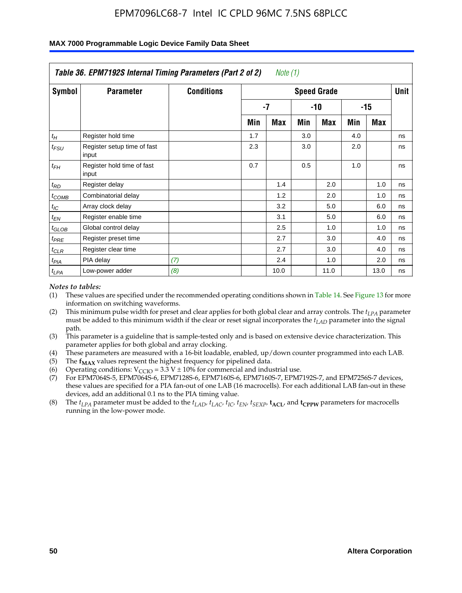|                    | Table 36. EPM7192S Internal Timing Parameters (Part 2 of 2) |                   |     | Note $(1)$ |     |                    |     |            |      |
|--------------------|-------------------------------------------------------------|-------------------|-----|------------|-----|--------------------|-----|------------|------|
| Symbol             | <b>Parameter</b>                                            | <b>Conditions</b> |     |            |     | <b>Speed Grade</b> |     |            | Unit |
|                    |                                                             |                   |     | $-7$       |     | -10                |     | $-15$      |      |
|                    |                                                             |                   | Min | <b>Max</b> | Min | <b>Max</b>         | Min | <b>Max</b> |      |
| $t_H$              | Register hold time                                          |                   | 1.7 |            | 3.0 |                    | 4.0 |            | ns   |
| $t_{\mathit{FSU}}$ | Register setup time of fast<br>input                        |                   | 2.3 |            | 3.0 |                    | 2.0 |            | ns   |
| $t_{FH}$           | Register hold time of fast<br>input                         |                   | 0.7 |            | 0.5 |                    | 1.0 |            | ns   |
| $t_{RD}$           | Register delay                                              |                   |     | 1.4        |     | 2.0                |     | 1.0        | ns   |
| $t_{COMB}$         | Combinatorial delay                                         |                   |     | 1.2        |     | 2.0                |     | 1.0        | ns   |
| $t_{IC}$           | Array clock delay                                           |                   |     | 3.2        |     | 5.0                |     | 6.0        | ns   |
| $t_{EN}$           | Register enable time                                        |                   |     | 3.1        |     | 5.0                |     | 6.0        | ns   |
| $t_{GLOB}$         | Global control delay                                        |                   |     | 2.5        |     | 1.0                |     | 1.0        | ns   |
| $t_{PRE}$          | Register preset time                                        |                   |     | 2.7        |     | 3.0                |     | 4.0        | ns   |
| $t_{CLR}$          | Register clear time                                         |                   |     | 2.7        |     | 3.0                |     | 4.0        | ns   |
| t <sub>PIA</sub>   | PIA delay                                                   | (7)               |     | 2.4        |     | 1.0                |     | 2.0        | ns   |
| $t_{LPA}$          | Low-power adder                                             | (8)               |     | 10.0       |     | 11.0               |     | 13.0       | ns   |

#### **MAX 7000 Programmable Logic Device Family Data Sheet**

#### *Notes to tables:*

- (1) These values are specified under the recommended operating conditions shown in Table 14. See Figure 13 for more information on switching waveforms.
- (2) This minimum pulse width for preset and clear applies for both global clear and array controls. The *tLPA* parameter must be added to this minimum width if the clear or reset signal incorporates the *t<sub>LAD</sub>* parameter into the signal path.
- (3) This parameter is a guideline that is sample-tested only and is based on extensive device characterization. This parameter applies for both global and array clocking.
- (4) These parameters are measured with a 16-bit loadable, enabled, up/down counter programmed into each LAB.
- (5) The  $f_{MAX}$  values represent the highest frequency for pipelined data.
- (6) Operating conditions:  $V_{\text{CCIO}} = 3.3 \text{ V} \pm 10\%$  for commercial and industrial use.
- (7) For EPM7064S-5, EPM7064S-6, EPM7128S-6, EPM7160S-6, EPM7160S-7, EPM7192S-7, and EPM7256S-7 devices, these values are specified for a PIA fan-out of one LAB (16 macrocells). For each additional LAB fan-out in these devices, add an additional 0.1 ns to the PIA timing value.
- (8) The  $t_{LPA}$  parameter must be added to the  $t_{LAD}$ ,  $t_{LAC}$ ,  $t_{IC}$ ,  $t_{EN}$ ,  $t_{SIX}$ ,  $t_{ACL}$ , and  $t_{CPW}$  parameters for macrocells running in the low-power mode.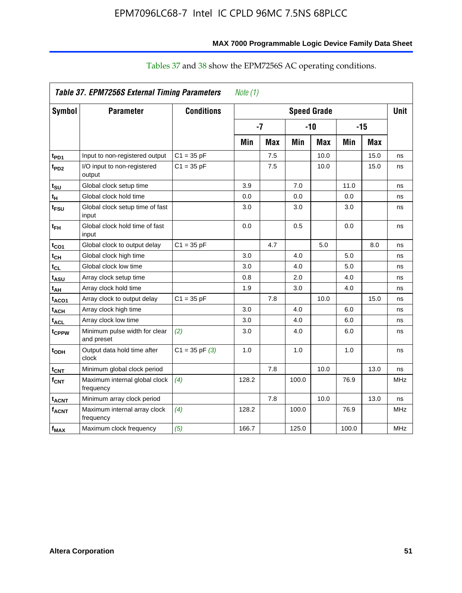|                              | Table 37. EPM7256S External Timing Parameters |                    | Note $(1)$ |            |       |                    |       |            |            |
|------------------------------|-----------------------------------------------|--------------------|------------|------------|-------|--------------------|-------|------------|------------|
| Symbol                       | <b>Parameter</b>                              | <b>Conditions</b>  |            |            |       | <b>Speed Grade</b> |       |            | Unit       |
|                              |                                               |                    |            | $-7$       |       | $-10$              |       | $-15$      |            |
|                              |                                               |                    | Min        | <b>Max</b> | Min   | <b>Max</b>         | Min   | <b>Max</b> |            |
| t <sub>PD1</sub>             | Input to non-registered output                | $C1 = 35 pF$       |            | 7.5        |       | 10.0               |       | 15.0       | ns         |
| $t_{PD2}$                    | I/O input to non-registered<br>output         | $C1 = 35 pF$       |            | 7.5        |       | 10.0               |       | 15.0       | ns         |
| t <sub>su</sub>              | Global clock setup time                       |                    | 3.9        |            | 7.0   |                    | 11.0  |            | ns         |
| $t_H$                        | Global clock hold time                        |                    | 0.0        |            | 0.0   |                    | 0.0   |            | ns         |
| t <sub>FSU</sub>             | Global clock setup time of fast<br>input      |                    | 3.0        |            | 3.0   |                    | 3.0   |            | ns         |
| $t_{FH}$                     | Global clock hold time of fast<br>input       |                    | 0.0        |            | 0.5   |                    | 0.0   |            | ns         |
| t <sub>CO1</sub>             | Global clock to output delay                  | $C1 = 35 pF$       |            | 4.7        |       | 5.0                |       | 8.0        | ns         |
| $t_{CH}$                     | Global clock high time                        |                    | 3.0        |            | 4.0   |                    | 5.0   |            | ns         |
| $\mathfrak{t}_{\texttt{CL}}$ | Global clock low time                         |                    | 3.0        |            | 4.0   |                    | 5.0   |            | ns         |
| t <sub>ASU</sub>             | Array clock setup time                        |                    | 0.8        |            | 2.0   |                    | 4.0   |            | ns         |
| t <sub>АН</sub>              | Array clock hold time                         |                    | 1.9        |            | 3.0   |                    | 4.0   |            | ns         |
| t <sub>ACO1</sub>            | Array clock to output delay                   | $C1 = 35 pF$       |            | 7.8        |       | 10.0               |       | 15.0       | ns         |
| <sup>t</sup> ach             | Array clock high time                         |                    | 3.0        |            | 4.0   |                    | 6.0   |            | ns         |
| $t_{\sf ACL}$                | Array clock low time                          |                    | 3.0        |            | 4.0   |                    | 6.0   |            | ns         |
| t <sub>CPPW</sub>            | Minimum pulse width for clear<br>and preset   | (2)                | 3.0        |            | 4.0   |                    | 6.0   |            | ns         |
| t <sub>ODH</sub>             | Output data hold time after<br>clock          | $C1 = 35$ pF $(3)$ | 1.0        |            | 1.0   |                    | 1.0   |            | ns         |
| $t_{\text{CNT}}$             | Minimum global clock period                   |                    |            | 7.8        |       | 10.0               |       | 13.0       | ns         |
| $f_{CNT}$                    | Maximum internal global clock<br>frequency    | (4)                | 128.2      |            | 100.0 |                    | 76.9  |            | <b>MHz</b> |
| <b>t<sub>ACNT</sub></b>      | Minimum array clock period                    |                    |            | 7.8        |       | 10.0               |       | 13.0       | ns         |
| <b>f<sub>ACNT</sub></b>      | Maximum internal array clock<br>frequency     | (4)                | 128.2      |            | 100.0 |                    | 76.9  |            | <b>MHz</b> |
| $f_{MAX}$                    | Maximum clock frequency                       | (5)                | 166.7      |            | 125.0 |                    | 100.0 |            | <b>MHz</b> |

## Tables 37 and 38 show the EPM7256S AC operating conditions.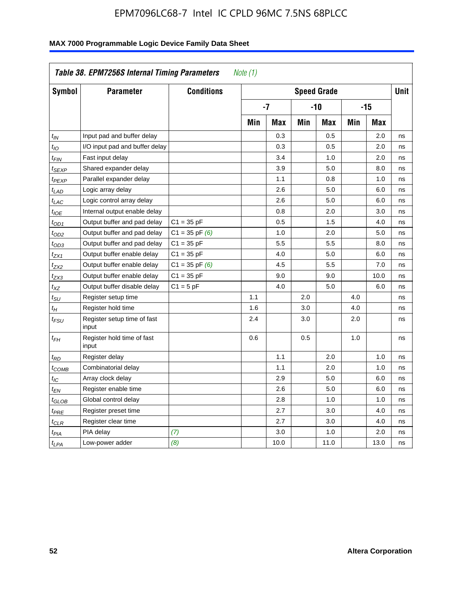| Symbol            | <b>Parameter</b>                     | <b>Conditions</b>  |            |            |     | <b>Speed Grade</b> |            |            | <b>Unit</b> |
|-------------------|--------------------------------------|--------------------|------------|------------|-----|--------------------|------------|------------|-------------|
|                   |                                      |                    |            | $-7$       |     | $-10$              |            | $-15$      |             |
|                   |                                      |                    | <b>Min</b> | <b>Max</b> | Min | <b>Max</b>         | <b>Min</b> | <b>Max</b> |             |
| $t_{IN}$          | Input pad and buffer delay           |                    |            | 0.3        |     | 0.5                |            | 2.0        | ns          |
| $t_{IO}$          | I/O input pad and buffer delay       |                    |            | 0.3        |     | 0.5                |            | 2.0        | ns          |
| t <sub>FIN</sub>  | Fast input delay                     |                    |            | 3.4        |     | 1.0                |            | 2.0        | ns          |
| t <sub>SEXP</sub> | Shared expander delay                |                    |            | 3.9        |     | 5.0                |            | 8.0        | ns          |
| t <sub>PEXP</sub> | Parallel expander delay              |                    |            | 1.1        |     | 0.8                |            | 1.0        | ns          |
| $t_{LAD}$         | Logic array delay                    |                    |            | 2.6        |     | 5.0                |            | 6.0        | ns          |
| $t_{LAC}$         | Logic control array delay            |                    |            | 2.6        |     | 5.0                |            | 6.0        | ns          |
| $t_{IOE}$         | Internal output enable delay         |                    |            | 0.8        |     | 2.0                |            | 3.0        | ns          |
| $t_{OD1}$         | Output buffer and pad delay          | $C1 = 35 pF$       |            | 0.5        |     | 1.5                |            | 4.0        | ns          |
| t <sub>OD2</sub>  | Output buffer and pad delay          | $C1 = 35$ pF $(6)$ |            | 1.0        |     | 2.0                |            | 5.0        | ns          |
| $t_{OD3}$         | Output buffer and pad delay          | $C1 = 35 pF$       |            | 5.5        |     | 5.5                |            | 8.0        | ns          |
| t <sub>ZX1</sub>  | Output buffer enable delay           | $C1 = 35 pF$       |            | 4.0        |     | 5.0                |            | 6.0        | ns          |
| t <sub>ZX2</sub>  | Output buffer enable delay           | $C1 = 35$ pF $(6)$ |            | 4.5        |     | 5.5                |            | 7.0        | ns          |
| t <sub>ZX3</sub>  | Output buffer enable delay           | $C1 = 35 pF$       |            | 9.0        |     | 9.0                |            | 10.0       | ns          |
| $t_{\mathsf{XZ}}$ | Output buffer disable delay          | $C1 = 5pF$         |            | 4.0        |     | 5.0                |            | 6.0        | ns          |
| tsu               | Register setup time                  |                    | 1.1        |            | 2.0 |                    | 4.0        |            | ns          |
| $t_H$             | Register hold time                   |                    | 1.6        |            | 3.0 |                    | 4.0        |            | ns          |
| t <sub>FSU</sub>  | Register setup time of fast<br>input |                    | 2.4        |            | 3.0 |                    | 2.0        |            | ns          |
| $t_{FH}$          | Register hold time of fast<br>input  |                    | 0.6        |            | 0.5 |                    | 1.0        |            | ns          |
| t <sub>RD</sub>   | Register delay                       |                    |            | 1.1        |     | 2.0                |            | 1.0        | ns          |
| t <sub>COMB</sub> | Combinatorial delay                  |                    |            | 1.1        |     | 2.0                |            | 1.0        | ns          |
| $t_{IC}$          | Array clock delay                    |                    |            | 2.9        |     | 5.0                |            | 6.0        | ns          |
| $t_{EN}$          | Register enable time                 |                    |            | 2.6        |     | 5.0                |            | 6.0        | ns          |
| t <sub>GLOB</sub> | Global control delay                 |                    |            | 2.8        |     | 1.0                |            | 1.0        | ns          |
| $t_{PRE}$         | Register preset time                 |                    |            | 2.7        |     | 3.0                |            | 4.0        | ns          |
| $t_{\sf CLR}$     | Register clear time                  |                    |            | 2.7        |     | 3.0                |            | 4.0        | ns          |
| $t_{PIA}$         | PIA delay                            | (7)                |            | 3.0        |     | 1.0                |            | 2.0        | ns          |
| $t_{LPA}$         | Low-power adder                      | (8)                |            | 10.0       |     | 11.0               |            | 13.0       | ns          |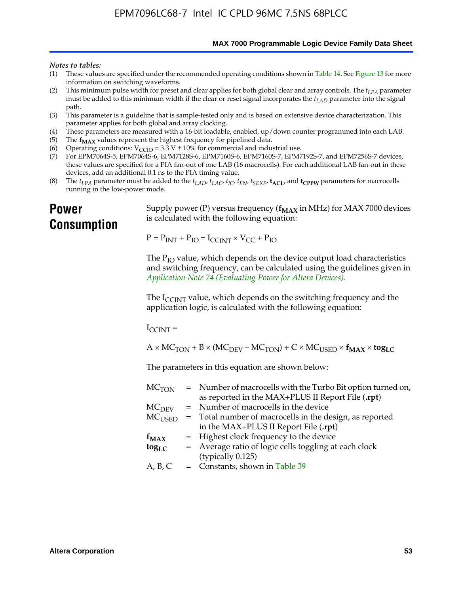**MAX 7000 Programmable Logic Device Family Data Sheet**

#### *Notes to tables:*

- (1) These values are specified under the recommended operating conditions shown in Table 14. See Figure 13 for more information on switching waveforms.
- (2) This minimum pulse width for preset and clear applies for both global clear and array controls. The  $t_{LPA}$  parameter must be added to this minimum width if the clear or reset signal incorporates the *tLAD* parameter into the signal path.
- (3) This parameter is a guideline that is sample-tested only and is based on extensive device characterization. This parameter applies for both global and array clocking.
- (4) These parameters are measured with a 16-bit loadable, enabled, up/down counter programmed into each LAB.
- (5) The  $f_{MAX}$  values represent the highest frequency for pipelined data.
- (6) Operating conditions:  $V_{\text{CCIO}} = 3.3 \text{ V} \pm 10\%$  for commercial and industrial use.
- (7) For EPM7064S-5, EPM7064S-6, EPM7128S-6, EPM7160S-6, EPM7160S-7, EPM7192S-7, and EPM7256S-7 devices, these values are specified for a PIA fan-out of one LAB (16 macrocells). For each additional LAB fan-out in these devices, add an additional 0.1 ns to the PIA timing value.
- (8) The  $t_{LPA}$  parameter must be added to the  $t_{LAD}$ ,  $t_{LAC}$ ,  $t_{IC}$ ,  $t_{EN}$ ,  $t_{SEXP}$ ,  $t_{ACL}$ , and  $t_{CPPW}$  parameters for macrocells running in the low-power mode.

## **Power Consumption**

[Supply power \(P\) versus frequency \(](http://www.altera.com/literature/an/an074.pdf) $f_{MAX}$  in MHz) for MAX 7000 devices is calculated with the following equation:

 $P = P_{INT} + P_{IO} = I_{CCLNT} \times V_{CC} + P_{IO}$ 

The  $P_{IO}$  value, which depends on the device output load characteristics and switching frequency, can be calculated using the guidelines given in *Application Note 74 (Evaluating Power for Altera Devices)*.

The  $I_{\text{CCINT}}$  value, which depends on the switching frequency and the application logic, is calculated with the following equation:

 $I_{\text{CCTNT}} =$ 

 $A \times MC_{TON} + B \times (MC_{DEFU} - MC_{TON}) + C \times MC_{LISED} \times f_{MAX} \times tog_{LC}$ 

The parameters in this equation are shown below:

| $MC$ <sub>TON</sub> | = Number of macrocells with the Turbo Bit option turned on,                |
|---------------------|----------------------------------------------------------------------------|
|                     | as reported in the MAX+PLUS II Report File (.rpt)                          |
| MC <sub>DFV</sub>   | = Number of macrocells in the device                                       |
|                     | $MC_{\text{USED}}$ = Total number of macrocells in the design, as reported |
|                     | in the MAX+PLUS II Report File (.rpt)                                      |
| $f_{MAX}$           | = Highest clock frequency to the device                                    |
| $tog_{LC}$          | = Average ratio of logic cells toggling at each clock                      |
|                     | (typically 0.125)                                                          |
| A, B, C             | $=$ Constants, shown in Table 39                                           |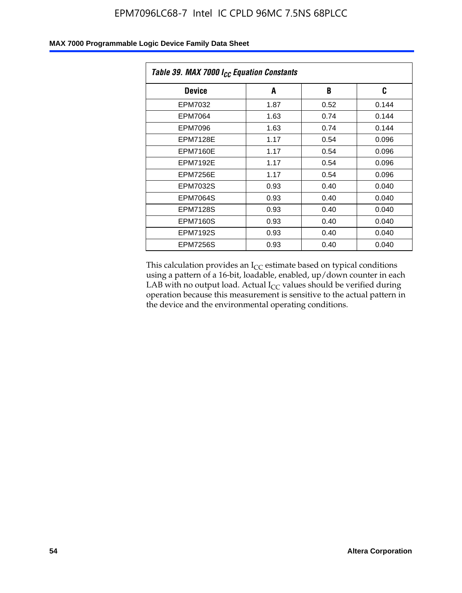| Table 39. MAX 7000 I <sub>CC</sub> Equation Constants |      |      |       |  |  |
|-------------------------------------------------------|------|------|-------|--|--|
| <b>Device</b>                                         | A    | B    | C     |  |  |
| EPM7032                                               | 1.87 | 0.52 | 0.144 |  |  |
| EPM7064                                               | 1.63 | 0.74 | 0.144 |  |  |
| <b>EPM7096</b>                                        | 1.63 | 0.74 | 0.144 |  |  |
| <b>EPM7128E</b>                                       | 1.17 | 0.54 | 0.096 |  |  |
| <b>EPM7160E</b>                                       | 1.17 | 0.54 | 0.096 |  |  |
| <b>EPM7192E</b>                                       | 1.17 | 0.54 | 0.096 |  |  |
| <b>EPM7256E</b>                                       | 1.17 | 0.54 | 0.096 |  |  |
| <b>EPM7032S</b>                                       | 0.93 | 0.40 | 0.040 |  |  |
| <b>EPM7064S</b>                                       | 0.93 | 0.40 | 0.040 |  |  |
| <b>EPM7128S</b>                                       | 0.93 | 0.40 | 0.040 |  |  |
| <b>EPM7160S</b>                                       | 0.93 | 0.40 | 0.040 |  |  |
| <b>EPM7192S</b>                                       | 0.93 | 0.40 | 0.040 |  |  |
| <b>EPM7256S</b>                                       | 0.93 | 0.40 | 0.040 |  |  |

This calculation provides an  $I_{CC}$  estimate based on typical conditions using a pattern of a 16-bit, loadable, enabled, up/down counter in each LAB with no output load. Actual  $I_{CC}$  values should be verified during operation because this measurement is sensitive to the actual pattern in the device and the environmental operating conditions.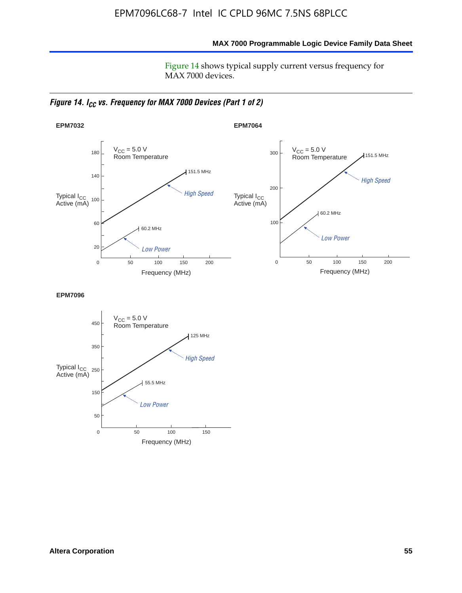**MAX 7000 Programmable Logic Device Family Data Sheet**

Figure 14 shows typical supply current versus frequency for MAX 7000 devices.

*Figure 14. I<sub>CC</sub> vs. Frequency for MAX 7000 Devices (Part 1 of 2)* 



**EPM7096**

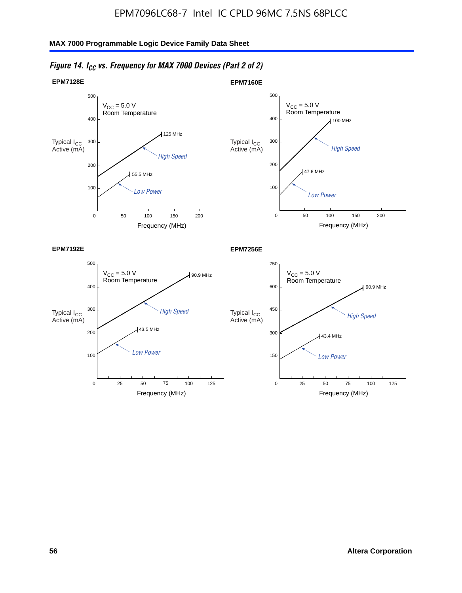

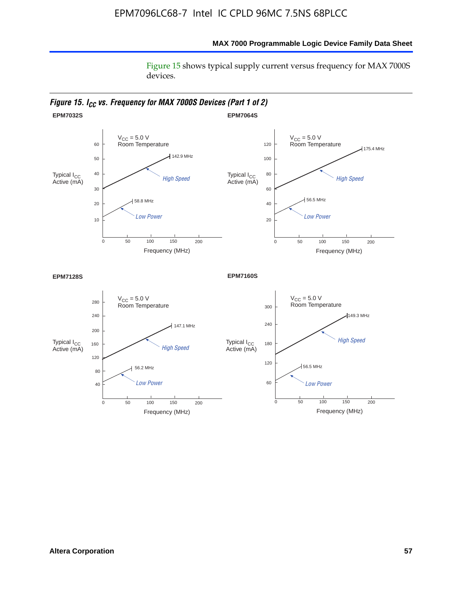### **MAX 7000 Programmable Logic Device Family Data Sheet**

Figure 15 shows typical supply current versus frequency for MAX 7000S devices.

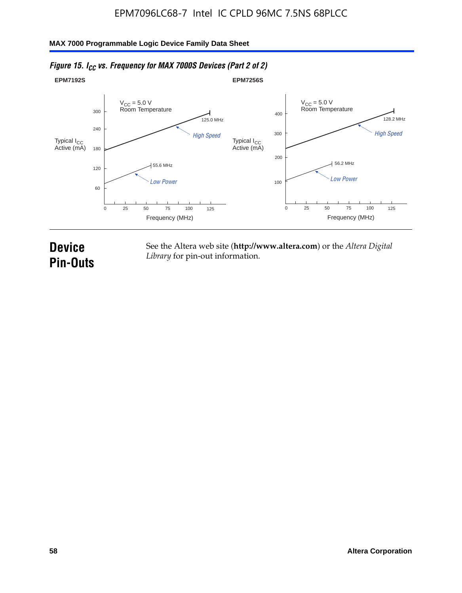#### **EPM7192S** V<sub>CC</sub> = 5.0 V<br>Room Temperature 0 Frequency (MHz) High Speed Low Power 25 100 125 125.0 MHz 55.6 MHz 60 120 180 240 300 50 75 **EPM7256S** V<sub>CC</sub> = 5.0 V<br>Room Temperature 0 Frequency (MHz) High Speed Low Power 25 100 125 128.2 MHz 56.2 MHz 100 200 300 400 50 75 Typical I<sub>CC</sub><br>Active (mA) Typical I<sub>CC</sub> Typical I<sub>CC</sub> Typical I<sub>C</sub> Typical I<sub>C</sub> Typical I<sub>C</sub> Typical I<sub>C</sub> Typical I<sub>C</sub> Typical I<sub>C</sub> Typical I<sub>C</sub> Typical I<sub>C</sub> Typical I<sub>C</sub> Typical I<sub>C</sub> Typical I<sub>C</sub> Typical I<sub>C</sub> Typical I<sub>C</sub> Typical I<sub>C</sub> Typical I<sub>C</sub> Typical I<sub>CC</sub><br>Active (mA)

### *Figure 15. I<sub>CC</sub> vs. Frequency for MAX 7000S Devices (Part 2 of 2)*

## **Device Pin-Outs**

See the Altera web site (**http://www.altera.com**) or the *Altera Digital Library* for pin-out information.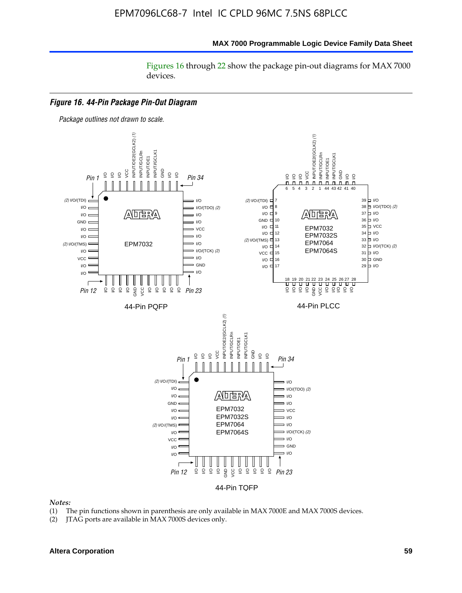#### **MAX 7000 Programmable Logic Device Family Data Sheet**

Figures 16 through 22 show the package pin-out diagrams for MAX 7000 devices.



#### *Notes:*

- (1) The pin functions shown in parenthesis are only available in MAX 7000E and MAX 7000S devices.
- (2) JTAG ports are available in MAX 7000S devices only.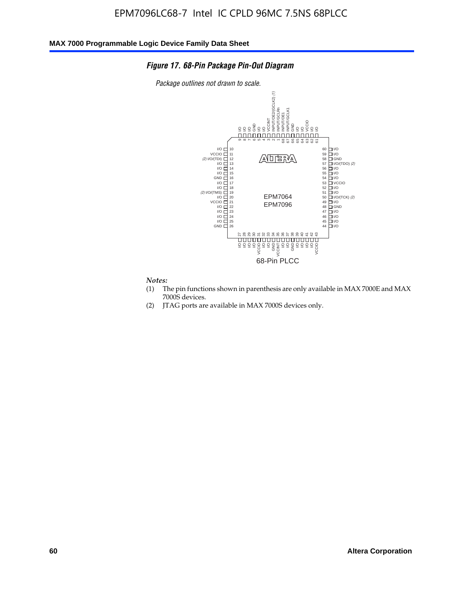### *Figure 17. 68-Pin Package Pin-Out Diagram*

*Package outlines not drawn to scale.*



## *Notes:*<br>(1) T

- The pin functions shown in parenthesis are only available in MAX 7000E and MAX 7000S devices.
- (2) JTAG ports are available in MAX 7000S devices only.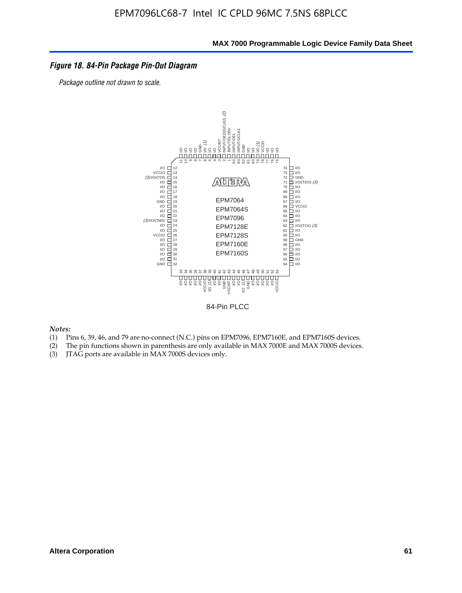### *Figure 18. 84-Pin Package Pin-Out Diagram*

*Package outline not drawn to scale.*



84-Pin PLCC

*Notes:*

- (1) Pins 6, 39, 46, and 79 are no-connect (N.C.) pins on EPM7096, EPM7160E, and EPM7160S devices.
- (2) The pin functions shown in parenthesis are only available in MAX 7000E and MAX 7000S devices.
-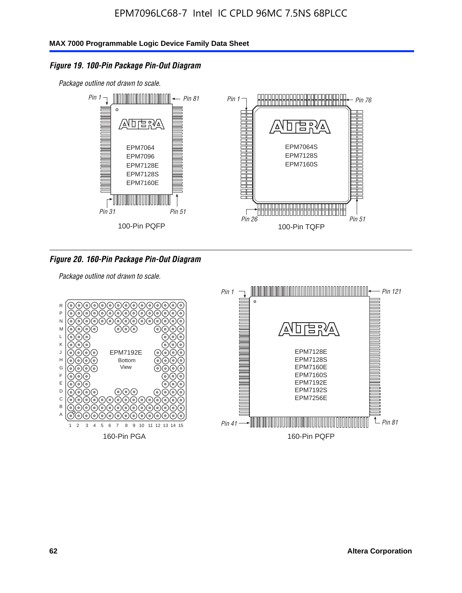### *Figure 19. 100-Pin Package Pin-Out Diagram*

*Package outline not drawn to scale.*



### *Figure 20. 160-Pin Package Pin-Out Diagram*

*Package outline not drawn to scale.*

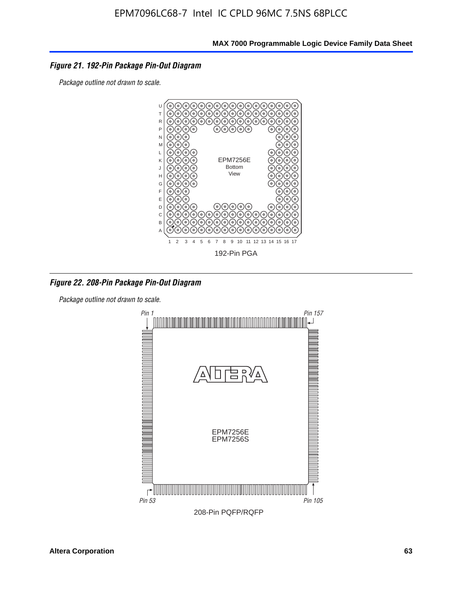### *Figure 21. 192-Pin Package Pin-Out Diagram*

*Package outline not drawn to scale.*



*Figure 22. 208-Pin Package Pin-Out Diagram*

*Package outline not drawn to scale.*

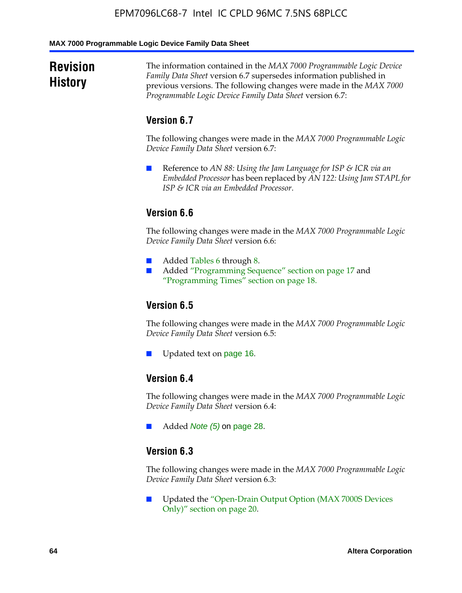#### **MAX 7000 Programmable Logic Device Family Data Sheet**

## **Revision History**

The information contained in the *MAX 7000 Programmable Logic Device Family Data Sheet* version 6.7 supersedes information published in previous versions. The following changes were made in the *MAX 7000 Programmable Logic Device Family Data Sheet* version 6.7:

### **Version 6.7**

The following changes were made in the *MAX 7000 Programmable Logic Device Family Data Sheet* version 6.7:

■ Reference to *AN 88: Using the Jam Language for ISP & ICR via an Embedded Processor* has been replaced by *AN 122: Using Jam STAPL for ISP & ICR via an Embedded Processor*.

## **Version 6.6**

The following changes were made in the *MAX 7000 Programmable Logic Device Family Data Sheet* version 6.6:

- Added Tables 6 through 8.
- Added "Programming Sequence" section on page 17 and "Programming Times" section on page 18.

## **Version 6.5**

The following changes were made in the *MAX 7000 Programmable Logic Device Family Data Sheet* version 6.5:

Updated text on page 16.

## **Version 6.4**

The following changes were made in the *MAX 7000 Programmable Logic Device Family Data Sheet* version 6.4:

■ Added *Note (5)* on page 28.

### **Version 6.3**

The following changes were made in the *MAX 7000 Programmable Logic Device Family Data Sheet* version 6.3:

■ Updated the "Open-Drain Output Option (MAX 7000S Devices Only)" section on page 20.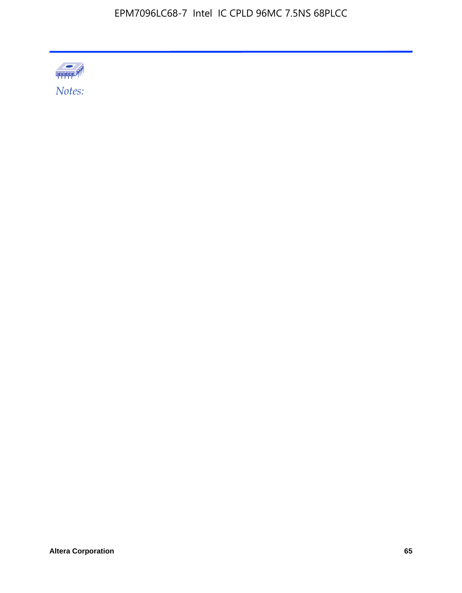

**Altera Corporation 65**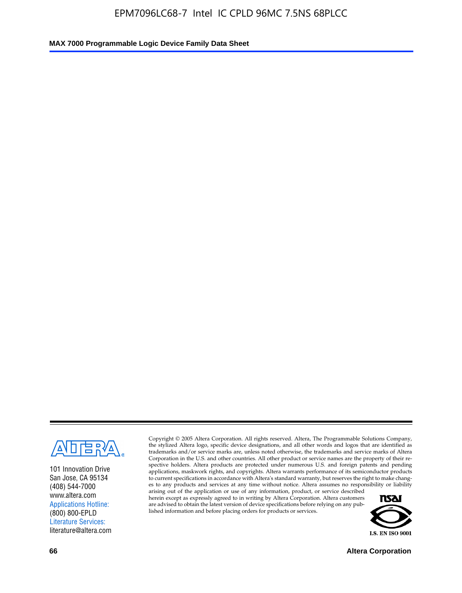

101 Innovation Drive San Jose, CA 95134 (408) 544-7000 www.altera.com Applications Hotline: (800) 800-EPLD Literature Services: literature@altera.com

Copyright © 2005 Altera Corporation. All rights reserved. Altera, The Programmable Solutions Company, the stylized Altera logo, specific device designations, and all other words and logos that are identified as trademarks and/or service marks are, unless noted otherwise, the trademarks and service marks of Altera Corporation in the U.S. and other countries. All other product or service names are the property of their respective holders. Altera products are protected under numerous U.S. and foreign patents and pending applications, maskwork rights, and copyrights. Altera warrants performance of its semiconductor products to current specifications in accordance with Altera's standard warranty, but reserves the right to make changes to any products and services at any time without notice. Altera assumes no responsibility or liability

arising out of the application or use of any information, product, or service described herein except as expressly agreed to in writing by Altera Corporation. Altera customers are advised to obtain the latest version of device specifications before relying on any published information and before placing orders for products or services.



**66 Altera Corporation**